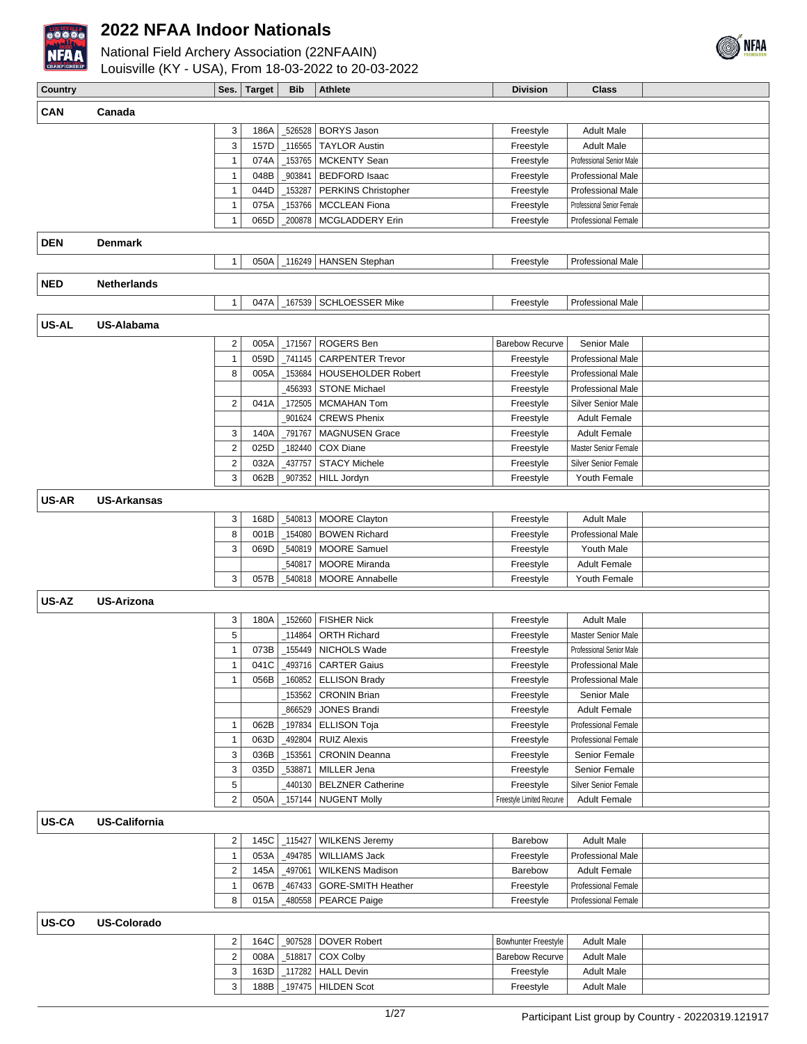



| <b>Country</b> |                      |                           | Ses.   Target | <b>Bib</b> | <b>Athlete</b>            | <b>Division</b>            | <b>Class</b>                |  |
|----------------|----------------------|---------------------------|---------------|------------|---------------------------|----------------------------|-----------------------------|--|
|                |                      |                           |               |            |                           |                            |                             |  |
| <b>CAN</b>     | Canada               |                           |               |            |                           |                            |                             |  |
|                |                      | 3                         | 186A          |            | _526528 BORYS Jason       | Freestyle                  | <b>Adult Male</b>           |  |
|                |                      | 3                         | 157D          | _116565    | <b>TAYLOR Austin</b>      | Freestyle                  | <b>Adult Male</b>           |  |
|                |                      | $\mathbf{1}$              | 074A          | 153765     | <b>MCKENTY Sean</b>       | Freestyle                  | Professional Senior Male    |  |
|                |                      | $\mathbf{1}$              | 048B          | 903841     | <b>BEDFORD Isaac</b>      | Freestyle                  | Professional Male           |  |
|                |                      | $\mathbf{1}$              | 044D          | 153287     | PERKINS Christopher       | Freestyle                  | <b>Professional Male</b>    |  |
|                |                      | $\mathbf{1}$              | 075A          | 153766     | <b>MCCLEAN Fiona</b>      | Freestyle                  | Professional Senior Female  |  |
|                |                      | $\mathbf{1}$              | 065D          | 200878     | MCGLADDERY Erin           | Freestyle                  | <b>Professional Female</b>  |  |
| <b>DEN</b>     | <b>Denmark</b>       |                           |               |            |                           |                            |                             |  |
|                |                      |                           |               |            |                           |                            |                             |  |
|                |                      | $\mathbf{1}$              | 050A          |            | _116249   HANSEN Stephan  | Freestyle                  | Professional Male           |  |
| <b>NED</b>     | <b>Netherlands</b>   |                           |               |            |                           |                            |                             |  |
|                |                      | $\mathbf{1}$              | 047A          | _167539    | <b>SCHLOESSER Mike</b>    | Freestyle                  | Professional Male           |  |
|                |                      |                           |               |            |                           |                            |                             |  |
| US-AL          | US-Alabama           |                           |               |            |                           |                            |                             |  |
|                |                      | 2                         | 005A          | _171567    | ROGERS Ben                | <b>Barebow Recurve</b>     | <b>Senior Male</b>          |  |
|                |                      | $\mathbf{1}$              | 059D          | _741145    | <b>CARPENTER Trevor</b>   | Freestyle                  | <b>Professional Male</b>    |  |
|                |                      | 8                         | 005A          | 153684     | <b>HOUSEHOLDER Robert</b> | Freestyle                  | <b>Professional Male</b>    |  |
|                |                      |                           |               | 456393     | <b>STONE Michael</b>      | Freestyle                  | <b>Professional Male</b>    |  |
|                |                      | $\overline{2}$            | 041A          | 172505     | <b>MCMAHAN Tom</b>        | Freestyle                  | Silver Senior Male          |  |
|                |                      |                           |               | 901624     | <b>CREWS Phenix</b>       | Freestyle                  | <b>Adult Female</b>         |  |
|                |                      | 3                         | 140A          | _791767    | <b>MAGNUSEN Grace</b>     | Freestyle                  | <b>Adult Female</b>         |  |
|                |                      | $\sqrt{2}$                | 025D          | 182440     | <b>COX Diane</b>          | Freestyle                  | Master Senior Female        |  |
|                |                      | $\boldsymbol{2}$          | 032A          | 437757     | <b>STACY Michele</b>      | Freestyle                  | <b>Silver Senior Female</b> |  |
|                |                      | 3                         | 062B          | 907352     | <b>HILL Jordyn</b>        | Freestyle                  | Youth Female                |  |
|                |                      |                           |               |            |                           |                            |                             |  |
| US-AR          | <b>US-Arkansas</b>   |                           |               |            |                           |                            |                             |  |
|                |                      | 3                         | 168D          |            | 540813   MOORE Clayton    | Freestyle                  | <b>Adult Male</b>           |  |
|                |                      | 8                         | 001B          | _154080    | <b>BOWEN Richard</b>      | Freestyle                  | <b>Professional Male</b>    |  |
|                |                      | 3                         | 069D          | 540819     | <b>MOORE Samuel</b>       | Freestyle                  | Youth Male                  |  |
|                |                      |                           |               | 540817     | <b>MOORE Miranda</b>      | Freestyle                  | <b>Adult Female</b>         |  |
|                |                      | 3                         | 057B          | 540818     | <b>MOORE Annabelle</b>    | Freestyle                  | Youth Female                |  |
|                |                      |                           |               |            |                           |                            |                             |  |
| US-AZ          | <b>US-Arizona</b>    |                           |               |            |                           |                            |                             |  |
|                |                      | 3                         | 180A          | _152660    | <b>FISHER Nick</b>        | Freestyle                  | <b>Adult Male</b>           |  |
|                |                      | $\sqrt{5}$                |               | 114864     | <b>ORTH Richard</b>       | Freestyle                  | <b>Master Senior Male</b>   |  |
|                |                      | $\mathbf{1}$              | 073B          | _155449    | NICHOLS Wade              | Freestyle                  | Professional Senior Male    |  |
|                |                      | $\mathbf{1}$              | 041C          |            | 493716   CARTER Gaius     | Freestyle                  | <b>Professional Male</b>    |  |
|                |                      | $\mathbf{1}$              | 056B          |            | 160852   ELLISON Brady    | Freestyle                  | Professional Male           |  |
|                |                      |                           |               | 153562     | <b>CRONIN Brian</b>       | Freestyle                  | Senior Male                 |  |
|                |                      |                           |               | 866529     | JONES Brandi              | Freestyle                  | <b>Adult Female</b>         |  |
|                |                      | $\mathbf{1}$              | 062B          |            | _197834   ELLISON Toja    | Freestyle                  | <b>Professional Female</b>  |  |
|                |                      | $\mathbf{1}$              | 063D          | 492804     | <b>RUIZ Alexis</b>        | Freestyle                  | Professional Female         |  |
|                |                      | 3                         | 036B          | _153561    | <b>CRONIN Deanna</b>      | Freestyle                  | Senior Female               |  |
|                |                      | $\ensuremath{\mathsf{3}}$ | 035D          | _538871    | MILLER Jena               | Freestyle                  | Senior Female               |  |
|                |                      | $\,$ 5 $\,$               |               | 440130     | <b>BELZNER Catherine</b>  | Freestyle                  | <b>Silver Senior Female</b> |  |
|                |                      | $\overline{2}$            | 050A          |            | 157144   NUGENT Molly     | Freestyle Limited Recurve  | <b>Adult Female</b>         |  |
| <b>US-CA</b>   | <b>US-California</b> |                           |               |            |                           |                            |                             |  |
|                |                      |                           |               |            |                           |                            |                             |  |
|                |                      | 2                         | 145C          | _115427    | <b>WILKENS Jeremy</b>     | Barebow                    | <b>Adult Male</b>           |  |
|                |                      | $\mathbf{1}$              | 053A          | 494785_    | <b>WILLIAMS Jack</b>      | Freestyle                  | Professional Male           |  |
|                |                      | $\overline{\mathbf{c}}$   | 145A          | 497061     | <b>WILKENS Madison</b>    | Barebow                    | <b>Adult Female</b>         |  |
|                |                      | $\mathbf{1}$              | 067B          | 467433     | GORE-SMITH Heather        | Freestyle                  | Professional Female         |  |
|                |                      | 8                         | 015A          | 480558     | <b>PEARCE Paige</b>       | Freestyle                  | Professional Female         |  |
| US-CO          | <b>US-Colorado</b>   |                           |               |            |                           |                            |                             |  |
|                |                      | 2                         | 164C          |            | _907528   DOVER Robert    | <b>Bowhunter Freestyle</b> | <b>Adult Male</b>           |  |
|                |                      | $\boldsymbol{2}$          | 008A          |            | 518817 COX Colby          | <b>Barebow Recurve</b>     | <b>Adult Male</b>           |  |
|                |                      | $\ensuremath{\mathsf{3}}$ |               |            | _117282   HALL Devin      | Freestyle                  | <b>Adult Male</b>           |  |
|                |                      | 3                         | 163D<br>188B  |            | _197475   HILDEN Scot     | Freestyle                  | <b>Adult Male</b>           |  |
|                |                      |                           |               |            |                           |                            |                             |  |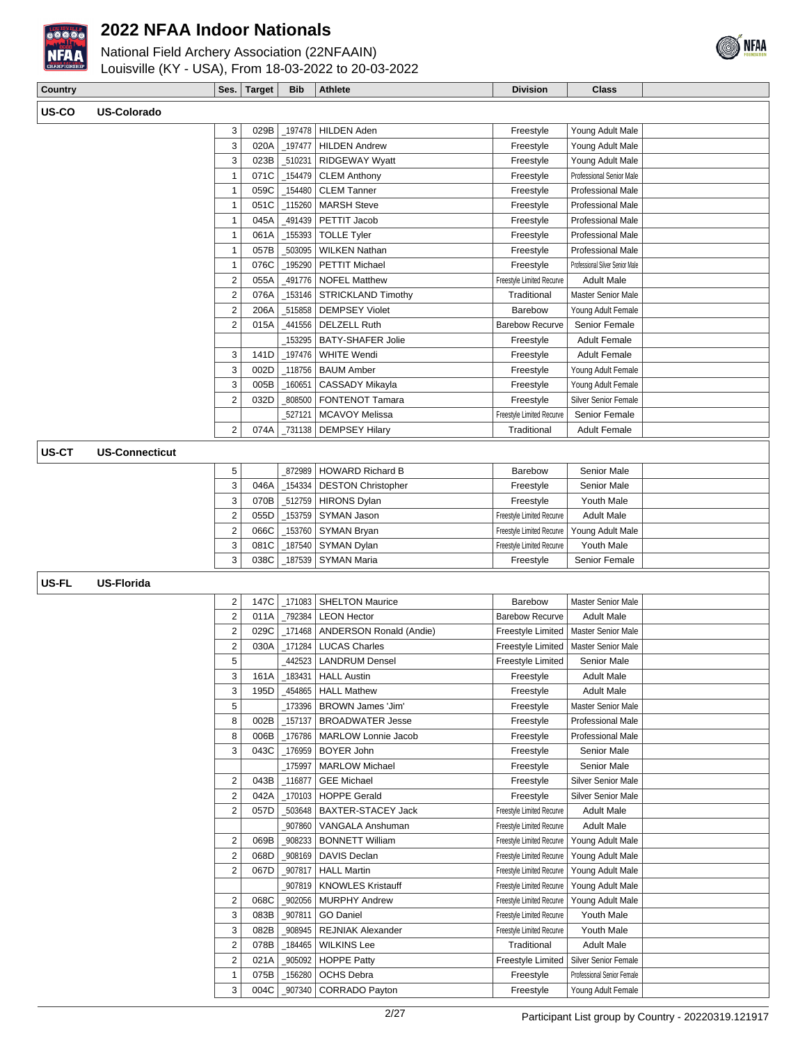

## National Field Archery Association (22NFAAIN)



## Louisville (KY - USA), From 18-03-2022 to 20-03-2022

| Country |                  | Ses. | Target | <b>Bib</b> | <b>Athlete</b> | <b>Division</b> | <b>Class</b> |  |
|---------|------------------|------|--------|------------|----------------|-----------------|--------------|--|
| US-CO   | US.<br>-Colorado |      |        |            |                |                 |              |  |

| 3              | 029B | 197478  | <b>HILDEN Aden</b>        | Freestyle                 | Young Adult Male                |  |
|----------------|------|---------|---------------------------|---------------------------|---------------------------------|--|
| 3              | 020A | _197477 | <b>HILDEN Andrew</b>      | Freestyle                 | Young Adult Male                |  |
| 3              | 023B | 510231  | <b>RIDGEWAY Wyatt</b>     | Freestyle                 | Young Adult Male                |  |
| 1              | 071C | 154479  | <b>CLEM Anthony</b>       | Freestyle                 | Professional Senior Male        |  |
| 1              | 059C | 154480  | <b>CLEM Tanner</b>        | Freestyle                 | <b>Professional Male</b>        |  |
| 1              | 051C | 115260  | <b>MARSH Steve</b>        | Freestyle                 | <b>Professional Male</b>        |  |
| 1              | 045A | 491439  | PETTIT Jacob              | Freestyle                 | Professional Male               |  |
| 1              | 061A | 155393  | <b>TOLLE Tyler</b>        | Freestyle                 | <b>Professional Male</b>        |  |
| 1              | 057B | 503095  | <b>WILKEN Nathan</b>      | Freestyle                 | <b>Professional Male</b>        |  |
| 1              | 076C | 195290  | PETTIT Michael            | Freestyle                 | Professional Silver Senior Male |  |
| 2              | 055A | 491776  | <b>NOFEL Matthew</b>      | Freestyle Limited Recurve | <b>Adult Male</b>               |  |
| $\overline{2}$ | 076A | 153146  | <b>STRICKLAND Timothy</b> | Traditional               | Master Senior Male              |  |
| $\overline{2}$ | 206A | 515858  | <b>DEMPSEY Violet</b>     | Barebow                   | Young Adult Female              |  |
| $\overline{2}$ | 015A | 441556  | <b>DELZELL Ruth</b>       | <b>Barebow Recurve</b>    | Senior Female                   |  |
|                |      | 153295  | <b>BATY-SHAFER Jolie</b>  | Freestyle                 | <b>Adult Female</b>             |  |
| 3              | 141D | 197476  | <b>WHITE Wendi</b>        | Freestyle                 | <b>Adult Female</b>             |  |
| 3              | 002D | 118756  | <b>BAUM Amber</b>         | Freestyle                 | Young Adult Female              |  |
| 3              | 005B | 160651  | CASSADY Mikayla           | Freestyle                 | Young Adult Female              |  |
| 2              | 032D | 808500  | <b>FONTENOT Tamara</b>    | Freestyle                 | <b>Silver Senior Female</b>     |  |
|                |      | 527121  | <b>MCAVOY Melissa</b>     | Freestyle Limited Recurve | Senior Female                   |  |
| 2              | 074A | 731138  | <b>DEMPSEY Hilary</b>     | Traditional               | <b>Adult Female</b>             |  |
|                |      |         |                           |                           |                                 |  |

#### **US-CT US-Connecticut**

| 5 |  | 872989 HOWARD Richard B            | Barebow                   | Senior Male       |  |
|---|--|------------------------------------|---------------------------|-------------------|--|
|   |  | 046A   154334   DESTON Christopher | Freestyle                 | Senior Male       |  |
| з |  | 070B   512759   HIRONS Dylan       | Freestyle                 | Youth Male        |  |
|   |  | 055D   153759 SYMAN Jason          | Freestyle Limited Recurve | <b>Adult Male</b> |  |
|   |  | 066C   153760   SYMAN Bryan        | Freestyle Limited Recurve | Young Adult Male  |  |
| 3 |  | 081C   187540   SYMAN Dylan        | Freestyle Limited Recurve | Youth Male        |  |
| 3 |  | 038C   187539   SYMAN Maria        | Freestyle                 | Senior Female     |  |

#### **US-FL US-Florida**

| 2              | 147C | 171083 | <b>SHELTON Maurice</b>         | Barebow                   | Master Senior Male          |  |
|----------------|------|--------|--------------------------------|---------------------------|-----------------------------|--|
| $\overline{2}$ | 011A | 792384 | <b>LEON Hector</b>             | Barebow Recurve           | <b>Adult Male</b>           |  |
| $\overline{2}$ | 029C | 171468 | <b>ANDERSON Ronald (Andie)</b> | Freestyle Limited         | Master Senior Male          |  |
| $\overline{2}$ | 030A | 171284 | <b>LUCAS Charles</b>           | Freestyle Limited         | Master Senior Male          |  |
| 5              |      | 442523 | <b>LANDRUM Densel</b>          | Freestyle Limited         | Senior Male                 |  |
| 3              | 161A | 183431 | <b>HALL Austin</b>             | Freestyle                 | <b>Adult Male</b>           |  |
| 3              | 195D | 454865 | <b>HALL Mathew</b>             | Freestyle                 | <b>Adult Male</b>           |  |
| 5              |      | 173396 | <b>BROWN James 'Jim'</b>       | Freestyle                 | <b>Master Senior Male</b>   |  |
| 8              | 002B | 157137 | <b>BROADWATER Jesse</b>        | Freestyle                 | Professional Male           |  |
| 8              | 006B | 176786 | MARLOW Lonnie Jacob            | Freestyle                 | <b>Professional Male</b>    |  |
| 3              | 043C | 176959 | <b>BOYER John</b>              | Freestyle                 | Senior Male                 |  |
|                |      | 175997 | <b>MARLOW Michael</b>          | Freestyle                 | Senior Male                 |  |
| $\overline{2}$ | 043B | 116877 | <b>GEE Michael</b>             | Freestyle                 | <b>Silver Senior Male</b>   |  |
| $\overline{2}$ | 042A | 170103 | <b>HOPPE Gerald</b>            | Freestyle                 | <b>Silver Senior Male</b>   |  |
| $\overline{2}$ | 057D | 503648 | <b>BAXTER-STACEY Jack</b>      | Freestyle Limited Recurve | <b>Adult Male</b>           |  |
|                |      | 907860 | VANGALA Anshuman               | Freestyle Limited Recurve | <b>Adult Male</b>           |  |
| $\overline{2}$ | 069B | 908233 | <b>BONNETT William</b>         | Freestyle Limited Recurve | Young Adult Male            |  |
| 2              | 068D | 908169 | DAVIS Declan                   | Freestyle Limited Recurve | Young Adult Male            |  |
| $\overline{2}$ | 067D | 907817 | <b>HALL Martin</b>             | Freestyle Limited Recurve | Young Adult Male            |  |
|                |      | 907819 | <b>KNOWLES Kristauff</b>       | Freestyle Limited Recurve | Young Adult Male            |  |
| $\overline{2}$ | 068C | 902056 | <b>MURPHY Andrew</b>           | Freestyle Limited Recurve | Young Adult Male            |  |
| 3              | 083B | 907811 | <b>GO Daniel</b>               | Freestyle Limited Recurve | Youth Male                  |  |
| 3              | 082B | 908945 | <b>REJNIAK Alexander</b>       | Freestyle Limited Recurve | Youth Male                  |  |
| $\overline{2}$ | 078B | 184465 | <b>WILKINS Lee</b>             | Traditional               | <b>Adult Male</b>           |  |
| $\overline{c}$ | 021A | 905092 | <b>HOPPE Patty</b>             | Freestyle Limited         | <b>Silver Senior Female</b> |  |
| 1              | 075B | 156280 | <b>OCHS Debra</b>              | Freestyle                 | Professional Senior Female  |  |
| 3              | 004C | 907340 | <b>CORRADO Payton</b>          | Freestyle                 | Young Adult Female          |  |
|                |      |        |                                |                           |                             |  |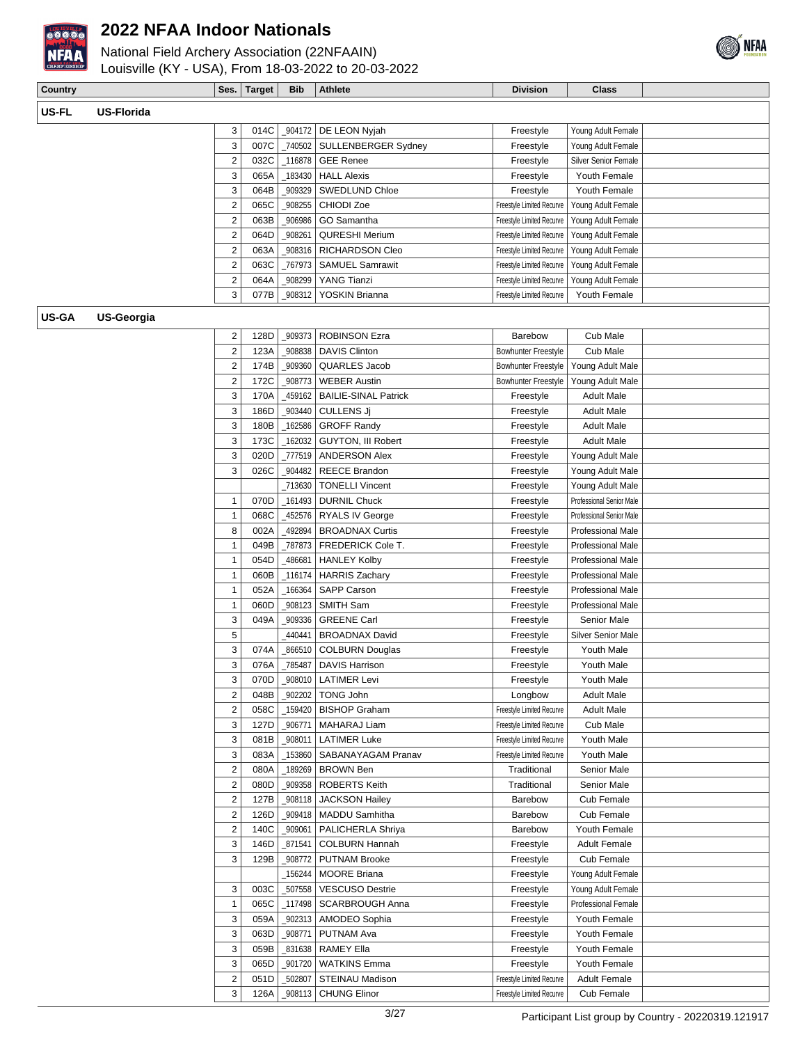



| <b>Country</b> |                   | Ses.                    | <b>Target</b> | <b>Bib</b> | <b>Athlete</b>              | <b>Division</b>            | <b>Class</b>                |  |
|----------------|-------------------|-------------------------|---------------|------------|-----------------------------|----------------------------|-----------------------------|--|
|                |                   |                         |               |            |                             |                            |                             |  |
| US-FL          | <b>US-Florida</b> |                         |               |            |                             |                            |                             |  |
|                |                   | 3                       | 014C          |            | _904172 DE LEON Nyjah       | Freestyle                  | Young Adult Female          |  |
|                |                   | 3                       | 007C          | _740502    | <b>SULLENBERGER Sydney</b>  | Freestyle                  | Young Adult Female          |  |
|                |                   | 2                       | 032C          | 116878     | <b>GEE Renee</b>            | Freestyle                  | <b>Silver Senior Female</b> |  |
|                |                   | 3                       | 065A          | 183430     | <b>HALL Alexis</b>          | Freestyle                  | Youth Female                |  |
|                |                   | 3                       | 064B          | 909329     | SWEDLUND Chloe              | Freestyle                  | Youth Female                |  |
|                |                   | 2                       | 065C          | 908255     | CHIODI Zoe                  | Freestyle Limited Recurve  | Young Adult Female          |  |
|                |                   | 2                       | 063B          | 906986     | GO Samantha                 | Freestyle Limited Recurve  | Young Adult Female          |  |
|                |                   | 2                       | 064D          | 908261     | <b>QURESHI Merium</b>       | Freestyle Limited Recurve  | Young Adult Female          |  |
|                |                   | 2                       | 063A          | 908316     | RICHARDSON Cleo             | Freestyle Limited Recurve  | Young Adult Female          |  |
|                |                   | 2                       | 063C          | 767973     | <b>SAMUEL Samrawit</b>      | Freestyle Limited Recurve  | Young Adult Female          |  |
|                |                   | 2                       | 064A          | 908299     | YANG Tianzi                 | Freestyle Limited Recurve  | Young Adult Female          |  |
|                |                   | 3                       | 077B          | _908312    | YOSKIN Brianna              | Freestyle Limited Recurve  | Youth Female                |  |
|                |                   |                         |               |            |                             |                            |                             |  |
| <b>US-GA</b>   | <b>US-Georgia</b> |                         |               |            |                             |                            |                             |  |
|                |                   | 2                       | 128D          | _909373    | <b>ROBINSON Ezra</b>        | <b>Barebow</b>             | Cub Male                    |  |
|                |                   | 2                       | 123A          | 908838     | <b>DAVIS Clinton</b>        | <b>Bowhunter Freestyle</b> | Cub Male                    |  |
|                |                   | 2                       | 174B          | _909360    | QUARLES Jacob               | <b>Bowhunter Freestyle</b> | Young Adult Male            |  |
|                |                   | $\overline{\mathbf{c}}$ | 172C          | _908773    | <b>WEBER Austin</b>         | <b>Bowhunter Freestyle</b> | Young Adult Male            |  |
|                |                   | 3                       | 170A          | 459162     | <b>BAILIE-SINAL Patrick</b> | Freestyle                  | <b>Adult Male</b>           |  |
|                |                   | 3                       | 186D          | _903440    | CULLENS Jj                  | Freestyle                  | <b>Adult Male</b>           |  |
|                |                   | 3                       | 180B          | 162586     | <b>GROFF Randy</b>          | Freestyle                  | <b>Adult Male</b>           |  |
|                |                   | 3                       | 173C          | 162032     | GUYTON, III Robert          | Freestyle                  | <b>Adult Male</b>           |  |
|                |                   | 3                       | 020D          | 777519     | <b>ANDERSON Alex</b>        | Freestyle                  | Young Adult Male            |  |
|                |                   | 3                       | 026C          | 904482     | <b>REECE Brandon</b>        | Freestyle                  | Young Adult Male            |  |
|                |                   |                         |               | _713630    | <b>TONELLI Vincent</b>      | Freestyle                  | Young Adult Male            |  |
|                |                   | 1                       | 070D          | 161493_    | <b>DURNIL Chuck</b>         | Freestyle                  | Professional Senior Male    |  |
|                |                   | 1                       | 068C          | 452576     | <b>RYALS IV George</b>      | Freestyle                  | Professional Senior Male    |  |
|                |                   | 8                       | 002A          | 492894     | <b>BROADNAX Curtis</b>      | Freestyle                  | Professional Male           |  |
|                |                   | 1                       | 049B          | 787873     | FREDERICK Cole T.           | Freestyle                  | Professional Male           |  |
|                |                   | 1                       | 054D          | 486681     | <b>HANLEY Kolby</b>         | Freestyle                  | Professional Male           |  |
|                |                   | 1                       | 060B          | _116174    | <b>HARRIS Zachary</b>       | Freestyle                  | Professional Male           |  |
|                |                   | 1                       | 052A          | 166364     | SAPP Carson                 | Freestyle                  | Professional Male           |  |
|                |                   | 1                       | 060D          | 908123     | SMITH Sam                   | Freestyle                  | Professional Male           |  |
|                |                   | 3                       | 049A          | _909336    | <b>GREENE Carl</b>          | Freestyle                  | Senior Male                 |  |
|                |                   | 5                       |               | 440441     | <b>BROADNAX David</b>       | Freestyle                  | <b>Silver Senior Male</b>   |  |
|                |                   | 3                       | 074A          |            | 866510 COLBURN Douglas      | Freestyle                  | Youth Male                  |  |
|                |                   | 3                       | 076A          |            | 785487   DAVIS Harrison     | Freestyle                  | Youth Male                  |  |
|                |                   | 3                       | 070D          |            | _908010   LATIMER Levi      | Freestyle                  | Youth Male                  |  |
|                |                   | 2                       | 048B          | 902202     | <b>TONG John</b>            | Longbow                    | <b>Adult Male</b>           |  |
|                |                   | 2                       | 058C          | _159420    | <b>BISHOP Graham</b>        | Freestyle Limited Recurve  | <b>Adult Male</b>           |  |
|                |                   | 3                       | 127D          | _906771    | MAHARAJ Liam                | Freestyle Limited Recurve  | Cub Male                    |  |
|                |                   | 3                       | 081B          | _908011    | <b>LATIMER Luke</b>         | Freestyle Limited Recurve  | Youth Male                  |  |
|                |                   | 3                       | 083A          | 153860     | SABANAYAGAM Pranav          | Freestyle Limited Recurve  | Youth Male                  |  |
|                |                   | $\overline{2}$          | 080A          | 189269_    | <b>BROWN Ben</b>            | Traditional                | Senior Male                 |  |
|                |                   | $\overline{\mathbf{c}}$ | 080D          | _909358    | <b>ROBERTS Keith</b>        | Traditional                | Senior Male                 |  |
|                |                   | 2                       | 127B          | _908118    | <b>JACKSON Hailey</b>       | Barebow                    | Cub Female                  |  |
|                |                   | 2                       | 126D          | 909418     | <b>MADDU Samhitha</b>       | Barebow                    | Cub Female                  |  |
|                |                   | $\overline{\mathbf{c}}$ | 140C          | _909061    | PALICHERLA Shriya           | Barebow                    | Youth Female                |  |
|                |                   | 3                       | 146D          | _871541    | <b>COLBURN Hannah</b>       | Freestyle                  | <b>Adult Female</b>         |  |
|                |                   | 3                       | 129B          | _908772    | <b>PUTNAM Brooke</b>        | Freestyle                  | Cub Female                  |  |
|                |                   |                         |               |            | 156244   MOORE Briana       | Freestyle                  | Young Adult Female          |  |
|                |                   | 3                       | 003C          | _507558    | <b>VESCUSO Destrie</b>      | Freestyle                  | Young Adult Female          |  |
|                |                   | $\mathbf{1}$            | 065C          |            | <b>SCARBROUGH Anna</b>      | Freestyle                  | <b>Professional Female</b>  |  |
|                |                   | 3                       | 059A          | _902313    | AMODEO Sophia               | Freestyle                  | Youth Female                |  |
|                |                   | 3                       | 063D          | _908771    | PUTNAM Ava                  | Freestyle                  | Youth Female                |  |
|                |                   | 3                       | 059B          |            | _831638   RAMEY Ella        | Freestyle                  | Youth Female                |  |
|                |                   | 3                       | 065D          | _901720    | <b>WATKINS Emma</b>         | Freestyle                  | Youth Female                |  |
|                |                   | $\overline{\mathbf{c}}$ | 051D          | _502807    | STEINAU Madison             | Freestyle Limited Recurve  | <b>Adult Female</b>         |  |
|                |                   | 3                       | 126A          |            | _908113   CHUNG Elinor      | Freestyle Limited Recurve  | Cub Female                  |  |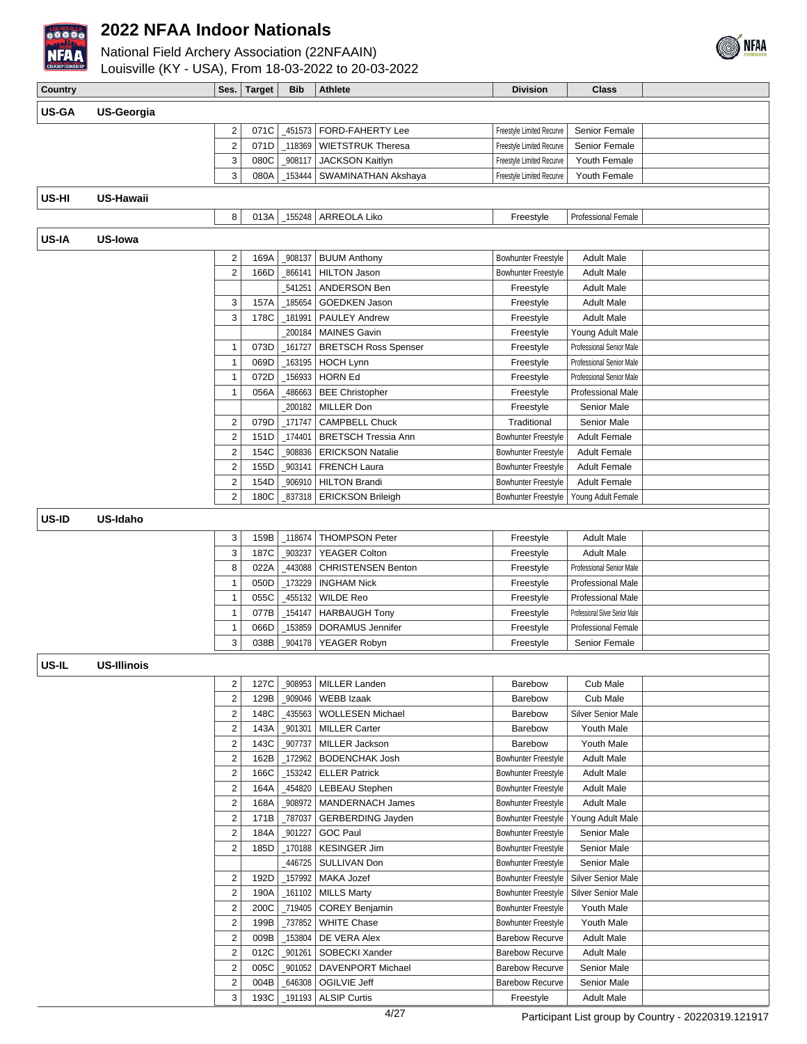

National Field Archery Association (22NFAAIN) Louisville (KY - USA), From 18-03-2022 to 20-03-2022



| <b>CRARPIONSHIP</b> | Louisville (KY - USA), From 18-03-2022 to 20-03-2022 |                              |              |                   |                                           |                            |                                 |  |
|---------------------|------------------------------------------------------|------------------------------|--------------|-------------------|-------------------------------------------|----------------------------|---------------------------------|--|
| Country             |                                                      |                              | Ses. Target  | <b>Bib</b>        | <b>Athlete</b>                            | <b>Division</b>            | <b>Class</b>                    |  |
| <b>US-GA</b>        | <b>US-Georgia</b>                                    |                              |              |                   |                                           |                            |                                 |  |
|                     |                                                      | 2                            | 071C         |                   | _451573   FORD-FAHERTY Lee                | Freestyle Limited Recurve  | Senior Female                   |  |
|                     |                                                      | 2                            | 071D         | 118369            | <b>WIETSTRUK Theresa</b>                  | Freestyle Limited Recurve  | Senior Female                   |  |
|                     |                                                      | 3                            | 080C         | _908117           | <b>JACKSON Kaitlyn</b>                    | Freestyle Limited Recurve  | Youth Female                    |  |
|                     |                                                      | 3                            | 080A         | 153444            | SWAMINATHAN Akshaya                       | Freestyle Limited Recurve  | Youth Female                    |  |
|                     |                                                      |                              |              |                   |                                           |                            |                                 |  |
| US-HI               | <b>US-Hawaii</b>                                     |                              |              |                   |                                           |                            |                                 |  |
|                     |                                                      | 8                            | 013A         | $-155248$         | ARREOLA Liko                              | Freestyle                  | Professional Female             |  |
| <b>US-IA</b>        | US-lowa                                              |                              |              |                   |                                           |                            |                                 |  |
|                     |                                                      | 2                            | 169A         | 908137            | <b>BUUM Anthony</b>                       | <b>Bowhunter Freestyle</b> | <b>Adult Male</b>               |  |
|                     |                                                      | $\overline{\mathbf{c}}$      | 166D         | 866141            | <b>HILTON Jason</b>                       | <b>Bowhunter Freestyle</b> | <b>Adult Male</b>               |  |
|                     |                                                      |                              |              | 541251            | ANDERSON Ben                              | Freestyle                  | <b>Adult Male</b>               |  |
|                     |                                                      | 3                            | 157A         | _185654           | <b>GOEDKEN Jason</b>                      | Freestyle                  | <b>Adult Male</b>               |  |
|                     |                                                      | 3                            | 178C         | _181991           | <b>PAULEY Andrew</b>                      | Freestyle                  | <b>Adult Male</b>               |  |
|                     |                                                      |                              |              | _200184           | <b>MAINES Gavin</b>                       | Freestyle                  | Young Adult Male                |  |
|                     |                                                      | 1                            | 073D         | _161727           | <b>BRETSCH Ross Spenser</b>               | Freestyle                  | Professional Senior Male        |  |
|                     |                                                      | 1                            | 069D         | _163195           | <b>HOCH Lynn</b>                          | Freestyle                  | Professional Senior Male        |  |
|                     |                                                      | 1                            | 072D         | _156933           | <b>HORN Ed</b>                            | Freestyle                  | Professional Senior Male        |  |
|                     |                                                      | 1                            | 056A         | 486663            | <b>BEE Christopher</b>                    | Freestyle                  | <b>Professional Male</b>        |  |
|                     |                                                      |                              |              | 200182            | <b>MILLER Don</b>                         | Freestyle                  | Senior Male                     |  |
|                     |                                                      | 2                            | 079D         | $\_171747$        | <b>CAMPBELL Chuck</b>                     | Traditional                | Senior Male                     |  |
|                     |                                                      | 2                            | 151D         | _174401           | <b>BRETSCH Tressia Ann</b>                | <b>Bowhunter Freestyle</b> | <b>Adult Female</b>             |  |
|                     |                                                      | 2                            | 154C         | _908836           | <b>ERICKSON Natalie</b>                   | Bowhunter Freestyle        | <b>Adult Female</b>             |  |
|                     |                                                      | $\overline{\mathbf{c}}$      | 155D         | _903141           | <b>FRENCH Laura</b>                       | <b>Bowhunter Freestyle</b> | <b>Adult Female</b>             |  |
|                     |                                                      | 2                            | 154D         | _906910           | <b>HILTON Brandi</b>                      | Bowhunter Freestyle        | <b>Adult Female</b>             |  |
|                     |                                                      | $\overline{2}$               | 180C         |                   | 837318   ERICKSON Brileigh                | Bowhunter Freestyle        | Young Adult Female              |  |
| US-ID               | US-Idaho                                             |                              |              |                   |                                           |                            |                                 |  |
|                     |                                                      | 3                            | 159B         | _118674           | <b>THOMPSON Peter</b>                     | Freestyle                  | <b>Adult Male</b>               |  |
|                     |                                                      | 3                            | 187C         | _903237           | <b>YEAGER Colton</b>                      | Freestyle                  | <b>Adult Male</b>               |  |
|                     |                                                      | 8                            | 022A         | 443088            | <b>CHRISTENSEN Benton</b>                 | Freestyle                  | Professional Senior Male        |  |
|                     |                                                      | 1                            | 050D         | 173229            | <b>INGHAM Nick</b>                        | Freestyle                  | <b>Professional Male</b>        |  |
|                     |                                                      | 1                            | 055C         | 455132            | <b>WILDE Reo</b>                          | Freestyle                  | Professional Male               |  |
|                     |                                                      | 1                            | 077B         | _154147           | <b>HARBAUGH Tony</b>                      | Freestyle                  | Professional Silver Senior Male |  |
|                     |                                                      | 1                            | 066D         | 153859            | DORAMUS Jennifer                          | Freestyle                  | <b>Professional Female</b>      |  |
|                     |                                                      | 3                            | 038B         |                   | _904178   YEAGER Robyn                    | Freestyle                  | Senior Female                   |  |
| US-IL               | <b>US-Illinois</b>                                   |                              |              |                   |                                           |                            |                                 |  |
|                     |                                                      |                              |              |                   |                                           |                            |                                 |  |
|                     |                                                      | 2<br>$\overline{\mathbf{c}}$ | 127C         | _908953           | <b>MILLER Landen</b><br><b>WEBB Izaak</b> | Barebow                    | Cub Male                        |  |
|                     |                                                      | 2                            | 129B<br>148C | _909046<br>435563 | <b>WOLLESEN Michael</b>                   | Barebow<br><b>Barebow</b>  | Cub Male<br>Silver Senior Male  |  |
|                     |                                                      | $\overline{\mathbf{c}}$      | 143A         | _901301           | <b>MILLER Carter</b>                      | Barebow                    | Youth Male                      |  |
|                     |                                                      | $\overline{\mathbf{c}}$      | 143C         | _907737           | <b>MILLER Jackson</b>                     | Barebow                    | Youth Male                      |  |
|                     |                                                      | $\overline{\mathbf{c}}$      | 162B         | $-172962$         | <b>BODENCHAK Josh</b>                     | <b>Bowhunter Freestyle</b> | <b>Adult Male</b>               |  |
|                     |                                                      | $\overline{\mathbf{c}}$      | 166C         | $-153242$         | <b>ELLER Patrick</b>                      | Bowhunter Freestyle        | <b>Adult Male</b>               |  |
|                     |                                                      | 2                            | 164A         | 454820            | <b>LEBEAU Stephen</b>                     | Bowhunter Freestyle        | <b>Adult Male</b>               |  |
|                     |                                                      | $\overline{\mathbf{c}}$      | 168A         | _908972           | MANDERNACH James                          | <b>Bowhunter Freestyle</b> | <b>Adult Male</b>               |  |
|                     |                                                      | 2                            | 171B         | _787037           | GERBERDING Jayden                         | <b>Bowhunter Freestyle</b> | Young Adult Male                |  |
|                     |                                                      | $\overline{\mathbf{c}}$      | 184A         | _901227           | <b>GOC Paul</b>                           | Bowhunter Freestyle        | Senior Male                     |  |
|                     |                                                      | 2                            | 185D         | _170188           | <b>KESINGER Jim</b>                       | Bowhunter Freestyle        | Senior Male                     |  |
|                     |                                                      |                              |              | 446725            | SULLIVAN Don                              | Bowhunter Freestyle        | Senior Male                     |  |
|                     |                                                      | 2                            | 192D         | _157992           | MAKA Jozef                                | <b>Bowhunter Freestyle</b> | Silver Senior Male              |  |
|                     |                                                      | $\sqrt{2}$                   | 190A         | $-161102$         | <b>MILLS Marty</b>                        | <b>Bowhunter Freestyle</b> | Silver Senior Male              |  |
|                     |                                                      | 2                            | 200C         | _719405           | <b>COREY Benjamin</b>                     | <b>Bowhunter Freestyle</b> | Youth Male                      |  |
|                     |                                                      | 2                            | 199B         | _737852           | <b>WHITE Chase</b>                        | <b>Bowhunter Freestyle</b> | Youth Male                      |  |
|                     |                                                      | 2                            | 009B         | _153804           | DE VERA Alex                              | <b>Barebow Recurve</b>     | <b>Adult Male</b>               |  |
|                     |                                                      | 2                            | 012C         | _901261           | SOBECKI Xander                            | <b>Barebow Recurve</b>     | <b>Adult Male</b>               |  |
|                     |                                                      | 2                            | 005C         | _901052           | DAVENPORT Michael                         | <b>Barebow Recurve</b>     | Senior Male                     |  |
|                     |                                                      | $\overline{2}$               | 004B         |                   | _646308   OGILVIE Jeff                    | <b>Barebow Recurve</b>     | Senior Male                     |  |

3 193C 191193 ALSIP Curtis Freestyle Adult Male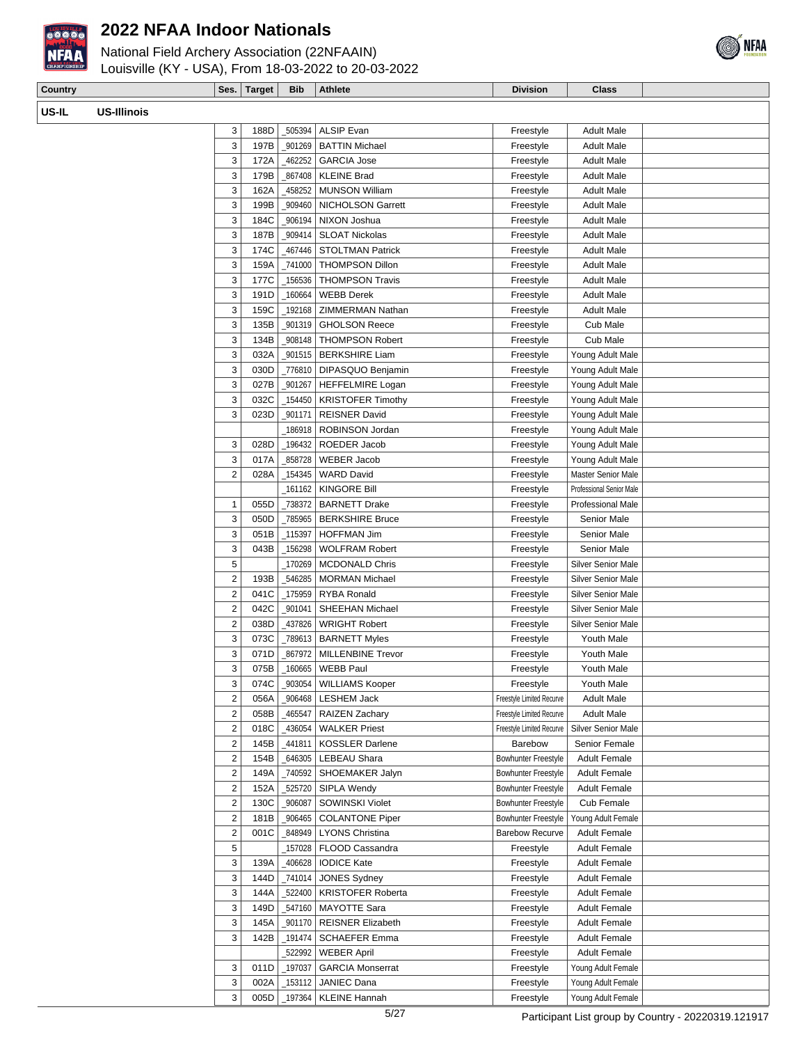

# National Field Archery Association (22NFAAIN)



| <b>National Field Archery Association (ZZNFAAIN)</b> |  |
|------------------------------------------------------|--|
| Louisville (KY - USA), From 18-03-2022 to 20-03-2022 |  |

| Country |                    |                         | Ses. Target | <b>Bib</b> | Athlete                           | <b>Division</b>            | <b>Class</b>              |  |
|---------|--------------------|-------------------------|-------------|------------|-----------------------------------|----------------------------|---------------------------|--|
|         |                    |                         |             |            |                                   |                            |                           |  |
| US-IL   | <b>US-Illinois</b> |                         |             |            |                                   |                            |                           |  |
|         |                    | 3                       | 188D        |            | _505394   ALSIP Evan              | Freestyle                  | <b>Adult Male</b>         |  |
|         |                    | 3                       | 197B        |            | _901269   BATTIN Michael          | Freestyle                  | <b>Adult Male</b>         |  |
|         |                    | 3                       | 172A        |            | _462252 GARCIA Jose               | Freestyle                  | <b>Adult Male</b>         |  |
|         |                    | 3                       | 179B        |            | _867408   KLEINE Brad             | Freestyle                  | <b>Adult Male</b>         |  |
|         |                    | 3                       | 162A        |            | _458252   MUNSON William          | Freestyle                  | <b>Adult Male</b>         |  |
|         |                    | 3                       | 199B        |            | _909460   NICHOLSON Garrett       | Freestyle                  | <b>Adult Male</b>         |  |
|         |                    | 3                       | 184C        |            | _906194   NIXON Joshua            | Freestyle                  | Adult Male                |  |
|         |                    | 3                       | 187B        |            | _909414   SLOAT Nickolas          | Freestyle                  | <b>Adult Male</b>         |  |
|         |                    | 3                       | 174C        |            | _467446   STOLTMAN Patrick        | Freestyle                  | <b>Adult Male</b>         |  |
|         |                    | 3                       | 159A        |            | _741000   THOMPSON Dillon         | Freestyle                  | <b>Adult Male</b>         |  |
|         |                    | 3                       | 177C        |            | _156536   THOMPSON Travis         | Freestyle                  | <b>Adult Male</b>         |  |
|         |                    | 3                       | 191D        |            | _160664   WEBB Derek              | Freestyle                  | <b>Adult Male</b>         |  |
|         |                    | 3                       | 159C        |            | _192168   ZIMMERMAN Nathan        | Freestyle                  | <b>Adult Male</b>         |  |
|         |                    | 3                       | 135B        |            | _901319   GHOLSON Reece           | Freestyle                  | Cub Male                  |  |
|         |                    | 3                       | 134B        |            | 908148   THOMPSON Robert          | Freestyle                  | Cub Male                  |  |
|         |                    | 3                       | 032A        |            | _901515   BERKSHIRE Liam          | Freestyle                  | Young Adult Male          |  |
|         |                    | 3                       | 030D        |            | _776810   DIPASQUO Benjamin       | Freestyle                  | Young Adult Male          |  |
|         |                    | 3                       | 027B        |            | _901267   HEFFELMIRE Logan        | Freestyle                  | Young Adult Male          |  |
|         |                    | 3                       | 032C        |            | _154450   KRISTOFER Timothy       | Freestyle                  | Young Adult Male          |  |
|         |                    | 3                       | 023D        |            | _901171   REISNER David           | Freestyle                  | Young Adult Male          |  |
|         |                    |                         |             |            | _186918   ROBINSON Jordan         | Freestyle                  | Young Adult Male          |  |
|         |                    | 3                       | 028D        |            | _196432   ROEDER Jacob            | Freestyle                  | Young Adult Male          |  |
|         |                    | 3                       | 017A        |            | _858728   WEBER Jacob             | Freestyle                  | Young Adult Male          |  |
|         |                    | $\overline{\mathbf{c}}$ | 028A        |            | _154345   WARD David              | Freestyle                  | <b>Master Senior Male</b> |  |
|         |                    |                         |             |            | _161162   KINGORE Bill            | Freestyle                  | Professional Senior Male  |  |
|         |                    | 1                       | 055D        |            | _738372   BARNETT Drake           | Freestyle                  | <b>Professional Male</b>  |  |
|         |                    | 3                       | 050D        |            | _785965   BERKSHIRE Bruce         | Freestyle                  | Senior Male               |  |
|         |                    | 3                       | 051B        | _115397    | <b>HOFFMAN Jim</b>                | Freestyle                  | Senior Male               |  |
|         |                    | 3                       | 043B        |            | _156298   WOLFRAM Robert          | Freestyle                  | Senior Male               |  |
|         |                    | 5                       |             | _170269    | MCDONALD Chris                    | Freestyle                  | <b>Silver Senior Male</b> |  |
|         |                    | $\overline{\mathbf{c}}$ | 193B        |            | _546285   MORMAN Michael          | Freestyle                  | <b>Silver Senior Male</b> |  |
|         |                    | $\overline{\mathbf{c}}$ | 041C        |            | _175959   RYBA Ronald             | Freestyle                  | <b>Silver Senior Male</b> |  |
|         |                    | $\overline{\mathbf{c}}$ | 042C        |            | _901041   SHEEHAN Michael         | Freestyle                  | <b>Silver Senior Male</b> |  |
|         |                    | 2                       | 038D        |            | _437826   WRIGHT Robert           | Freestyle                  | Silver Senior Male        |  |
|         |                    | 3                       | 073C        |            | $_789613$   BARNETT Myles         | Freestyle                  | Youth Male                |  |
|         |                    | 3                       |             |            | 071D   867972   MILLENBINE Trevor | Freestyle                  | Youth Male                |  |
|         |                    | 3                       | 075B        |            | _160665   WEBB Paul               | Freestyle                  | Youth Male                |  |
|         |                    | 3                       | 074C        |            | _903054   WILLIAMS Kooper         | Freestyle                  | Youth Male                |  |
|         |                    | 2                       | 056A        |            | _906468   LESHEM Jack             | Freestyle Limited Recurve  | <b>Adult Male</b>         |  |
|         |                    | $\overline{\mathbf{c}}$ | 058B        | _465547    | RAIZEN Zachary                    | Freestyle Limited Recurve  | <b>Adult Male</b>         |  |
|         |                    | 2                       | 018C        | _436054    | <b>WALKER Priest</b>              | Freestyle Limited Recurve  | Silver Senior Male        |  |
|         |                    | $\overline{c}$          | 145B        |            | _441811   KOSSLER Darlene         | Barebow                    | Senior Female             |  |
|         |                    | $\overline{2}$          | 154B        | 646305     | LEBEAU Shara                      | <b>Bowhunter Freestyle</b> | <b>Adult Female</b>       |  |
|         |                    | $\overline{2}$          | 149A        |            | _740592   SHOEMAKER Jalyn         | <b>Bowhunter Freestyle</b> | <b>Adult Female</b>       |  |
|         |                    | $\overline{2}$          | 152A        |            | _525720   SIPLA Wendy             | <b>Bowhunter Freestyle</b> | <b>Adult Female</b>       |  |
|         |                    | $\overline{\mathbf{c}}$ | 130C        | _906087    | SOWINSKI Violet                   | <b>Bowhunter Freestyle</b> | Cub Female                |  |
|         |                    | $\overline{2}$          | 181B        |            | _906465   COLANTONE Piper         | <b>Bowhunter Freestyle</b> | Young Adult Female        |  |
|         |                    | 2                       | 001C        |            | _848949   LYONS Christina         | <b>Barebow Recurve</b>     | <b>Adult Female</b>       |  |
|         |                    | 5                       |             |            | _157028   FLOOD Cassandra         | Freestyle                  | <b>Adult Female</b>       |  |
|         |                    | 3                       | 139A        | _406628    | <b>IODICE Kate</b>                | Freestyle                  | <b>Adult Female</b>       |  |
|         |                    | 3                       | 144D        |            | _741014   JONES Sydney            | Freestyle                  | <b>Adult Female</b>       |  |
|         |                    | 3                       | 144A        |            | _522400   KRISTOFER Roberta       | Freestyle                  | <b>Adult Female</b>       |  |
|         |                    | 3                       | 149D        |            | _547160   MAYOTTE Sara            | Freestyle                  | <b>Adult Female</b>       |  |
|         |                    | 3                       | 145A        |            | _901170   REISNER Elizabeth       | Freestyle                  | <b>Adult Female</b>       |  |
|         |                    | 3                       | 142B        |            | _191474   SCHAEFER Emma           | Freestyle                  | <b>Adult Female</b>       |  |
|         |                    |                         |             |            | 522992   WEBER April              | Freestyle                  | <b>Adult Female</b>       |  |

3 011D 197037 GARCIA Monserrat Freestyle Young Adult Female 3 002A 153112 JANIEC Dana Freestyle Young Adult Female 3 005D 197364 KLEINE Hannah Freestyle Young Adult Female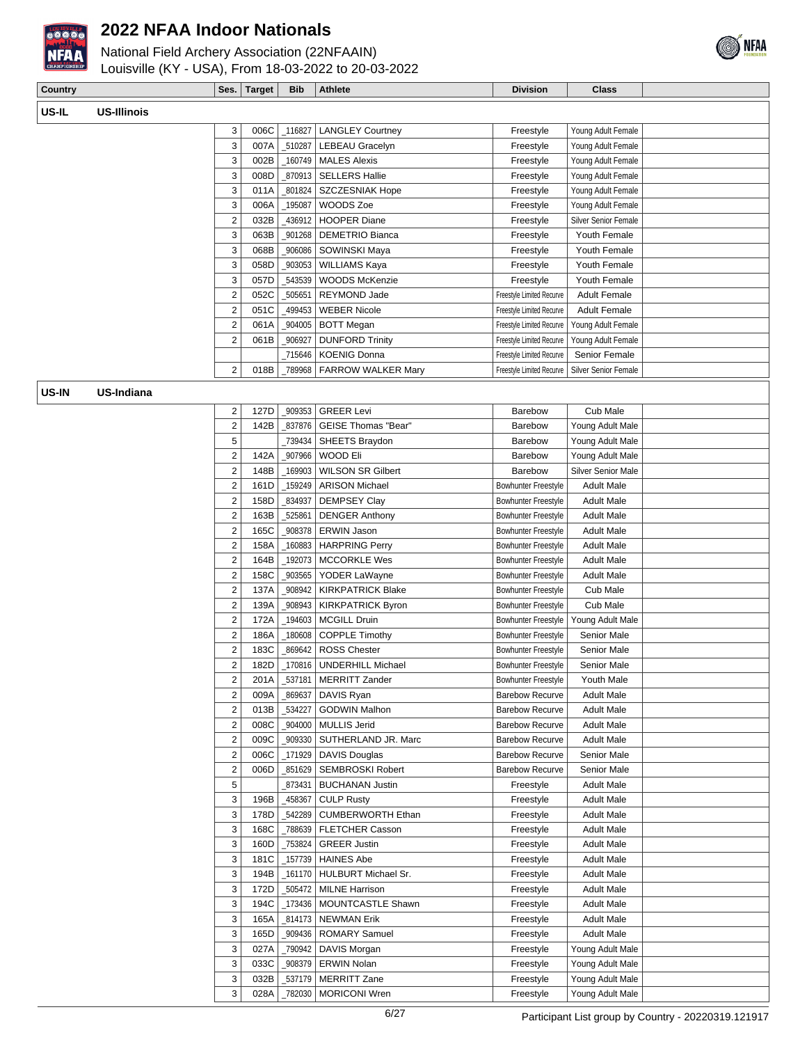

National Field Archery Association (22NFAAIN)



Louisville (KY - USA), From 18-03-2022 to 20-03-2022

| <b>Country</b> |                    | Ses. | Tarɑet | <b>Bib</b> | <b>Athlete</b> | ----<br><b>Division</b> | Class |  |
|----------------|--------------------|------|--------|------------|----------------|-------------------------|-------|--|
| US-IL          | -Illinois<br>1 I C |      |        |            |                |                         |       |  |

| 3              | 006C | 116827 | <b>LANGLEY Courtney</b>   | Freestyle                 | Young Adult Female          |  |
|----------------|------|--------|---------------------------|---------------------------|-----------------------------|--|
| 3              | 007A | 510287 | LEBEAU Gracelyn           | Freestyle                 | Young Adult Female          |  |
| 3              | 002B | 160749 | <b>MALES Alexis</b>       | Freestyle                 | Young Adult Female          |  |
| 3              | 008D | 870913 | <b>SELLERS Hallie</b>     | Freestyle                 | Young Adult Female          |  |
| 3              | 011A | 801824 | <b>SZCZESNIAK Hope</b>    | Freestyle                 | Young Adult Female          |  |
| 3              | 006A | 195087 | WOODS Zoe                 | Freestyle                 | Young Adult Female          |  |
| 2              | 032B | 436912 | <b>HOOPER Diane</b>       | Freestyle                 | <b>Silver Senior Female</b> |  |
| 3              | 063B | 901268 | <b>DEMETRIO Bianca</b>    | Freestyle                 | Youth Female                |  |
| 3              | 068B | 906086 | SOWINSKI Maya             | Freestyle                 | Youth Female                |  |
| 3              | 058D | 903053 | <b>WILLIAMS Kaya</b>      | Freestyle                 | Youth Female                |  |
| 3              | 057D | 543539 | <b>WOODS McKenzie</b>     | Freestyle                 | Youth Female                |  |
| $\overline{2}$ | 052C | 505651 | <b>REYMOND Jade</b>       | Freestyle Limited Recurve | <b>Adult Female</b>         |  |
| 2              | 051C | 499453 | <b>WEBER Nicole</b>       | Freestyle Limited Recurve | <b>Adult Female</b>         |  |
| 2              | 061A | 904005 | <b>BOTT Megan</b>         | Freestyle Limited Recurve | Young Adult Female          |  |
| 2              | 061B | 906927 | <b>DUNFORD Trinity</b>    | Freestyle Limited Recurve | Young Adult Female          |  |
|                |      | 715646 | <b>KOENIG Donna</b>       | Freestyle Limited Recurve | Senior Female               |  |
| 2              | 018B | 789968 | <b>FARROW WALKER Mary</b> | Freestyle Limited Recurve | <b>Silver Senior Female</b> |  |

**US-IN US-Indiana**

| 2              | 127D | 909353     | <b>GREER Levi</b>          | Barebow                    | Cub Male                  |  |
|----------------|------|------------|----------------------------|----------------------------|---------------------------|--|
| $\overline{2}$ | 142B | 837876     | GEISE Thomas "Bear"        | Barebow                    | Young Adult Male          |  |
| 5              |      | 739434     | SHEETS Braydon             | Barebow                    | Young Adult Male          |  |
| $\overline{2}$ | 142A | 907966     | WOOD Eli                   | Barebow                    | Young Adult Male          |  |
| $\overline{c}$ | 148B | 169903     | <b>WILSON SR Gilbert</b>   | Barebow                    | <b>Silver Senior Male</b> |  |
| 2              | 161D | 159249     | <b>ARISON Michael</b>      | <b>Bowhunter Freestyle</b> | <b>Adult Male</b>         |  |
| 2              | 158D | 834937     | <b>DEMPSEY Clay</b>        | <b>Bowhunter Freestyle</b> | <b>Adult Male</b>         |  |
| $\overline{c}$ | 163B | 525861     | <b>DENGER Anthony</b>      | <b>Bowhunter Freestyle</b> | <b>Adult Male</b>         |  |
| $\overline{2}$ | 165C | 908378     | <b>ERWIN Jason</b>         | Bowhunter Freestyle        | <b>Adult Male</b>         |  |
| $\overline{2}$ | 158A | $\_160883$ | <b>HARPRING Perry</b>      | <b>Bowhunter Freestyle</b> | <b>Adult Male</b>         |  |
| $\overline{c}$ | 164B | _192073    | <b>MCCORKLE Wes</b>        | <b>Bowhunter Freestyle</b> | <b>Adult Male</b>         |  |
| 2              | 158C | _903565    | YODER LaWayne              | Bowhunter Freestyle        | <b>Adult Male</b>         |  |
| 2              | 137A | 908942     | <b>KIRKPATRICK Blake</b>   | <b>Bowhunter Freestyle</b> | Cub Male                  |  |
| $\overline{2}$ | 139A | 908943     | <b>KIRKPATRICK Byron</b>   | <b>Bowhunter Freestyle</b> | Cub Male                  |  |
| $\overline{2}$ | 172A | 194603     | <b>MCGILL Druin</b>        | <b>Bowhunter Freestyle</b> | Young Adult Male          |  |
| $\overline{2}$ | 186A | 180608     | <b>COPPLE Timothy</b>      | <b>Bowhunter Freestyle</b> | Senior Male               |  |
| $\overline{c}$ | 183C | 869642     | <b>ROSS Chester</b>        | <b>Bowhunter Freestyle</b> | Senior Male               |  |
| $\overline{2}$ | 182D | 170816     | <b>UNDERHILL Michael</b>   | <b>Bowhunter Freestyle</b> | <b>Senior Male</b>        |  |
| 2              | 201A | 537181     | <b>MERRITT Zander</b>      | <b>Bowhunter Freestyle</b> | Youth Male                |  |
| $\overline{c}$ | 009A | 869637     | DAVIS Ryan                 | <b>Barebow Recurve</b>     | <b>Adult Male</b>         |  |
| $\overline{2}$ | 013B | 534227     | <b>GODWIN Malhon</b>       | <b>Barebow Recurve</b>     | <b>Adult Male</b>         |  |
| $\overline{2}$ | 008C | 904000     | <b>MULLIS Jerid</b>        | <b>Barebow Recurve</b>     | <b>Adult Male</b>         |  |
| $\overline{2}$ | 009C | _909330    | SUTHERLAND JR. Marc        | <b>Barebow Recurve</b>     | <b>Adult Male</b>         |  |
| $\overline{2}$ | 006C | _171929    | <b>DAVIS Douglas</b>       | <b>Barebow Recurve</b>     | Senior Male               |  |
| $\overline{2}$ | 006D | 851629     | <b>SEMBROSKI Robert</b>    | <b>Barebow Recurve</b>     | <b>Senior Male</b>        |  |
| 5              |      | 873431     | <b>BUCHANAN Justin</b>     | Freestyle                  | <b>Adult Male</b>         |  |
| 3              | 196B | 458367     | <b>CULP Rusty</b>          | Freestyle                  | <b>Adult Male</b>         |  |
| 3              | 178D | 542289     | <b>CUMBERWORTH Ethan</b>   | Freestyle                  | <b>Adult Male</b>         |  |
| 3              | 168C | 788639     | FLETCHER Casson            | Freestyle                  | <b>Adult Male</b>         |  |
| 3              | 160D | 753824     | <b>GREER Justin</b>        | Freestyle                  | <b>Adult Male</b>         |  |
| 3              | 181C | 157739     | <b>HAINES Abe</b>          | Freestyle                  | <b>Adult Male</b>         |  |
| 3              | 194B | 161170     | <b>HULBURT Michael Sr.</b> | Freestyle                  | <b>Adult Male</b>         |  |
| 3              | 172D | 505472     | <b>MILNE Harrison</b>      | Freestyle                  | <b>Adult Male</b>         |  |
| 3              | 194C | 173436     | <b>MOUNTCASTLE Shawn</b>   | Freestyle                  | <b>Adult Male</b>         |  |
| 3              | 165A | _814173    | <b>NEWMAN Erik</b>         | Freestyle                  | <b>Adult Male</b>         |  |
| 3              | 165D | 909436     | <b>ROMARY Samuel</b>       | Freestyle                  | <b>Adult Male</b>         |  |
| 3              | 027A | 790942     | DAVIS Morgan               | Freestyle                  | Young Adult Male          |  |
| 3              | 033C | _908379    | <b>ERWIN Nolan</b>         | Freestyle                  | Young Adult Male          |  |
| 3              | 032B | 537179     | <b>MERRITT Zane</b>        | Freestyle                  | Young Adult Male          |  |
| 3              | 028A | _782030    | <b>MORICONI Wren</b>       | Freestyle                  | Young Adult Male          |  |
|                |      |            |                            |                            |                           |  |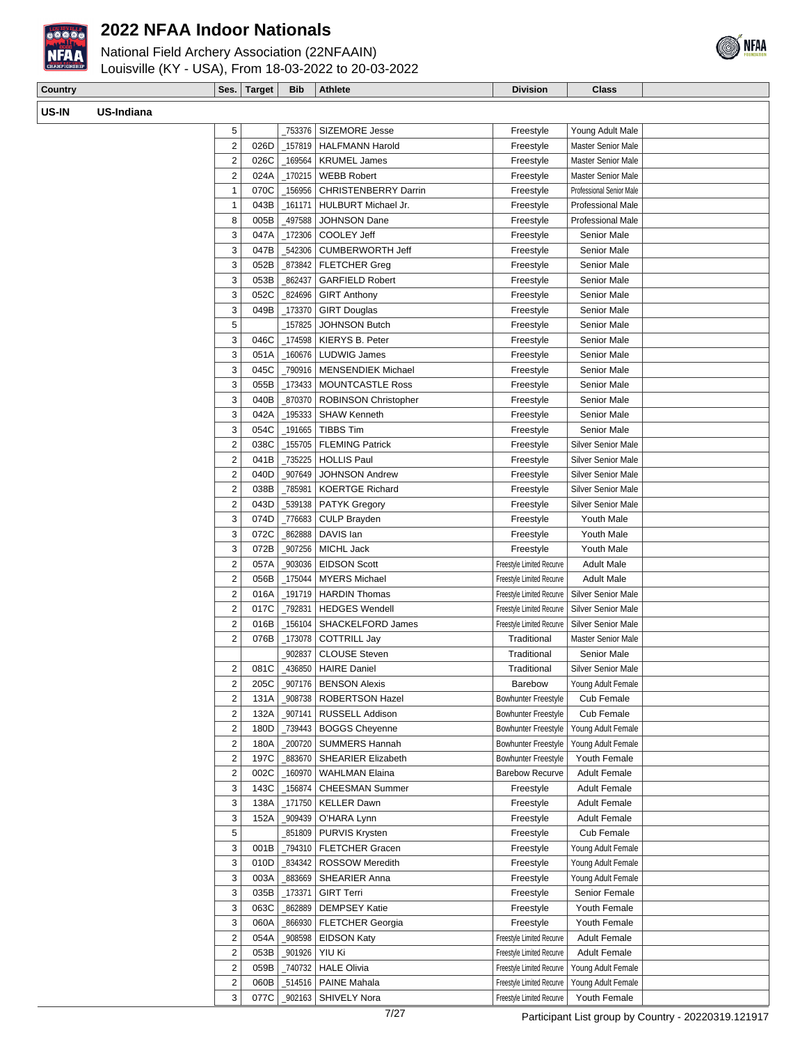

**US-I** 

#### **2022 NFAA Indoor Nationals**

National Field Archery Association (22NFAAIN) Louisville (KY - USA), From 18-03-2022 to 20-03-2022



| Country |                   | Ses.                    | Target | <b>Bib</b> | Athlete                     | <b>Division</b>           | <b>Class</b>              |  |
|---------|-------------------|-------------------------|--------|------------|-----------------------------|---------------------------|---------------------------|--|
| US-IN   | <b>US-Indiana</b> |                         |        |            |                             |                           |                           |  |
|         |                   | 5                       |        | _753376    | SIZEMORE Jesse              | Freestyle                 | Young Adult Male          |  |
|         |                   | $\overline{2}$          | 026D   | 157819     | <b>HALFMANN Harold</b>      | Freestyle                 | Master Senior Male        |  |
|         |                   | $\overline{2}$          | 026C   | 169564     | <b>KRUMEL James</b>         | Freestyle                 | Master Senior Male        |  |
|         |                   | 2                       | 024A   | 170215     | <b>WEBB Robert</b>          | Freestyle                 | <b>Master Senior Male</b> |  |
|         |                   | $\mathbf{1}$            | 070C   | 156956     | <b>CHRISTENBERRY Darrin</b> | Freestyle                 | Professional Senior Male  |  |
|         |                   | $\mathbf{1}$            | 043B   | 161171     | HULBURT Michael Jr.         | Freestyle                 | <b>Professional Male</b>  |  |
|         |                   | 8                       | 005B   | 497588     | <b>JOHNSON Dane</b>         | Freestyle                 | <b>Professional Male</b>  |  |
|         |                   | 3                       | 047A   | 172306     | COOLEY Jeff                 | Freestyle                 | Senior Male               |  |
|         |                   | 3                       | 047B   | 542306     | <b>CUMBERWORTH Jeff</b>     | Freestyle                 | Senior Male               |  |
|         |                   | 3                       | 052B   | 873842     | <b>FLETCHER Greg</b>        | Freestyle                 | Senior Male               |  |
|         |                   | 3                       | 053B   | 862437     | <b>GARFIELD Robert</b>      | Freestyle                 | Senior Male               |  |
|         |                   | 3                       | 052C   | 824696     | <b>GIRT Anthony</b>         | Freestyle                 | <b>Senior Male</b>        |  |
|         |                   | 3                       | 049B   | 173370     | <b>GIRT Douglas</b>         | Freestyle                 | <b>Senior Male</b>        |  |
|         |                   | 5                       |        | 157825     | JOHNSON Butch               | Freestyle                 | <b>Senior Male</b>        |  |
|         |                   | 3                       | 046C   | 174598     | <b>KIERYS B. Peter</b>      | Freestyle                 | Senior Male               |  |
|         |                   | 3                       | 051A   | 160676     | <b>LUDWIG James</b>         | Freestyle                 | Senior Male               |  |
|         |                   | 3                       | 045C   | 790916     | <b>MENSENDIEK Michael</b>   | Freestyle                 | <b>Senior Male</b>        |  |
|         |                   | 3                       | 055B   |            | 173433   MOUNTCASTLE Ross   | Freestyle                 | Senior Male               |  |
|         |                   | 3                       | 040B   | 870370     | ROBINSON Christopher        | Freestyle                 | <b>Senior Male</b>        |  |
|         |                   | 3                       | 042A   | 195333     | <b>SHAW Kenneth</b>         | Freestyle                 | Senior Male               |  |
|         |                   | 3                       | 054C   | 191665     | <b>TIBBS Tim</b>            | Freestyle                 | Senior Male               |  |
|         |                   | $\overline{2}$          | 038C   | 155705     | <b>FLEMING Patrick</b>      | Freestyle                 | Silver Senior Male        |  |
|         |                   | $\overline{2}$          | 041B   | 735225     | <b>HOLLIS Paul</b>          | Freestyle                 | Silver Senior Male        |  |
|         |                   | $\overline{2}$          | 040D   | 907649     | <b>JOHNSON Andrew</b>       | Freestyle                 | <b>Silver Senior Male</b> |  |
|         |                   | $\overline{2}$          | 038B   | 785981     | <b>KOERTGE Richard</b>      | Freestyle                 | Silver Senior Male        |  |
|         |                   | 2                       | 043D   | 539138     | <b>PATYK Gregory</b>        | Freestyle                 | <b>Silver Senior Male</b> |  |
|         |                   | 3                       | 074D   | 776683     | CULP Brayden                | Freestyle                 | Youth Male                |  |
|         |                   | 3                       | 072C   | 862888     | DAVIS Ian                   | Freestyle                 | Youth Male                |  |
|         |                   | 3                       | 072B   | 907256     | MICHL Jack                  | Freestyle                 | Youth Male                |  |
|         |                   | $\overline{\mathbf{c}}$ | 057A   | 903036     | <b>EIDSON Scott</b>         | Freestyle Limited Recurve | <b>Adult Male</b>         |  |
|         |                   | $\overline{2}$          | 056B   |            | 175044   MYERS Michael      | Freestyle Limited Recurve | <b>Adult Male</b>         |  |

2 016A 191719 | HARDIN Thomas Freestyle Limited Recurve | Silver Senior Male 2 017C  $Z$  017C  $Z$  792831 HEDGES Wendell Freestyle Limited Recurve Silver Senior Male 2 016B | 156104 SHACKELFORD James Freestyle Limited Recurve Silver Senior Male 2 076B 173078 COTTRILL Jay Traditional Master Senior Male

2 081C 436850 HAIRE Daniel **1988** Traditional Silver Senior Male 2 205C \_907176 BENSON Alexis | Barebow Young Adult Female 2 131A | 908738 | ROBERTSON Hazel | Bowhunter Freestyle | Cub Female 2 132A 907141 RUSSELL Addison Bowhunter Freestyle Cub Female 2 180D  $Z$  180D  $Z$  180GGS Cheyenne Bowhunter Freestyle Young Adult Female 2 180A 200720 SUMMERS Hannah Bowhunter Freestyle Young Adult Female 2 197C 883670 SHEARIER Elizabeth Bowhunter Freestyle Youth Female 2 002C | 160970 | WAHLMAN Elaina | Barebow Recurve | Adult Female 3 143C 156874 CHEESMAN Summer Freestyle Adult Female 3 138A 171750 KELLER Dawn Freestyle Adult Female 3 152A 909439 O'HARA Lynn **Freestyle Adult Female** 5 \_851809 PURVIS Krysten Freestyle Cub Female 3 001B | 794310 | FLETCHER Gracen Freestyle | Young Adult Female 3 010D  $\frac{1}{3}$  010D  $\frac{1}{3}$  ROSSOW Meredith Freestyle Young Adult Female 3 003A \_883669 SHEARIER Anna Freestyle Young Adult Female 3 035B | 173371 GIRT Terri | Freestyle Senior Female 3 063C 362889 DEMPSEY Katie Freestyle Youth Female 3 060A | 866930 | FLETCHER Georgia | Freestyle | Youth Female 2 054A 908598 EIDSON Katy Freestyle Limited Recurve Adult Female 2 053B | 901926 YIU Ki Freestyle Limited Recurve Adult Female 2 059B | 740732 | HALE Olivia Freestyle Limited Recurve | Young Adult Female 2 060B | \_514516 | PAINE Mahala Freestyle Limited Recurve | Young Adult Female 3 077C | \_902163 | SHIVELY Nora Freestyle Limited Recurve | Youth Female

[902837 CLOUSE Steven Traditional Senior Male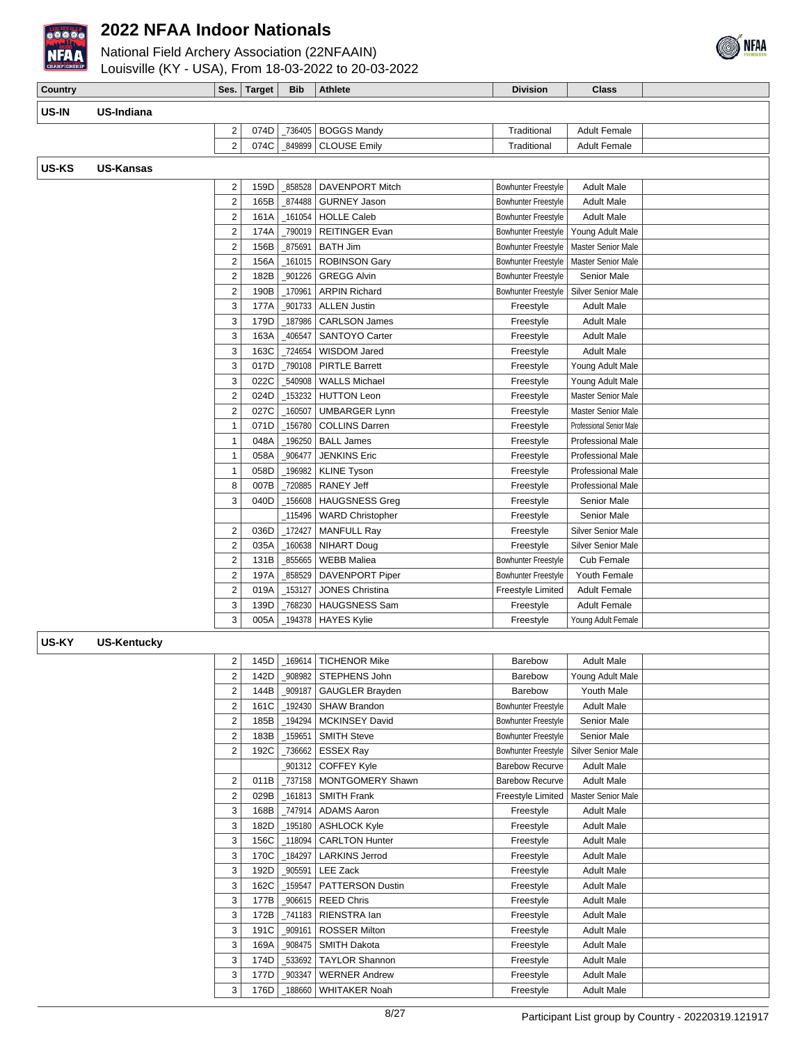

National Field Archery Association (22NFAAIN)



| CHAMPIONSHIP | Louisville (KY - USA), From 18-03-2022 to 20-03-2022 |                |             |            |                           |                                                 |                                          |  |
|--------------|------------------------------------------------------|----------------|-------------|------------|---------------------------|-------------------------------------------------|------------------------------------------|--|
| Country      |                                                      |                | Ses. Target | <b>Bib</b> | Athlete                   | <b>Division</b>                                 | <b>Class</b>                             |  |
| US-IN        | US-Indiana                                           |                |             |            |                           |                                                 |                                          |  |
|              |                                                      | 2              | 074D        |            | 736405   BOGGS Mandy      | Traditional                                     | <b>Adult Female</b>                      |  |
|              |                                                      | $\overline{2}$ | 074C        |            | 849899   CLOUSE Emily     | Traditional                                     | Adult Female                             |  |
| US-KS        | <b>US-Kansas</b>                                     |                |             |            |                           |                                                 |                                          |  |
|              |                                                      | 2              | 159D        |            | 858528   DAVENPORT Mitch  | Bowhunter Freestyle                             | <b>Adult Male</b>                        |  |
|              |                                                      | $\overline{2}$ | 165B        |            | 874488   GURNEY Jason     | Bowhunter Freestyle                             | <b>Adult Male</b>                        |  |
|              |                                                      | $\overline{2}$ | 161A        |            | 161054   HOLLE Caleb      | Bowhunter Freestyle                             | <b>Adult Male</b>                        |  |
|              |                                                      | $\overline{2}$ | 174A        |            | 790019   REITINGER Evan   | Bowhunter Freestyle                             | Young Adult Male                         |  |
|              |                                                      | 2              | 156BI       |            | 875691   BATH Jim         | Bowhunter Freestyle                             | Master Senior Male                       |  |
|              |                                                      | 2              | 156A        |            | 161015   ROBINSON Gary    |                                                 | Bowhunter Freestyle   Master Senior Male |  |
|              |                                                      | 2              | 182B        |            | 901226   GREGG Alvin      | <b>Bowhunter Freestyle</b>                      | Senior Male                              |  |
|              |                                                      | C              |             |            | 1908 170961 APPIN Richard | <b>Rowbunter Freestyle   Silver Senior Male</b> |                                          |  |

| 2              | 156A | 161015  | <b>ROBINSON Gary</b>    | <b>Bowhunter Freestyle</b> | Master Senior Male        |  |
|----------------|------|---------|-------------------------|----------------------------|---------------------------|--|
| 2              | 182B | 901226  | <b>GREGG Alvin</b>      | Bowhunter Freestyle        | Senior Male               |  |
| 2              | 190B | 170961  | <b>ARPIN Richard</b>    | <b>Bowhunter Freestvle</b> | Silver Senior Male        |  |
| 3              | 177A | 901733  | <b>ALLEN Justin</b>     | Freestyle                  | <b>Adult Male</b>         |  |
| 3              | 179D | 187986  | <b>CARLSON James</b>    | Freestyle                  | <b>Adult Male</b>         |  |
| 3              | 163A | _406547 | SANTOYO Carter          | Freestyle                  | Adult Male                |  |
| 3              | 163C | 724654  | WISDOM Jared            | Freestyle                  | Adult Male                |  |
| 3              | 017D | 790108  | <b>PIRTLE Barrett</b>   | Freestyle                  | Young Adult Male          |  |
| 3              | 022C | 540908  | <b>WALLS Michael</b>    | Freestyle                  | Young Adult Male          |  |
| $\overline{2}$ | 024D | 153232  | <b>HUTTON Leon</b>      | Freestyle                  | Master Senior Male        |  |
| 2              | 027C | 160507  | <b>UMBARGER Lynn</b>    | Freestyle                  | Master Senior Male        |  |
| 1              | 071D | _156780 | <b>COLLINS Darren</b>   | Freestyle                  | Professional Senior Male  |  |
| 1              | 048A | 196250  | <b>BALL James</b>       | Freestyle                  | Professional Male         |  |
| 1              | 058A | 906477  | <b>JENKINS Eric</b>     | Freestyle                  | Professional Male         |  |
| $\mathbf{1}$   | 058D | 196982  | <b>KLINE Tyson</b>      | Freestyle                  | <b>Professional Male</b>  |  |
| 8              | 007B | 720885  | <b>RANEY Jeff</b>       | Freestyle                  | Professional Male         |  |
| 3              | 040D | 156608  | <b>HAUGSNESS Greg</b>   | Freestyle                  | Senior Male               |  |
|                |      | 115496  | <b>WARD Christopher</b> | Freestyle                  | Senior Male               |  |
| 2              | 036D | 172427  | <b>MANFULL Ray</b>      | Freestyle                  | <b>Silver Senior Male</b> |  |
| 2              | 035A | 160638  | <b>NIHART Doug</b>      | Freestyle                  | <b>Silver Senior Male</b> |  |
| 2              | 131B | 855665  | <b>WEBB Maliea</b>      | Bowhunter Freestyle        | Cub Female                |  |
| $\overline{2}$ | 197A | 858529  | <b>DAVENPORT Piper</b>  | Bowhunter Freestyle        | Youth Female              |  |
| 2              | 019A | 153127  | <b>JONES Christina</b>  | Freestyle Limited          | <b>Adult Female</b>       |  |
| 3              | 139D | 768230  | <b>HAUGSNESS Sam</b>    | Freestyle                  | <b>Adult Female</b>       |  |
| 3              | 005A | 194378  | <b>HAYES Kylie</b>      | Freestyle                  | Young Adult Female        |  |

#### **US-KY US-Kentucky**

| 2              | 145D | 169614 | <b>TICHENOR Mike</b>    | <b>Barebow</b>             | <b>Adult Male</b>  |  |
|----------------|------|--------|-------------------------|----------------------------|--------------------|--|
| $\overline{2}$ | 142D | 908982 | STEPHENS John           | Barebow                    | Young Adult Male   |  |
| $\overline{2}$ | 144B | 909187 | GAUGLER Brayden         | Barebow                    | Youth Male         |  |
| 2              | 161C | 192430 | SHAW Brandon            | Bowhunter Freestyle        | <b>Adult Male</b>  |  |
| $\overline{2}$ | 185B | 194294 | <b>MCKINSEY David</b>   | <b>Bowhunter Freestvle</b> | Senior Male        |  |
| $\overline{2}$ | 183B | 159651 | <b>SMITH Steve</b>      | <b>Bowhunter Freestyle</b> | Senior Male        |  |
| $\overline{2}$ | 192C | 736662 | <b>ESSEX Ray</b>        | <b>Bowhunter Freestyle</b> | Silver Senior Male |  |
|                |      | 901312 | <b>COFFEY Kyle</b>      | <b>Barebow Recurve</b>     | <b>Adult Male</b>  |  |
| 2              | 011B | 737158 | <b>MONTGOMERY Shawn</b> | <b>Barebow Recurve</b>     | Adult Male         |  |
| $\overline{2}$ | 029B | 161813 | <b>SMITH Frank</b>      | Freestyle Limited          | Master Senior Male |  |
| 3              | 168B | 747914 | <b>ADAMS Aaron</b>      | Freestyle                  | <b>Adult Male</b>  |  |
| 3              | 182D | 195180 | <b>ASHLOCK Kvle</b>     | Freestyle                  | <b>Adult Male</b>  |  |
| 3              | 156C | 118094 | <b>CARLTON Hunter</b>   | Freestyle                  | <b>Adult Male</b>  |  |
| 3              | 170C | 184297 | <b>LARKINS Jerrod</b>   | Freestyle                  | <b>Adult Male</b>  |  |
| 3              | 192D | 905591 | <b>LEE Zack</b>         | Freestyle                  | <b>Adult Male</b>  |  |
| 3              | 162C | 159547 | <b>PATTERSON Dustin</b> | Freestyle                  | <b>Adult Male</b>  |  |
| 3              | 177B | 906615 | <b>REED Chris</b>       | Freestyle                  | <b>Adult Male</b>  |  |
| 3              | 172B | 741183 | RIENSTRA lan            | Freestyle                  | <b>Adult Male</b>  |  |
| 3              | 191C | 909161 | <b>ROSSER Milton</b>    | Freestyle                  | <b>Adult Male</b>  |  |
| 3              | 169A | 908475 | <b>SMITH Dakota</b>     | Freestyle                  | <b>Adult Male</b>  |  |
| 3              | 174D | 533692 | <b>TAYLOR Shannon</b>   | Freestyle                  | <b>Adult Male</b>  |  |
| 3              | 177D | 903347 | <b>WERNER Andrew</b>    | Freestyle                  | <b>Adult Male</b>  |  |
| 3              | 176D | 188660 | <b>WHITAKER Noah</b>    | Freestyle                  | <b>Adult Male</b>  |  |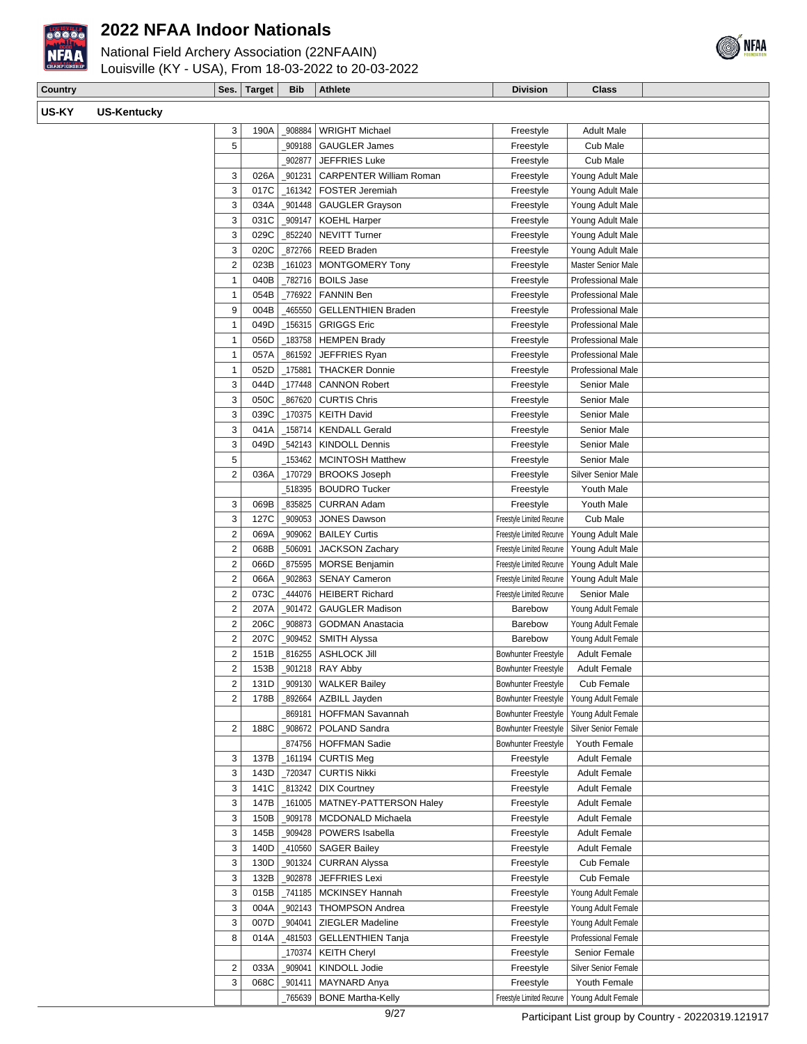



| Country |                    | Ses.           | <b>Target</b> | <b>Bib</b> | <b>Athlete</b>                 | <b>Division</b> | <b>Class</b>              |
|---------|--------------------|----------------|---------------|------------|--------------------------------|-----------------|---------------------------|
| US-KY   | <b>US-Kentucky</b> |                |               |            |                                |                 |                           |
|         |                    | 3              | 190A          | 908884     | <b>WRIGHT Michael</b>          | Freestyle       | <b>Adult Male</b>         |
|         |                    | 5              |               | 909188     | <b>GAUGLER James</b>           | Freestyle       | Cub Male                  |
|         |                    |                |               | 902877     | <b>JEFFRIES Luke</b>           | Freestyle       | Cub Male                  |
|         |                    | 3              | 026A          | 901231     | <b>CARPENTER William Roman</b> | Freestyle       | Young Adult Male          |
|         |                    | 3              | 017C          | 161342     | <b>FOSTER Jeremiah</b>         | Freestyle       | Young Adult Male          |
|         |                    | 3              | 034A          | 901448     | <b>GAUGLER Grayson</b>         | Freestyle       | Young Adult Male          |
|         |                    | 3              | 031C          | 909147     | <b>KOEHL Harper</b>            | Freestyle       | Young Adult Male          |
|         |                    | 3              | 029C          | 852240     | <b>NEVITT Turner</b>           | Freestyle       | Young Adult Male          |
|         |                    | 3              | 020C          | 872766     | <b>REED Braden</b>             | Freestyle       | Young Adult Male          |
|         |                    | $\overline{2}$ | 023B          | 161023     | <b>MONTGOMERY Tony</b>         | Freestyle       | <b>Master Senior Male</b> |
|         |                    | 1              | 040B          | 782716     | <b>BOILS Jase</b>              | Freestyle       | Professional Male         |
|         |                    |                | 054B          | 776922     | <b>FANNIN Ben</b>              | Freestyle       | Professional Male         |
|         |                    | 9              | 004B          | 465550     | <b>GELLENTHIEN Braden</b>      | Freestyle       | <b>Professional Male</b>  |
|         |                    | 1              | 049D          | 156315     | <b>GRIGGS Eric</b>             | Freestyle       | <b>Professional Male</b>  |
|         |                    | 1              | 056D          | 183758     | <b>HEMPEN Brady</b>            | Freestyle       | <b>Professional Male</b>  |
|         |                    | 1              | 057A          | 861592     | JEFFRIES Ryan                  | Freestyle       | <b>Professional Male</b>  |
|         |                    | 1              | 052D          | 175881     | <b>THACKER Donnie</b>          | Freestyle       | <b>Professional Male</b>  |
|         |                    | 3              | 044D          | 177448     | <b>CANNON Robert</b>           | Freestyle       | Senior Male               |
|         |                    | 3              | 050C          | 867620     | <b>CURTIS Chris</b>            | Freestyle       | Senior Male               |
|         |                    | 3              | 039C          | 170375     | <b>KEITH David</b>             | Freestyle       | Senior Male               |

| 3                       | 041A | 158714  | <b>KENDALL Gerald</b>    | Freestyle                  | <b>Senior Male</b>          |                                                     |
|-------------------------|------|---------|--------------------------|----------------------------|-----------------------------|-----------------------------------------------------|
| 3                       | 049D | 542143  | <b>KINDOLL Dennis</b>    | Freestyle                  | Senior Male                 |                                                     |
| 5                       |      | 153462  | <b>MCINTOSH Matthew</b>  | Freestyle                  | Senior Male                 |                                                     |
| $\overline{2}$          | 036A | 170729  | <b>BROOKS Joseph</b>     | Freestyle                  | <b>Silver Senior Male</b>   |                                                     |
|                         |      | 518395  | <b>BOUDRO</b> Tucker     | Freestyle                  | Youth Male                  |                                                     |
| 3                       | 069B | 835825  | <b>CURRAN Adam</b>       | Freestyle                  | Youth Male                  |                                                     |
| 3                       | 127C | 909053  | <b>JONES Dawson</b>      | Freestyle Limited Recurve  | Cub Male                    |                                                     |
| $\overline{2}$          | 069A | 909062  | <b>BAILEY Curtis</b>     | Freestyle Limited Recurve  | Young Adult Male            |                                                     |
| 2                       | 068B | 506091  | <b>JACKSON Zachary</b>   | Freestyle Limited Recurve  | Young Adult Male            |                                                     |
| 2                       | 066D | 875595  | <b>MORSE Benjamin</b>    | Freestyle Limited Recurve  | Young Adult Male            |                                                     |
| $\overline{2}$          | 066A | 902863  | <b>SENAY Cameron</b>     | Freestyle Limited Recurve  | Young Adult Male            |                                                     |
| $\overline{2}$          | 073C | 444076  | <b>HEIBERT Richard</b>   | Freestyle Limited Recurve  | Senior Male                 |                                                     |
| $\overline{c}$          | 207A | 901472  | <b>GAUGLER Madison</b>   | Barebow                    | Young Adult Female          |                                                     |
| 2                       | 206C | 908873  | <b>GODMAN Anastacia</b>  | <b>Barebow</b>             | Young Adult Female          |                                                     |
| $\overline{\mathbf{c}}$ | 207C | 909452  | <b>SMITH Alyssa</b>      | Barebow                    | Young Adult Female          |                                                     |
| $\overline{2}$          | 151B | 816255  | <b>ASHLOCK Jill</b>      | <b>Bowhunter Freestyle</b> | <b>Adult Female</b>         |                                                     |
| $\overline{2}$          | 153B | 901218  | RAY Abby                 | <b>Bowhunter Freestyle</b> | <b>Adult Female</b>         |                                                     |
| 2                       | 131D | 909130  | <b>WALKER Bailey</b>     | <b>Bowhunter Freestyle</b> | Cub Female                  |                                                     |
| $\overline{2}$          | 178B | 892664  | AZBILL Jayden            | Bowhunter Freestyle        | Young Adult Female          |                                                     |
|                         |      | 869181  | <b>HOFFMAN Savannah</b>  | <b>Bowhunter Freestyle</b> | Young Adult Female          |                                                     |
| $\overline{c}$          | 188C | 908672  | POLAND Sandra            | <b>Bowhunter Freestyle</b> | <b>Silver Senior Female</b> |                                                     |
|                         |      | 874756  | <b>HOFFMAN Sadie</b>     | <b>Bowhunter Freestyle</b> | Youth Female                |                                                     |
| 3                       | 137B | _161194 | <b>CURTIS Meg</b>        | Freestyle                  | <b>Adult Female</b>         |                                                     |
| 3                       | 143D | 720347  | <b>CURTIS Nikki</b>      | Freestyle                  | <b>Adult Female</b>         |                                                     |
| 3                       | 141C | 813242  | <b>DIX Courtney</b>      | Freestyle                  | <b>Adult Female</b>         |                                                     |
| 3                       | 147B | 161005  | MATNEY-PATTERSON Haley   | Freestyle                  | <b>Adult Female</b>         |                                                     |
| 3                       | 150B | 909178  | <b>MCDONALD Michaela</b> | Freestyle                  | <b>Adult Female</b>         |                                                     |
| 3                       | 145B | _909428 | POWERS Isabella          | Freestyle                  | <b>Adult Female</b>         |                                                     |
| 3                       | 140D | 410560  | <b>SAGER Bailey</b>      | Freestyle                  | <b>Adult Female</b>         |                                                     |
| 3                       | 130D | 901324  | <b>CURRAN Alyssa</b>     | Freestyle                  | Cub Female                  |                                                     |
| 3                       | 132B | 902878  | <b>JEFFRIES Lexi</b>     | Freestyle                  | Cub Female                  |                                                     |
| 3                       | 015B | 741185  | <b>MCKINSEY Hannah</b>   | Freestyle                  | Young Adult Female          |                                                     |
| 3                       | 004A | 902143  | <b>THOMPSON Andrea</b>   | Freestyle                  | Young Adult Female          |                                                     |
| 3                       | 007D | 904041  | <b>ZIEGLER Madeline</b>  | Freestyle                  | Young Adult Female          |                                                     |
| 8                       | 014A | 481503  | <b>GELLENTHIEN Tanja</b> | Freestyle                  | <b>Professional Female</b>  |                                                     |
|                         |      | 170374  | <b>KEITH Cheryl</b>      | Freestyle                  | Senior Female               |                                                     |
| 2                       | 033A | 909041  | KINDOLL Jodie            | Freestyle                  | Silver Senior Female        |                                                     |
| 3                       | 068C | _901411 | <b>MAYNARD Anya</b>      | Freestyle                  | Youth Female                |                                                     |
|                         |      | 765639  | <b>BONE Martha-Kelly</b> | Freestyle Limited Recurve  | Young Adult Female          |                                                     |
|                         |      |         | 9/27                     |                            |                             | Participant List group by Country - 20220319.121917 |
|                         |      |         |                          |                            |                             |                                                     |
|                         |      |         |                          |                            |                             |                                                     |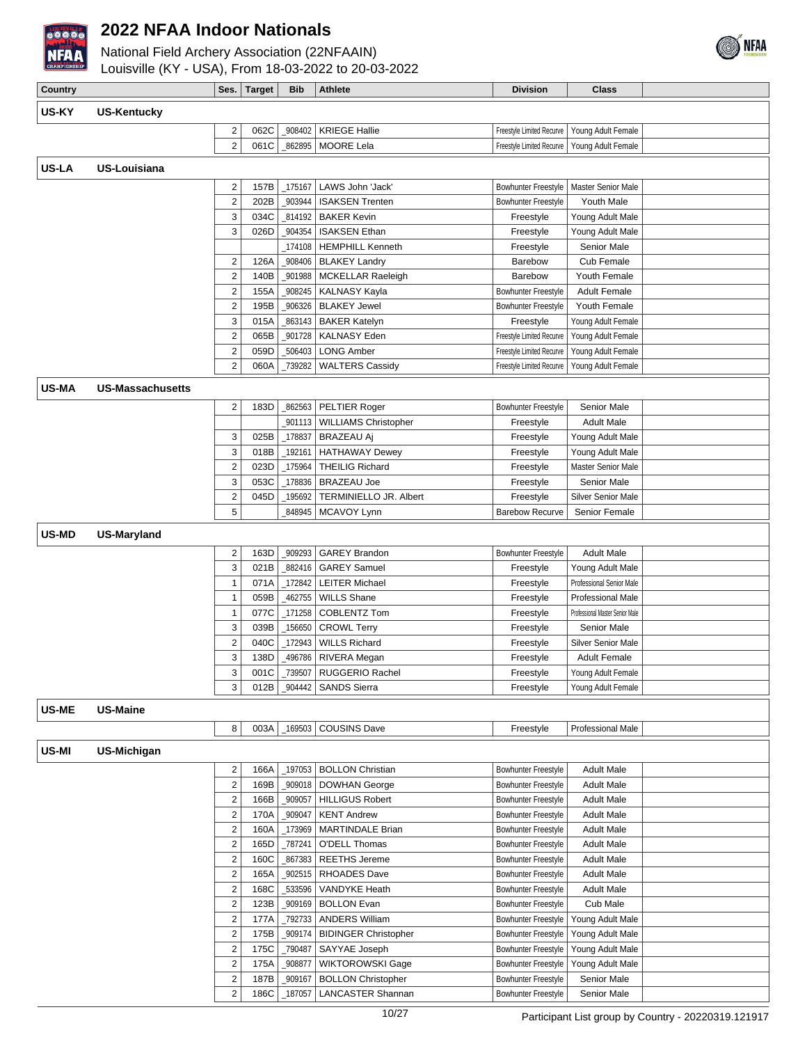

National Field Archery Association (22NFAAIN)  $m$  18-03-2022 to 20-03-2022



|              | LOUISVIIIB (KY - USA), FIOIII 18-03-2022 to 20-03-2022 |                              |               |                  |                                                   |                                                          |                                                      |  |
|--------------|--------------------------------------------------------|------------------------------|---------------|------------------|---------------------------------------------------|----------------------------------------------------------|------------------------------------------------------|--|
| Country      |                                                        | Ses.                         | <b>Target</b> | <b>Bib</b>       | <b>Athlete</b>                                    | <b>Division</b>                                          | <b>Class</b>                                         |  |
| US-KY        | <b>US-Kentucky</b>                                     |                              |               |                  |                                                   |                                                          |                                                      |  |
|              |                                                        | $\overline{2}$               | 062C          | 908402           | <b>KRIEGE Hallie</b>                              | Freestyle Limited Recurve                                | Young Adult Female                                   |  |
|              |                                                        | $\overline{2}$               | 061C          |                  | 862895   MOORE Lela                               | Freestyle Limited Recurve                                | Young Adult Female                                   |  |
|              |                                                        |                              |               |                  |                                                   |                                                          |                                                      |  |
| <b>US-LA</b> | <b>US-Louisiana</b>                                    |                              |               |                  |                                                   |                                                          |                                                      |  |
|              |                                                        | $\overline{\mathbf{c}}$      | 157B          | _175167          | LAWS John 'Jack'                                  | Bowhunter Freestyle                                      | Master Senior Male                                   |  |
|              |                                                        | $\boldsymbol{2}$             | 202B          | 903944           | <b>ISAKSEN Trenten</b>                            | <b>Bowhunter Freestyle</b>                               | Youth Male                                           |  |
|              |                                                        | 3                            | 034C          | 814192           | <b>BAKER Kevin</b>                                | Freestyle                                                | Young Adult Male                                     |  |
|              |                                                        | 3                            | 026D          | _904354          | <b>ISAKSEN Ethan</b>                              | Freestyle                                                | Young Adult Male                                     |  |
|              |                                                        |                              |               | 174108           | <b>HEMPHILL Kenneth</b>                           | Freestyle                                                | Senior Male                                          |  |
|              |                                                        | $\overline{2}$               | 126A          | 908406           | <b>BLAKEY Landry</b>                              | Barebow                                                  | Cub Female                                           |  |
|              |                                                        | $\sqrt{2}$                   | 140B          | 901988           | MCKELLAR Raeleigh                                 | Barebow                                                  | Youth Female                                         |  |
|              |                                                        | $\overline{2}$               | 155A          | 908245           | <b>KALNASY Kayla</b>                              | <b>Bowhunter Freestyle</b>                               | <b>Adult Female</b>                                  |  |
|              |                                                        | $\sqrt{2}$                   | 195B          | 906326           | <b>BLAKEY Jewel</b>                               | <b>Bowhunter Freestyle</b>                               | Youth Female                                         |  |
|              |                                                        | 3                            | 015A          | 863143           | <b>BAKER Katelyn</b>                              | Freestyle                                                | Young Adult Female                                   |  |
|              |                                                        | $\boldsymbol{2}$             | 065B          | 901728           | <b>KALNASY Eden</b>                               | Freestyle Limited Recurve                                | Young Adult Female                                   |  |
|              |                                                        | $\sqrt{2}$                   | 059D          | 506403           | <b>LONG Amber</b>                                 | Freestyle Limited Recurve                                | Young Adult Female                                   |  |
|              |                                                        | $\overline{2}$               | 060A          | 739282           | <b>WALTERS Cassidy</b>                            | Freestyle Limited Recurve                                | Young Adult Female                                   |  |
| US-MA        | <b>US-Massachusetts</b>                                |                              |               |                  |                                                   |                                                          |                                                      |  |
|              |                                                        | $\overline{\mathbf{c}}$      | 183D          | 862563           | <b>PELTIER Roger</b>                              | <b>Bowhunter Freestyle</b>                               | Senior Male                                          |  |
|              |                                                        |                              |               | 901113           | <b>WILLIAMS Christopher</b>                       | Freestyle                                                | <b>Adult Male</b>                                    |  |
|              |                                                        | 3                            | 025B          | 178837           | <b>BRAZEAU Aj</b>                                 | Freestyle                                                | Young Adult Male                                     |  |
|              |                                                        | 3                            | 018B          | 192161           | <b>HATHAWAY Dewey</b>                             | Freestyle                                                | Young Adult Male                                     |  |
|              |                                                        | $\sqrt{2}$                   | 023D          | 175964           | <b>THEILIG Richard</b>                            | Freestyle                                                | Master Senior Male                                   |  |
|              |                                                        | 3                            | 053C          | 178836           | <b>BRAZEAU Joe</b>                                | Freestyle                                                | Senior Male                                          |  |
|              |                                                        | $\mathbf 2$                  | 045D          | 195692           | TERMINIELLO JR. Albert                            | Freestyle                                                | <b>Silver Senior Male</b>                            |  |
|              |                                                        | 5                            |               | 848945           | MCAVOY Lynn                                       | <b>Barebow Recurve</b>                                   | Senior Female                                        |  |
| <b>US-MD</b> | US-Maryland                                            |                              |               |                  |                                                   |                                                          |                                                      |  |
|              |                                                        |                              |               |                  |                                                   |                                                          |                                                      |  |
|              |                                                        | $\overline{\mathbf{c}}$      | 163D          | 909293           | <b>GAREY Brandon</b>                              | <b>Bowhunter Freestyle</b>                               | <b>Adult Male</b>                                    |  |
|              |                                                        | 3                            | 021B          | 882416           | <b>GAREY Samuel</b>                               | Freestyle                                                | Young Adult Male                                     |  |
|              |                                                        | $\mathbf{1}$                 | 071A          | 172842           | <b>LEITER Michael</b>                             | Freestyle                                                | Professional Senior Male                             |  |
|              |                                                        | $\mathbf{1}$<br>$\mathbf{1}$ | 059B<br>077C  | 462755<br>171258 | <b>WILLS Shane</b><br>COBLENTZ Tom                | Freestyle                                                | Professional Male<br>Professional Master Senior Male |  |
|              |                                                        | 3                            | 039B          | 156650           | <b>CROWL Terry</b>                                | Freestyle<br>Freestyle                                   | Senior Male                                          |  |
|              |                                                        | $\mathbf 2$                  | 040C          | 172943           | <b>WILLS Richard</b>                              | Freestyle                                                | <b>Silver Senior Male</b>                            |  |
|              |                                                        | 3                            | 138D          | 496786           | RIVERA Megan                                      | Freestyle                                                | <b>Adult Female</b>                                  |  |
|              |                                                        | 3                            | 001C          | _739507          | <b>RUGGERIO Rachel</b>                            | Freestyle                                                | Young Adult Female                                   |  |
|              |                                                        | 3                            | 012B          | _904442          | <b>SANDS Sierra</b>                               | Freestyle                                                | Young Adult Female                                   |  |
|              |                                                        |                              |               |                  |                                                   |                                                          |                                                      |  |
| US-ME        | <b>US-Maine</b>                                        |                              |               |                  |                                                   |                                                          |                                                      |  |
|              |                                                        | 8                            | 003A          | _169503          | <b>COUSINS Dave</b>                               | Freestyle                                                | Professional Male                                    |  |
| US-MI        | US-Michigan                                            |                              |               |                  |                                                   |                                                          |                                                      |  |
|              |                                                        |                              |               |                  |                                                   |                                                          |                                                      |  |
|              |                                                        | 2<br>$\overline{\mathbf{c}}$ | 166A<br>169B  | _909018          | 197053   BOLLON Christian<br><b>DOWHAN George</b> | <b>Bowhunter Freestyle</b><br><b>Bowhunter Freestyle</b> | <b>Adult Male</b><br><b>Adult Male</b>               |  |
|              |                                                        | $\overline{\mathbf{c}}$      | 166B          | 909057           | <b>HILLIGUS Robert</b>                            | <b>Bowhunter Freestyle</b>                               | <b>Adult Male</b>                                    |  |
|              |                                                        | $\overline{\mathbf{c}}$      | 170A          | 909047           | <b>KENT Andrew</b>                                | <b>Bowhunter Freestyle</b>                               | <b>Adult Male</b>                                    |  |
|              |                                                        | $\overline{\mathbf{c}}$      | 160A          | _173969          | <b>MARTINDALE Brian</b>                           | Bowhunter Freestyle                                      | <b>Adult Male</b>                                    |  |
|              |                                                        | $\sqrt{2}$                   | 165D          | _787241          | O'DELL Thomas                                     | <b>Bowhunter Freestyle</b>                               | <b>Adult Male</b>                                    |  |
|              |                                                        | $\overline{\mathbf{c}}$      | 160C          | 867383           | <b>REETHS Jereme</b>                              | <b>Bowhunter Freestyle</b>                               | <b>Adult Male</b>                                    |  |
|              |                                                        | $\sqrt{2}$                   | 165A          | 902515           | <b>RHOADES Dave</b>                               | <b>Bowhunter Freestyle</b>                               | <b>Adult Male</b>                                    |  |
|              |                                                        | $\overline{\mathbf{c}}$      | 168C          | 533596           | VANDYKE Heath                                     | <b>Bowhunter Freestyle</b>                               | <b>Adult Male</b>                                    |  |
|              |                                                        | $\overline{2}$               | 123B          | _909169          | <b>BOLLON Evan</b>                                | <b>Bowhunter Freestyle</b>                               | Cub Male                                             |  |
|              |                                                        | $\overline{\mathbf{c}}$      | 177A          | _792733          | <b>ANDERS William</b>                             | <b>Bowhunter Freestyle</b>                               | Young Adult Male                                     |  |
|              |                                                        | $\overline{\mathbf{c}}$      | 175B          | _909174          | <b>BIDINGER Christopher</b>                       | <b>Bowhunter Freestyle</b>                               | Young Adult Male                                     |  |
|              |                                                        | $\overline{\mathbf{c}}$      | 175C          | _790487          | SAYYAE Joseph                                     | <b>Bowhunter Freestyle</b>                               | Young Adult Male                                     |  |
|              |                                                        | $\overline{\mathbf{c}}$      | 175A          | 908877           | WIKTOROWSKI Gage                                  | Bowhunter Freestyle                                      | Young Adult Male                                     |  |
|              |                                                        | $\boldsymbol{2}$             | 187B          | _909167          | <b>BOLLON Christopher</b>                         | Bowhunter Freestyle                                      | Senior Male                                          |  |

2 186C 187057 LANCASTER Shannan Bowhunter Freestyle Senior Male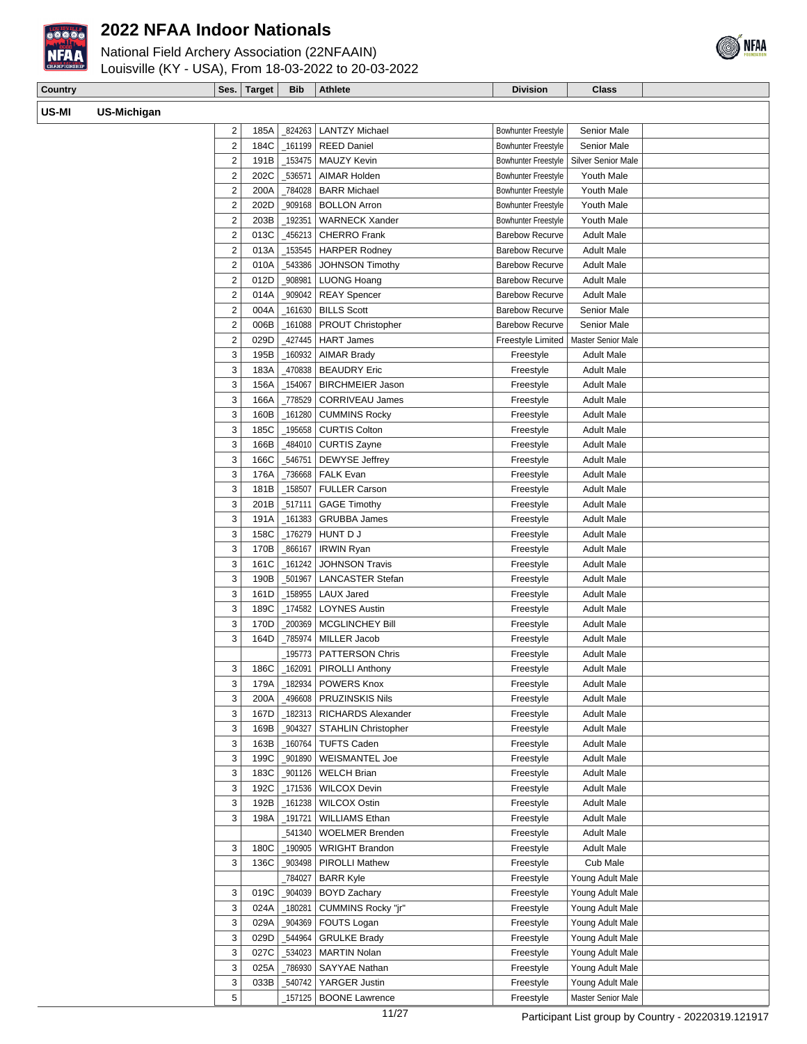

National Field Archery Association (22NFAAIN)



| CHAMPIONSHIP | Louisville (KY - USA), From 18-03-2022 to 20-03-2022 |               |            |                                |                       |          |
|--------------|------------------------------------------------------|---------------|------------|--------------------------------|-----------------------|----------|
| Country      |                                                      | Ses.   Target | <b>Bib</b> | <b>Athlete</b>                 | <b>Division</b>       | Class    |
| US-MI        | US-Michigan                                          |               |            |                                |                       |          |
|              |                                                      |               |            | 185A   824263   LANTZY Michael | Bowhunter Freestyle L | Senior M |

| 2              | 185A | 824263             | <b>LANTZY Michael</b>      | <b>Bowhunter Freestyle</b> | Senior Male                          |  |
|----------------|------|--------------------|----------------------------|----------------------------|--------------------------------------|--|
| $\overline{2}$ | 184C | 161199             | <b>REED Daniel</b>         | <b>Bowhunter Freestyle</b> | <b>Senior Male</b>                   |  |
| $\overline{2}$ | 191B | 153475             | <b>MAUZY Kevin</b>         | <b>Bowhunter Freestyle</b> | <b>Silver Senior Male</b>            |  |
| $\overline{2}$ | 202C | 536571             | AIMAR Holden               | <b>Bowhunter Freestyle</b> | Youth Male                           |  |
| $\overline{2}$ | 200A | 784028             | <b>BARR Michael</b>        | <b>Bowhunter Freestyle</b> | Youth Male                           |  |
| 2              | 202D | _909168            | <b>BOLLON Arron</b>        | <b>Bowhunter Freestyle</b> | Youth Male                           |  |
| 2              | 203B | 192351             | <b>WARNECK Xander</b>      | <b>Bowhunter Freestyle</b> | Youth Male                           |  |
| $\overline{2}$ | 013C | 456213             | <b>CHERRO Frank</b>        | <b>Barebow Recurve</b>     | <b>Adult Male</b>                    |  |
| $\overline{2}$ | 013A | 153545             | <b>HARPER Rodney</b>       | <b>Barebow Recurve</b>     | <b>Adult Male</b>                    |  |
| $\overline{2}$ | 010A | _543386            | <b>JOHNSON Timothy</b>     | <b>Barebow Recurve</b>     | <b>Adult Male</b>                    |  |
| $\overline{2}$ | 012D | 908981             | <b>LUONG Hoang</b>         | <b>Barebow Recurve</b>     | <b>Adult Male</b>                    |  |
| $\overline{2}$ | 014A | 909042             | <b>REAY Spencer</b>        | <b>Barebow Recurve</b>     | <b>Adult Male</b>                    |  |
| $\overline{2}$ | 004A | 161630             | <b>BILLS Scott</b>         | <b>Barebow Recurve</b>     | <b>Senior Male</b>                   |  |
| $\overline{2}$ | 006B | $-161088$          | <b>PROUT Christopher</b>   | <b>Barebow Recurve</b>     | <b>Senior Male</b>                   |  |
| 2              | 029D | _427445            | <b>HART James</b>          | <b>Freestyle Limited</b>   | <b>Master Senior Male</b>            |  |
| 3              | 195B | 160932             | <b>AIMAR Brady</b>         | Freestyle                  | <b>Adult Male</b>                    |  |
| 3              | 183A | 470838             | <b>BEAUDRY Eric</b>        | Freestyle                  | <b>Adult Male</b>                    |  |
| 3              | 156A | _154067            | <b>BIRCHMEIER Jason</b>    | Freestyle                  | <b>Adult Male</b>                    |  |
| 3              | 166A | 778529             | <b>CORRIVEAU James</b>     | Freestyle                  | <b>Adult Male</b>                    |  |
| 3              | 160B | $-161280$          | <b>CUMMINS Rocky</b>       | Freestyle                  | <b>Adult Male</b>                    |  |
| 3              | 185C | 195658             | <b>CURTIS Colton</b>       | Freestyle                  | <b>Adult Male</b>                    |  |
| 3              | 166B | _484010            | <b>CURTIS Zayne</b>        | Freestyle                  | <b>Adult Male</b>                    |  |
| 3              | 166C | _546751            | <b>DEWYSE Jeffrey</b>      | Freestyle                  | <b>Adult Male</b>                    |  |
| 3              | 176A | 736668             | <b>FALK Evan</b>           | Freestyle                  | <b>Adult Male</b>                    |  |
| 3              | 181B | _158507            | <b>FULLER Carson</b>       | Freestyle                  | <b>Adult Male</b>                    |  |
| 3              | 201B | 517111             | <b>GAGE Timothy</b>        | Freestyle                  | <b>Adult Male</b>                    |  |
| 3              | 191A | 161383             | <b>GRUBBA James</b>        | Freestyle                  | <b>Adult Male</b>                    |  |
| 3              | 158C | _176279            | HUNT D J                   | Freestyle                  | <b>Adult Male</b>                    |  |
| 3              | 170B | 866167             | <b>IRWIN Ryan</b>          | Freestyle                  | <b>Adult Male</b>                    |  |
| 3              | 161C | 161242             | <b>JOHNSON Travis</b>      | Freestyle                  | <b>Adult Male</b>                    |  |
| 3              | 190B | 501967             | <b>LANCASTER Stefan</b>    | Freestyle                  | <b>Adult Male</b>                    |  |
| 3              | 161D | _158955            | <b>LAUX Jared</b>          | Freestyle                  | <b>Adult Male</b>                    |  |
| 3              | 189C | 174582             | <b>LOYNES Austin</b>       | Freestyle                  | <b>Adult Male</b>                    |  |
| 3              | 170D | 200369             | <b>MCGLINCHEY Bill</b>     | Freestyle                  | <b>Adult Male</b>                    |  |
| 3              | 164D | 785974             | <b>MILLER Jacob</b>        | Freestyle                  | <b>Adult Male</b>                    |  |
|                |      | _195773            | <b>PATTERSON Chris</b>     | Freestyle                  | <b>Adult Male</b>                    |  |
| 3              | 186C | _162091            | <b>PIROLLI Anthony</b>     | Freestyle                  | <b>Adult Male</b>                    |  |
| 3              | 179A | 182934             | <b>POWERS Knox</b>         | Freestyle                  | <b>Adult Male</b>                    |  |
| 3              | 200A | 496608             | <b>PRUZINSKIS Nils</b>     | Freestyle                  | <b>Adult Male</b>                    |  |
| 3              | 167D | _182313            | RICHARDS Alexander         | Freestyle                  | Adult Male                           |  |
| 3              | 169B | 904327             | <b>STAHLIN Christopher</b> | Freestyle                  | Adult Male                           |  |
| 3              | 163B | _160764            | <b>TUFTS Caden</b>         | Freestyle                  | Adult Male                           |  |
| 3              | 199C | 901890             | WEISMANTEL Joe             | Freestyle                  | <b>Adult Male</b>                    |  |
| 3              | 183C | 901126             | <b>WELCH Brian</b>         | Freestyle                  | Adult Male                           |  |
| 3              | 192C | _171536            | <b>WILCOX Devin</b>        | Freestyle                  | <b>Adult Male</b>                    |  |
| 3              | 192B | _161238            | <b>WILCOX Ostin</b>        | Freestyle                  | <b>Adult Male</b>                    |  |
| 3              | 198A | _191721            | <b>WILLIAMS Ethan</b>      | Freestyle                  | Adult Male                           |  |
|                |      | 541340             | <b>WOELMER Brenden</b>     | Freestyle                  | Adult Male                           |  |
| 3              | 180C | _190905            | <b>WRIGHT Brandon</b>      | Freestyle                  | Adult Male                           |  |
| 3              | 136C | 903498             | PIROLLI Mathew             | Freestyle                  | Cub Male                             |  |
|                |      |                    | <b>BARR Kyle</b>           | Freestyle                  |                                      |  |
| 3              | 019C | _784027<br>_904039 | <b>BOYD Zachary</b>        |                            | Young Adult Male<br>Young Adult Male |  |
| 3              | 024A | 180281             | CUMMINS Rocky "jr"         | Freestyle                  |                                      |  |
|                |      |                    |                            | Freestyle                  | Young Adult Male                     |  |
| 3              | 029A | 904369             | FOUTS Logan                | Freestyle                  | Young Adult Male                     |  |
| 3              | 029D | _544964            | <b>GRULKE Brady</b>        | Freestyle                  | Young Adult Male                     |  |
| 3              | 027C | _534023            | <b>MARTIN Nolan</b>        | Freestyle                  | Young Adult Male                     |  |
| 3              | 025A | 786930             | SAYYAE Nathan              | Freestyle                  | Young Adult Male                     |  |
| 3              | 033B | 540742             | YARGER Justin              | Freestyle                  | Young Adult Male                     |  |
| 5              |      | 157125             | <b>BOONE Lawrence</b>      | Freestyle                  | Master Senior Male                   |  |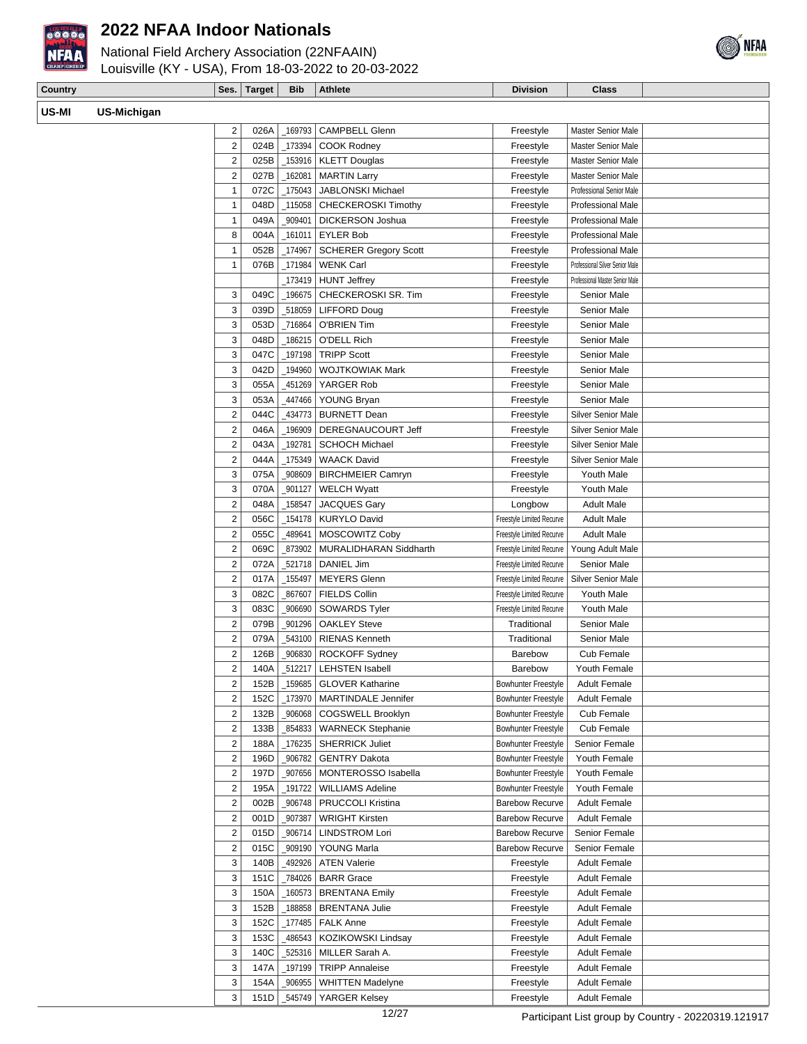

National Field Archery Association (22NFAAIN)



| CHAMPIONSKIP | Louisville (KY - USA), From 18-03-2022 to 20-03-2022 |                     |                |                 |       |
|--------------|------------------------------------------------------|---------------------|----------------|-----------------|-------|
| Country      |                                                      | Ses.   Target   Bib | <b>Athlete</b> | <b>Division</b> | Class |
| US-MI        | US-Michigan                                          |                     |                |                 |       |

| US-Michigan |                         |              |                    |                                          |                            |                                            |  |
|-------------|-------------------------|--------------|--------------------|------------------------------------------|----------------------------|--------------------------------------------|--|
|             | 2                       | 026A         | _169793            | <b>CAMPBELL Glenn</b>                    | Freestyle                  | <b>Master Senior Male</b>                  |  |
|             | $\overline{2}$          | 024B         | $\_173394$         | <b>COOK Rodney</b>                       | Freestyle                  | <b>Master Senior Male</b>                  |  |
|             | $\mathbf 2$             | 025B         | _153916            | <b>KLETT Douglas</b>                     | Freestyle                  | <b>Master Senior Male</b>                  |  |
|             | 2                       | 027B         | $-162081$          | <b>MARTIN Larry</b>                      | Freestyle                  | <b>Master Senior Male</b>                  |  |
|             | 1                       | 072C         | $-175043$          | JABLONSKI Michael                        | Freestyle                  | Professional Senior Male                   |  |
|             | $\mathbf{1}$            | 048D         | _115058            | <b>CHECKEROSKI Timothy</b>               | Freestyle                  | <b>Professional Male</b>                   |  |
|             | 1                       | 049A         | 909401             | <b>DICKERSON Joshua</b>                  | Freestyle                  | Professional Male                          |  |
|             | 8                       | 004A         | _161011            | <b>EYLER Bob</b>                         | Freestyle                  | Professional Male                          |  |
|             | 1                       | 052B         | _174967            | <b>SCHERER Gregory Scott</b>             | Freestyle                  | <b>Professional Male</b>                   |  |
|             | 1                       | 076B         | _171984            | <b>WENK Carl</b>                         | Freestyle                  | Professional Silver Senior Male            |  |
|             |                         |              | _173419            | <b>HUNT Jeffrey</b>                      | Freestyle                  | Professional Master Senior Male            |  |
|             | 3                       | 049C         | _196675            | CHECKEROSKI SR. Tim                      | Freestyle                  | Senior Male                                |  |
|             | 3                       | 039D         | _518059            | LIFFORD Doug                             | Freestyle                  | Senior Male                                |  |
|             | 3                       | 053D         | _716864            | O'BRIEN Tim                              | Freestyle                  | Senior Male                                |  |
|             | 3                       | 048D         | _186215            | O'DELL Rich                              | Freestyle                  | Senior Male                                |  |
|             | 3                       |              |                    | <b>TRIPP Scott</b>                       |                            | Senior Male                                |  |
|             |                         | 047C         | _197198            |                                          | Freestyle                  |                                            |  |
|             | 3                       | 042D         | _194960            | <b>WOJTKOWIAK Mark</b>                   | Freestyle                  | Senior Male                                |  |
|             | 3                       | 055A         | 451269             | YARGER Rob                               | Freestyle                  | Senior Male                                |  |
|             | 3                       | 053A         | 447466             | YOUNG Bryan                              | Freestyle                  | <b>Senior Male</b>                         |  |
|             | $\overline{2}$          | 044C         | 434773             | <b>BURNETT Dean</b>                      | Freestyle                  | <b>Silver Senior Male</b>                  |  |
|             | $\overline{\mathbf{c}}$ | 046A         | _196909            | DEREGNAUCOURT Jeff                       | Freestyle                  | <b>Silver Senior Male</b>                  |  |
|             | 2                       | 043A         | $-192781$          | <b>SCHOCH Michael</b>                    | Freestyle                  | <b>Silver Senior Male</b>                  |  |
|             | 2                       | 044A         | _175349            | <b>WAACK David</b>                       | Freestyle                  | Silver Senior Male                         |  |
|             | 3                       | 075A         | 908609             | <b>BIRCHMEIER Camryn</b>                 | Freestyle                  | Youth Male                                 |  |
|             | 3                       | 070A         | 901127             | <b>WELCH Wyatt</b>                       | Freestyle                  | Youth Male                                 |  |
|             | $\overline{2}$          | 048A         | 158547             | <b>JACQUES Gary</b>                      | Longbow                    | <b>Adult Male</b>                          |  |
|             | $\overline{2}$          | 056C         | _154178            | <b>KURYLO David</b>                      | Freestyle Limited Recurve  | <b>Adult Male</b>                          |  |
|             | $\overline{2}$          | 055C         | 489641             | MOSCOWITZ Coby                           | Freestyle Limited Recurve  | <b>Adult Male</b>                          |  |
|             | $\overline{2}$          | 069C         | 873902             | MURALIDHARAN Siddharth                   | Freestyle Limited Recurve  | Young Adult Male                           |  |
|             | $\overline{2}$          | 072A         |                    | _521718   DANIEL Jim                     | Freestyle Limited Recurve  | Senior Male                                |  |
|             | $\overline{2}$          | 017A         | $-155497$          | <b>MEYERS Glenn</b>                      | Freestyle Limited Recurve  | Silver Senior Male                         |  |
|             | 3                       | 082C         | 867607             | <b>FIELDS Collin</b>                     | Freestyle Limited Recurve  | Youth Male                                 |  |
|             | 3                       | 083C         | _906690            | <b>SOWARDS Tyler</b>                     | Freestyle Limited Recurve  | Youth Male                                 |  |
|             | $\overline{2}$          | 079B         | _901296            | <b>OAKLEY Steve</b>                      | Traditional                | Senior Male                                |  |
|             | $\overline{2}$          | 079A         | 543100             | <b>RIENAS Kenneth</b>                    | Traditional                | Senior Male                                |  |
|             | $\overline{2}$          | 126B         | 906830             | <b>ROCKOFF Sydney</b>                    | Barebow                    | Cub Female                                 |  |
|             | 2                       | 140A         |                    |                                          |                            |                                            |  |
|             |                         |              | $-512217$          | <b>LEHSTEN Isabell</b>                   | Barebow                    | Youth Female                               |  |
|             | $\overline{2}$          | 152B         |                    | _159685   GLOVER Katharine               | <b>Bowhunter Freestyle</b> | <b>Adult Female</b>                        |  |
|             | $\overline{\mathbf{c}}$ | 152C         |                    | _173970   MARTINDALE Jennifer            | Bowhunter Freestyle        | <b>Adult Female</b>                        |  |
|             | $\overline{\mathbf{c}}$ | 132B         |                    | _906068   COGSWELL Brooklyn              | <b>Bowhunter Freestyle</b> | Cub Female                                 |  |
|             | 2                       | 133B         | _854833            | <b>WARNECK Stephanie</b>                 | Bowhunter Freestyle        | Cub Female                                 |  |
|             | 2                       | 188A         |                    | _176235 SHERRICK Juliet                  | Bowhunter Freestyle        | Senior Female                              |  |
|             | $\overline{2}$          | 196D         | _906782            | <b>GENTRY Dakota</b>                     | <b>Bowhunter Freestyle</b> | Youth Female                               |  |
|             | $\overline{\mathbf{c}}$ | 197D         |                    | _907656   MONTEROSSO Isabella            | <b>Bowhunter Freestyle</b> | Youth Female                               |  |
|             | $\overline{c}$          | 195A         |                    | _191722   WILLIAMS Adeline               | <b>Bowhunter Freestyle</b> | Youth Female                               |  |
|             | $\overline{c}$          | 002B         |                    | _906748   PRUCCOLI Kristina              | <b>Barebow Recurve</b>     | <b>Adult Female</b>                        |  |
|             | $\overline{\mathbf{c}}$ | 001D         | _907387            | <b>WRIGHT Kirsten</b>                    | <b>Barebow Recurve</b>     | <b>Adult Female</b>                        |  |
|             | $\overline{\mathbf{c}}$ | 015D         | _906714            | <b>LINDSTROM Lori</b>                    | <b>Barebow Recurve</b>     | Senior Female                              |  |
|             | $\overline{\mathbf{c}}$ | 015C         | _909190            | YOUNG Marla                              | <b>Barebow Recurve</b>     | Senior Female                              |  |
|             | 3                       | 140B         | 492926             | <b>ATEN Valerie</b>                      | Freestyle                  | <b>Adult Female</b>                        |  |
|             | 3                       | 151C         |                    | _784026   BARR Grace                     | Freestyle                  | <b>Adult Female</b>                        |  |
|             | 3                       | 150A         |                    | _160573   BRENTANA Emily                 | Freestyle                  | <b>Adult Female</b>                        |  |
|             | 3                       | 152B         |                    | _188858 BRENTANA Julie                   | Freestyle                  | <b>Adult Female</b>                        |  |
|             | 3                       |              |                    |                                          |                            |                                            |  |
|             |                         | 152C         |                    | $_1$ 177485   FALK Anne                  | Freestyle                  | <b>Adult Female</b>                        |  |
|             | 3<br>3                  | 153C         |                    | <sub>-</sub> 486543   KOZIKOWSKI Lindsay | Freestyle                  | <b>Adult Female</b>                        |  |
|             | 3                       | 140C<br>147A | _525316<br>_197199 | MILLER Sarah A.<br>TRIPP Annaleise       | Freestyle<br>Freestyle     | <b>Adult Female</b><br><b>Adult Female</b> |  |

3 151D \_545749 YARGER Kelsey Freestyle Adult Female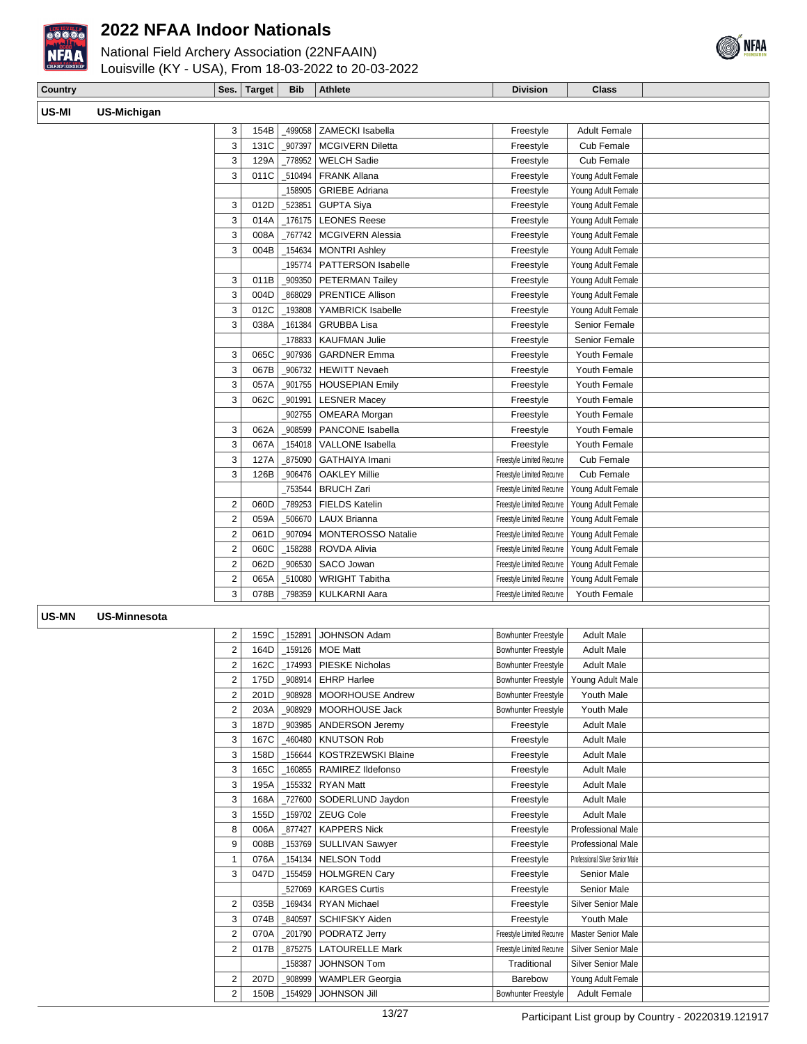

# National Field Archery Association (22NFAAIN)



Louisville (KY - USA), From 18-03-2022 to 20-03-2022

| Country |             | ' Ses. | <b>Target</b> | <b>Bib</b> | Athlete | <b>Division</b> | <b>Class</b> |  |
|---------|-------------|--------|---------------|------------|---------|-----------------|--------------|--|
| US-MI   | US-Michigan |        |               |            |         |                 |              |  |

| 3<br>131C<br>907397<br><b>MCGIVERN Diletta</b><br>Freestyle<br>Cub Female<br>3<br>Cub Female<br>129A<br><b>WELCH Sadie</b><br>Freestyle<br>778952<br>3<br>011C<br><b>FRANK Allana</b><br>Freestyle<br>Young Adult Female<br>510494<br>$\_158905$<br>Freestyle<br>Young Adult Female<br><b>GRIEBE Adriana</b><br>3<br>012D<br>Freestyle<br>Young Adult Female<br>523851<br><b>GUPTA Siya</b><br>3<br>014A<br>176175   LEONES Reese<br>Young Adult Female<br>Freestyle<br>3<br>008A<br>767742   MCGIVERN Alessia<br>Young Adult Female<br>Freestyle<br>3<br>004B<br>154634<br>Freestyle<br>Young Adult Female<br><b>MONTRI Ashley</b><br>195774<br><b>PATTERSON Isabelle</b><br>Freestyle<br>Young Adult Female<br>3<br>011B<br>909350<br>Freestyle<br>Young Adult Female<br><b>PETERMAN Tailey</b><br>3<br>868029   PRENTICE Allison<br>004D<br>Freestyle<br>Young Adult Female<br>3<br>012C<br>YAMBRICK Isabelle<br>Freestyle<br>Young Adult Female<br>$-193808$<br>Senior Female<br>3<br>038A<br><b>GRUBBA Lisa</b><br>Freestyle<br>161384<br>Senior Female<br>$-178833$<br><b>KAUFMAN Julie</b><br>Freestyle<br>3<br>065C<br>907936<br>Freestyle<br>Youth Female<br><b>GARDNER Emma</b><br>3<br>067B<br>906732<br><b>HEWITT Nevaeh</b><br>Youth Female<br>Freestyle<br>3<br>Youth Female<br>057A<br>_901755   HOUSEPIAN Emily<br>Freestyle<br>3<br>062C<br>Freestyle<br>Youth Female<br>901991   LESNER Macey<br>902755<br>Youth Female<br><b>OMEARA</b> Morgan<br>Freestyle<br>062A<br>PANCONE Isabella<br>Youth Female<br>3<br>_908599<br>Freestyle<br>3<br>067A<br>Youth Female<br>154018   VALLONE Isabella<br>Freestyle<br>3<br>127A<br>875090<br><b>GATHAIYA Imani</b><br>Freestyle Limited Recurve<br>Cub Female<br>Cub Female<br>3<br>126B<br>906476<br><b>OAKLEY Millie</b><br>Freestyle Limited Recurve<br><b>BRUCH Zari</b><br>753544<br>Freestyle Limited Recurve<br>Young Adult Female<br>$\overline{2}$<br>060D<br>_789253<br><b>FIELDS Katelin</b><br>Freestyle Limited Recurve<br>Young Adult Female<br>2<br>059A<br>LAUX Brianna<br>Freestyle Limited Recurve<br>Young Adult Female<br>506670<br>2<br>061D<br>Freestyle Limited Recurve<br>Young Adult Female<br>907094<br>MONTEROSSO Natalie<br>$\overline{2}$<br>060C<br>$-158288$<br>Young Adult Female<br>ROVDA Alivia<br>Freestyle Limited Recurve<br>$\overline{2}$<br>Freestyle Limited Recurve<br>Young Adult Female<br>062D<br>906530<br>SACO Jowan<br>$\overline{2}$<br>065A<br><b>WRIGHT Tabitha</b><br>Young Adult Female<br>510080<br>Freestyle Limited Recurve<br>3<br>Youth Female<br>078B<br>798359<br>KULKARNI Aara<br>Freestyle Limited Recurve | 3 | 154B | 499058 ZAMECKI Isabella | Freestyle | <b>Adult Female</b> |  |
|--------------------------------------------------------------------------------------------------------------------------------------------------------------------------------------------------------------------------------------------------------------------------------------------------------------------------------------------------------------------------------------------------------------------------------------------------------------------------------------------------------------------------------------------------------------------------------------------------------------------------------------------------------------------------------------------------------------------------------------------------------------------------------------------------------------------------------------------------------------------------------------------------------------------------------------------------------------------------------------------------------------------------------------------------------------------------------------------------------------------------------------------------------------------------------------------------------------------------------------------------------------------------------------------------------------------------------------------------------------------------------------------------------------------------------------------------------------------------------------------------------------------------------------------------------------------------------------------------------------------------------------------------------------------------------------------------------------------------------------------------------------------------------------------------------------------------------------------------------------------------------------------------------------------------------------------------------------------------------------------------------------------------------------------------------------------------------------------------------------------------------------------------------------------------------------------------------------------------------------------------------------------------------------------------------------------------------------------------------------------------------------------------------------------------------------------------------------------------------------------------------------------------------------------------------------------------------------------------------------------------------------|---|------|-------------------------|-----------|---------------------|--|
|                                                                                                                                                                                                                                                                                                                                                                                                                                                                                                                                                                                                                                                                                                                                                                                                                                                                                                                                                                                                                                                                                                                                                                                                                                                                                                                                                                                                                                                                                                                                                                                                                                                                                                                                                                                                                                                                                                                                                                                                                                                                                                                                                                                                                                                                                                                                                                                                                                                                                                                                                                                                                                      |   |      |                         |           |                     |  |
|                                                                                                                                                                                                                                                                                                                                                                                                                                                                                                                                                                                                                                                                                                                                                                                                                                                                                                                                                                                                                                                                                                                                                                                                                                                                                                                                                                                                                                                                                                                                                                                                                                                                                                                                                                                                                                                                                                                                                                                                                                                                                                                                                                                                                                                                                                                                                                                                                                                                                                                                                                                                                                      |   |      |                         |           |                     |  |
|                                                                                                                                                                                                                                                                                                                                                                                                                                                                                                                                                                                                                                                                                                                                                                                                                                                                                                                                                                                                                                                                                                                                                                                                                                                                                                                                                                                                                                                                                                                                                                                                                                                                                                                                                                                                                                                                                                                                                                                                                                                                                                                                                                                                                                                                                                                                                                                                                                                                                                                                                                                                                                      |   |      |                         |           |                     |  |
|                                                                                                                                                                                                                                                                                                                                                                                                                                                                                                                                                                                                                                                                                                                                                                                                                                                                                                                                                                                                                                                                                                                                                                                                                                                                                                                                                                                                                                                                                                                                                                                                                                                                                                                                                                                                                                                                                                                                                                                                                                                                                                                                                                                                                                                                                                                                                                                                                                                                                                                                                                                                                                      |   |      |                         |           |                     |  |
|                                                                                                                                                                                                                                                                                                                                                                                                                                                                                                                                                                                                                                                                                                                                                                                                                                                                                                                                                                                                                                                                                                                                                                                                                                                                                                                                                                                                                                                                                                                                                                                                                                                                                                                                                                                                                                                                                                                                                                                                                                                                                                                                                                                                                                                                                                                                                                                                                                                                                                                                                                                                                                      |   |      |                         |           |                     |  |
|                                                                                                                                                                                                                                                                                                                                                                                                                                                                                                                                                                                                                                                                                                                                                                                                                                                                                                                                                                                                                                                                                                                                                                                                                                                                                                                                                                                                                                                                                                                                                                                                                                                                                                                                                                                                                                                                                                                                                                                                                                                                                                                                                                                                                                                                                                                                                                                                                                                                                                                                                                                                                                      |   |      |                         |           |                     |  |
|                                                                                                                                                                                                                                                                                                                                                                                                                                                                                                                                                                                                                                                                                                                                                                                                                                                                                                                                                                                                                                                                                                                                                                                                                                                                                                                                                                                                                                                                                                                                                                                                                                                                                                                                                                                                                                                                                                                                                                                                                                                                                                                                                                                                                                                                                                                                                                                                                                                                                                                                                                                                                                      |   |      |                         |           |                     |  |
|                                                                                                                                                                                                                                                                                                                                                                                                                                                                                                                                                                                                                                                                                                                                                                                                                                                                                                                                                                                                                                                                                                                                                                                                                                                                                                                                                                                                                                                                                                                                                                                                                                                                                                                                                                                                                                                                                                                                                                                                                                                                                                                                                                                                                                                                                                                                                                                                                                                                                                                                                                                                                                      |   |      |                         |           |                     |  |
|                                                                                                                                                                                                                                                                                                                                                                                                                                                                                                                                                                                                                                                                                                                                                                                                                                                                                                                                                                                                                                                                                                                                                                                                                                                                                                                                                                                                                                                                                                                                                                                                                                                                                                                                                                                                                                                                                                                                                                                                                                                                                                                                                                                                                                                                                                                                                                                                                                                                                                                                                                                                                                      |   |      |                         |           |                     |  |
|                                                                                                                                                                                                                                                                                                                                                                                                                                                                                                                                                                                                                                                                                                                                                                                                                                                                                                                                                                                                                                                                                                                                                                                                                                                                                                                                                                                                                                                                                                                                                                                                                                                                                                                                                                                                                                                                                                                                                                                                                                                                                                                                                                                                                                                                                                                                                                                                                                                                                                                                                                                                                                      |   |      |                         |           |                     |  |
|                                                                                                                                                                                                                                                                                                                                                                                                                                                                                                                                                                                                                                                                                                                                                                                                                                                                                                                                                                                                                                                                                                                                                                                                                                                                                                                                                                                                                                                                                                                                                                                                                                                                                                                                                                                                                                                                                                                                                                                                                                                                                                                                                                                                                                                                                                                                                                                                                                                                                                                                                                                                                                      |   |      |                         |           |                     |  |
|                                                                                                                                                                                                                                                                                                                                                                                                                                                                                                                                                                                                                                                                                                                                                                                                                                                                                                                                                                                                                                                                                                                                                                                                                                                                                                                                                                                                                                                                                                                                                                                                                                                                                                                                                                                                                                                                                                                                                                                                                                                                                                                                                                                                                                                                                                                                                                                                                                                                                                                                                                                                                                      |   |      |                         |           |                     |  |
|                                                                                                                                                                                                                                                                                                                                                                                                                                                                                                                                                                                                                                                                                                                                                                                                                                                                                                                                                                                                                                                                                                                                                                                                                                                                                                                                                                                                                                                                                                                                                                                                                                                                                                                                                                                                                                                                                                                                                                                                                                                                                                                                                                                                                                                                                                                                                                                                                                                                                                                                                                                                                                      |   |      |                         |           |                     |  |
|                                                                                                                                                                                                                                                                                                                                                                                                                                                                                                                                                                                                                                                                                                                                                                                                                                                                                                                                                                                                                                                                                                                                                                                                                                                                                                                                                                                                                                                                                                                                                                                                                                                                                                                                                                                                                                                                                                                                                                                                                                                                                                                                                                                                                                                                                                                                                                                                                                                                                                                                                                                                                                      |   |      |                         |           |                     |  |
|                                                                                                                                                                                                                                                                                                                                                                                                                                                                                                                                                                                                                                                                                                                                                                                                                                                                                                                                                                                                                                                                                                                                                                                                                                                                                                                                                                                                                                                                                                                                                                                                                                                                                                                                                                                                                                                                                                                                                                                                                                                                                                                                                                                                                                                                                                                                                                                                                                                                                                                                                                                                                                      |   |      |                         |           |                     |  |
|                                                                                                                                                                                                                                                                                                                                                                                                                                                                                                                                                                                                                                                                                                                                                                                                                                                                                                                                                                                                                                                                                                                                                                                                                                                                                                                                                                                                                                                                                                                                                                                                                                                                                                                                                                                                                                                                                                                                                                                                                                                                                                                                                                                                                                                                                                                                                                                                                                                                                                                                                                                                                                      |   |      |                         |           |                     |  |
|                                                                                                                                                                                                                                                                                                                                                                                                                                                                                                                                                                                                                                                                                                                                                                                                                                                                                                                                                                                                                                                                                                                                                                                                                                                                                                                                                                                                                                                                                                                                                                                                                                                                                                                                                                                                                                                                                                                                                                                                                                                                                                                                                                                                                                                                                                                                                                                                                                                                                                                                                                                                                                      |   |      |                         |           |                     |  |
|                                                                                                                                                                                                                                                                                                                                                                                                                                                                                                                                                                                                                                                                                                                                                                                                                                                                                                                                                                                                                                                                                                                                                                                                                                                                                                                                                                                                                                                                                                                                                                                                                                                                                                                                                                                                                                                                                                                                                                                                                                                                                                                                                                                                                                                                                                                                                                                                                                                                                                                                                                                                                                      |   |      |                         |           |                     |  |
|                                                                                                                                                                                                                                                                                                                                                                                                                                                                                                                                                                                                                                                                                                                                                                                                                                                                                                                                                                                                                                                                                                                                                                                                                                                                                                                                                                                                                                                                                                                                                                                                                                                                                                                                                                                                                                                                                                                                                                                                                                                                                                                                                                                                                                                                                                                                                                                                                                                                                                                                                                                                                                      |   |      |                         |           |                     |  |
|                                                                                                                                                                                                                                                                                                                                                                                                                                                                                                                                                                                                                                                                                                                                                                                                                                                                                                                                                                                                                                                                                                                                                                                                                                                                                                                                                                                                                                                                                                                                                                                                                                                                                                                                                                                                                                                                                                                                                                                                                                                                                                                                                                                                                                                                                                                                                                                                                                                                                                                                                                                                                                      |   |      |                         |           |                     |  |
|                                                                                                                                                                                                                                                                                                                                                                                                                                                                                                                                                                                                                                                                                                                                                                                                                                                                                                                                                                                                                                                                                                                                                                                                                                                                                                                                                                                                                                                                                                                                                                                                                                                                                                                                                                                                                                                                                                                                                                                                                                                                                                                                                                                                                                                                                                                                                                                                                                                                                                                                                                                                                                      |   |      |                         |           |                     |  |
|                                                                                                                                                                                                                                                                                                                                                                                                                                                                                                                                                                                                                                                                                                                                                                                                                                                                                                                                                                                                                                                                                                                                                                                                                                                                                                                                                                                                                                                                                                                                                                                                                                                                                                                                                                                                                                                                                                                                                                                                                                                                                                                                                                                                                                                                                                                                                                                                                                                                                                                                                                                                                                      |   |      |                         |           |                     |  |
|                                                                                                                                                                                                                                                                                                                                                                                                                                                                                                                                                                                                                                                                                                                                                                                                                                                                                                                                                                                                                                                                                                                                                                                                                                                                                                                                                                                                                                                                                                                                                                                                                                                                                                                                                                                                                                                                                                                                                                                                                                                                                                                                                                                                                                                                                                                                                                                                                                                                                                                                                                                                                                      |   |      |                         |           |                     |  |
|                                                                                                                                                                                                                                                                                                                                                                                                                                                                                                                                                                                                                                                                                                                                                                                                                                                                                                                                                                                                                                                                                                                                                                                                                                                                                                                                                                                                                                                                                                                                                                                                                                                                                                                                                                                                                                                                                                                                                                                                                                                                                                                                                                                                                                                                                                                                                                                                                                                                                                                                                                                                                                      |   |      |                         |           |                     |  |
|                                                                                                                                                                                                                                                                                                                                                                                                                                                                                                                                                                                                                                                                                                                                                                                                                                                                                                                                                                                                                                                                                                                                                                                                                                                                                                                                                                                                                                                                                                                                                                                                                                                                                                                                                                                                                                                                                                                                                                                                                                                                                                                                                                                                                                                                                                                                                                                                                                                                                                                                                                                                                                      |   |      |                         |           |                     |  |
|                                                                                                                                                                                                                                                                                                                                                                                                                                                                                                                                                                                                                                                                                                                                                                                                                                                                                                                                                                                                                                                                                                                                                                                                                                                                                                                                                                                                                                                                                                                                                                                                                                                                                                                                                                                                                                                                                                                                                                                                                                                                                                                                                                                                                                                                                                                                                                                                                                                                                                                                                                                                                                      |   |      |                         |           |                     |  |
|                                                                                                                                                                                                                                                                                                                                                                                                                                                                                                                                                                                                                                                                                                                                                                                                                                                                                                                                                                                                                                                                                                                                                                                                                                                                                                                                                                                                                                                                                                                                                                                                                                                                                                                                                                                                                                                                                                                                                                                                                                                                                                                                                                                                                                                                                                                                                                                                                                                                                                                                                                                                                                      |   |      |                         |           |                     |  |
|                                                                                                                                                                                                                                                                                                                                                                                                                                                                                                                                                                                                                                                                                                                                                                                                                                                                                                                                                                                                                                                                                                                                                                                                                                                                                                                                                                                                                                                                                                                                                                                                                                                                                                                                                                                                                                                                                                                                                                                                                                                                                                                                                                                                                                                                                                                                                                                                                                                                                                                                                                                                                                      |   |      |                         |           |                     |  |
|                                                                                                                                                                                                                                                                                                                                                                                                                                                                                                                                                                                                                                                                                                                                                                                                                                                                                                                                                                                                                                                                                                                                                                                                                                                                                                                                                                                                                                                                                                                                                                                                                                                                                                                                                                                                                                                                                                                                                                                                                                                                                                                                                                                                                                                                                                                                                                                                                                                                                                                                                                                                                                      |   |      |                         |           |                     |  |
|                                                                                                                                                                                                                                                                                                                                                                                                                                                                                                                                                                                                                                                                                                                                                                                                                                                                                                                                                                                                                                                                                                                                                                                                                                                                                                                                                                                                                                                                                                                                                                                                                                                                                                                                                                                                                                                                                                                                                                                                                                                                                                                                                                                                                                                                                                                                                                                                                                                                                                                                                                                                                                      |   |      |                         |           |                     |  |
|                                                                                                                                                                                                                                                                                                                                                                                                                                                                                                                                                                                                                                                                                                                                                                                                                                                                                                                                                                                                                                                                                                                                                                                                                                                                                                                                                                                                                                                                                                                                                                                                                                                                                                                                                                                                                                                                                                                                                                                                                                                                                                                                                                                                                                                                                                                                                                                                                                                                                                                                                                                                                                      |   |      |                         |           |                     |  |
|                                                                                                                                                                                                                                                                                                                                                                                                                                                                                                                                                                                                                                                                                                                                                                                                                                                                                                                                                                                                                                                                                                                                                                                                                                                                                                                                                                                                                                                                                                                                                                                                                                                                                                                                                                                                                                                                                                                                                                                                                                                                                                                                                                                                                                                                                                                                                                                                                                                                                                                                                                                                                                      |   |      |                         |           |                     |  |

#### **US-MN US-Minnesota**

| 2              | 159C | 152891 | <b>JOHNSON Adam</b>       | Bowhunter Freestyle        | <b>Adult Male</b>               |  |
|----------------|------|--------|---------------------------|----------------------------|---------------------------------|--|
| $\overline{2}$ | 164D | 159126 | <b>MOE Matt</b>           | <b>Bowhunter Freestyle</b> | <b>Adult Male</b>               |  |
| $\overline{2}$ | 162C | 174993 | <b>PIESKE Nicholas</b>    | Bowhunter Freestyle        | <b>Adult Male</b>               |  |
| 2              | 175D | 908914 | <b>EHRP Harlee</b>        | Bowhunter Freestyle        | Young Adult Male                |  |
| $\overline{2}$ | 201D | 908928 | <b>MOORHOUSE Andrew</b>   | <b>Bowhunter Freestyle</b> | Youth Male                      |  |
| $\overline{2}$ | 203A | 908929 | MOORHOUSE Jack            | <b>Bowhunter Freestyle</b> | Youth Male                      |  |
| 3              | 187D | 903985 | <b>ANDERSON Jeremy</b>    | Freestyle                  | <b>Adult Male</b>               |  |
| 3              | 167C | 460480 | <b>KNUTSON Rob</b>        | Freestyle                  | <b>Adult Male</b>               |  |
| 3              | 158D | 156644 | <b>KOSTRZEWSKI Blaine</b> | Freestyle                  | <b>Adult Male</b>               |  |
| 3              | 165C | 160855 | RAMIREZ Ildefonso         | Freestyle                  | <b>Adult Male</b>               |  |
| 3              | 195A | 155332 | <b>RYAN Matt</b>          | Freestyle                  | <b>Adult Male</b>               |  |
| 3              | 168A | 727600 | SODERLUND Jaydon          | Freestyle                  | <b>Adult Male</b>               |  |
| 3              | 155D | 159702 | ZEUG Cole                 | Freestyle                  | <b>Adult Male</b>               |  |
| 8              | 006A | 877427 | <b>KAPPERS Nick</b>       | Freestyle                  | Professional Male               |  |
| 9              | 008B | 153769 | SULLIVAN Sawyer           | Freestyle                  | Professional Male               |  |
| 1              | 076A | 154134 | <b>NELSON Todd</b>        | Freestyle                  | Professional Silver Senior Male |  |
| 3              | 047D | 155459 | <b>HOLMGREN Cary</b>      | Freestyle                  | Senior Male                     |  |
|                |      | 527069 | <b>KARGES Curtis</b>      | Freestyle                  | Senior Male                     |  |
| $\overline{2}$ | 035B | 169434 | <b>RYAN Michael</b>       | Freestyle                  | <b>Silver Senior Male</b>       |  |
| 3              | 074B | 840597 | <b>SCHIFSKY Aiden</b>     | Freestyle                  | Youth Male                      |  |
| 2              | 070A | 201790 | PODRATZ Jerry             | Freestyle Limited Recurve  | <b>Master Senior Male</b>       |  |
| $\overline{2}$ | 017B | 875275 | <b>LATOURELLE Mark</b>    | Freestyle Limited Recurve  | Silver Senior Male              |  |
|                |      | 158387 | <b>JOHNSON Tom</b>        | Traditional                | Silver Senior Male              |  |
| $\overline{2}$ | 207D | 908999 | <b>WAMPLER Georgia</b>    | <b>Barebow</b>             | Young Adult Female              |  |
| $\overline{c}$ | 150B | 154929 | <b>JOHNSON Jill</b>       | <b>Bowhunter Freestyle</b> | <b>Adult Female</b>             |  |
|                |      |        |                           |                            |                                 |  |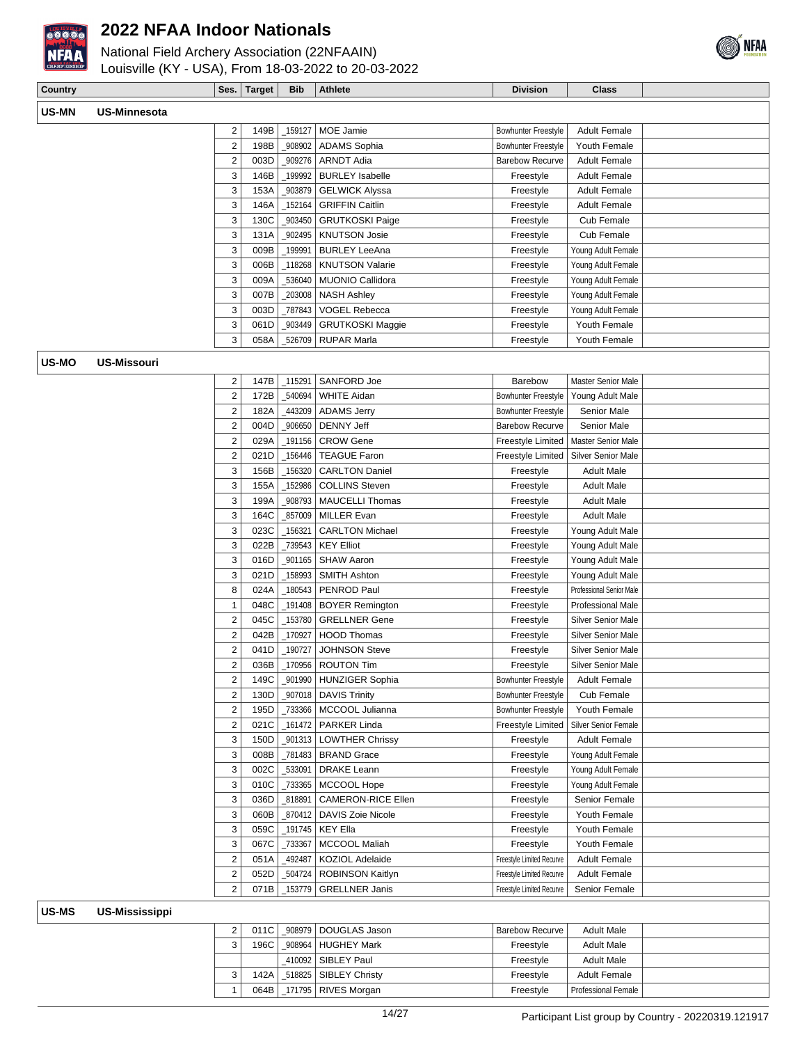

National Field Archery Association (22NFAAIN) Louisville (KY - USA), From 18-03-2022 to 20-03-2022



| Country |                    |                         | Ses. Target | <b>Bib</b> | <b>Athlete</b>            | <b>Division</b>            | <b>Class</b>                |  |
|---------|--------------------|-------------------------|-------------|------------|---------------------------|----------------------------|-----------------------------|--|
|         |                    |                         |             |            |                           |                            |                             |  |
| US-MN   | US-Minnesota       |                         |             |            |                           |                            |                             |  |
|         |                    | $\overline{\mathbf{c}}$ | 149B        | 159127     | MOE Jamie                 | <b>Bowhunter Freestyle</b> | <b>Adult Female</b>         |  |
|         |                    | $\overline{c}$          | 198B        | 908902     | <b>ADAMS</b> Sophia       | Bowhunter Freestyle        | Youth Female                |  |
|         |                    | $\overline{c}$          | 003D        | 909276     | <b>ARNDT Adia</b>         | <b>Barebow Recurve</b>     | <b>Adult Female</b>         |  |
|         |                    | 3                       | 146B        | 199992     | <b>BURLEY Isabelle</b>    | Freestyle                  | <b>Adult Female</b>         |  |
|         |                    | 3                       | 153A        | 903879     | <b>GELWICK Alyssa</b>     | Freestyle                  | <b>Adult Female</b>         |  |
|         |                    | 3                       | 146A        | 152164     | <b>GRIFFIN Caitlin</b>    | Freestyle                  | <b>Adult Female</b>         |  |
|         |                    | 3                       | 130C        | 903450     | <b>GRUTKOSKI Paige</b>    | Freestyle                  | Cub Female                  |  |
|         |                    | 3                       | 131A        | 902495     | <b>KNUTSON Josie</b>      | Freestyle                  | <b>Cub Female</b>           |  |
|         |                    | 3                       | 009B        | 199991     | <b>BURLEY LeeAna</b>      | Freestyle                  | Young Adult Female          |  |
|         |                    | 3                       | 006B        | 118268     | <b>KNUTSON Valarie</b>    | Freestyle                  | Young Adult Female          |  |
|         |                    | 3                       | 009A        | 536040     | MUONIO Callidora          | Freestyle                  | Young Adult Female          |  |
|         |                    | 3                       | 007B        | 203008     | <b>NASH Ashley</b>        | Freestyle                  | Young Adult Female          |  |
|         |                    | 3                       | 003D        | _787843    | VOGEL Rebecca             | Freestyle                  | Young Adult Female          |  |
|         |                    | 3                       | 061D        | _903449    | <b>GRUTKOSKI Maggie</b>   | Freestyle                  | Youth Female                |  |
|         |                    | 3                       | 058A        |            | 526709   RUPAR Marla      | Freestyle                  | Youth Female                |  |
| US-MO   | <b>US-Missouri</b> |                         |             |            |                           |                            |                             |  |
|         |                    | $\overline{\mathbf{c}}$ | 147B        | _115291    | SANFORD Joe               | <b>Barebow</b>             | <b>Master Senior Male</b>   |  |
|         |                    | $\overline{2}$          | 172B        | 540694     | <b>WHITE Aidan</b>        | <b>Bowhunter Freestyle</b> | Young Adult Male            |  |
|         |                    | $\overline{2}$          | 182A        | 443209     | <b>ADAMS Jerry</b>        | <b>Bowhunter Freestyle</b> | Senior Male                 |  |
|         |                    | $\overline{c}$          | 004D        | 906650     | <b>DENNY Jeff</b>         | <b>Barebow Recurve</b>     | Senior Male                 |  |
|         |                    | $\overline{\mathbf{c}}$ | 029A        | 191156_    | <b>CROW Gene</b>          | Freestyle Limited          | Master Senior Male          |  |
|         |                    | $\overline{c}$          | 021D        | 156446     | <b>TEAGUE Faron</b>       | Freestyle Limited          | Silver Senior Male          |  |
|         |                    | 3                       | 156B        | 156320     | <b>CARLTON Daniel</b>     | Freestyle                  | <b>Adult Male</b>           |  |
|         |                    | 3                       | 155A        | 152986     | <b>COLLINS Steven</b>     | Freestyle                  | <b>Adult Male</b>           |  |
|         |                    | 3                       | 199A        | 908793     | <b>MAUCELLI Thomas</b>    | Freestyle                  | <b>Adult Male</b>           |  |
|         |                    | 3                       | 164C        | 857009     | <b>MILLER Evan</b>        | Freestyle                  | <b>Adult Male</b>           |  |
|         |                    | 3                       | 023C        | 156321     | <b>CARLTON Michael</b>    | Freestyle                  | Young Adult Male            |  |
|         |                    | 3                       | 022B        | _739543    | <b>KEY Elliot</b>         | Freestyle                  | Young Adult Male            |  |
|         |                    | 3                       | 016D        | _901165    | <b>SHAW Aaron</b>         | Freestyle                  | Young Adult Male            |  |
|         |                    | 3                       | 021D        | 158993     | <b>SMITH Ashton</b>       | Freestyle                  | Young Adult Male            |  |
|         |                    | 8                       | 024A        | 180543     | PENROD Paul               | Freestyle                  | Professional Senior Male    |  |
|         |                    | 1                       | 048C        | 191408     | <b>BOYER Remington</b>    | Freestyle                  | <b>Professional Male</b>    |  |
|         |                    | $\overline{c}$          | 045C        | _153780    | <b>GRELLNER Gene</b>      | Freestyle                  | <b>Silver Senior Male</b>   |  |
|         |                    | $\overline{\mathbf{c}}$ | 042B        | 170927     | <b>HOOD Thomas</b>        | Freestyle                  | Silver Senior Male          |  |
|         |                    | $\overline{c}$          | 041D        | _190727    | <b>JOHNSON Steve</b>      | Freestyle                  | <b>Silver Senior Male</b>   |  |
|         |                    | $\overline{c}$          | 036B        |            | 170956   ROUTON Tim       | Freestyle                  | Silver Senior Male          |  |
|         |                    | $\overline{2}$          | 149C        |            | _901990 HUNZIGER Sophia   | Bowhunter Freestyle        | <b>Adult Female</b>         |  |
|         |                    | $\overline{c}$          | 130D        |            | 907018   DAVIS Trinity    | <b>Bowhunter Freestyle</b> | Cub Female                  |  |
|         |                    | $\overline{\mathbf{c}}$ | 195D        | _733366    | MCCOOL Julianna           | <b>Bowhunter Freestyle</b> | Youth Female                |  |
|         |                    | $\overline{2}$          | 021C        | 161472     | <b>PARKER Linda</b>       | Freestyle Limited          | <b>Silver Senior Female</b> |  |
|         |                    | 3                       | 150D        |            | _901313   LOWTHER Chrissy | Freestyle                  | <b>Adult Female</b>         |  |
|         |                    | 3                       | 008B        | _781483    | <b>BRAND Grace</b>        | Freestyle                  | Young Adult Female          |  |
|         |                    | 3                       | 002C        | 533091     | <b>DRAKE Leann</b>        | Freestyle                  | Young Adult Female          |  |
|         |                    | 3                       | 010C        | 733365     | MCCOOL Hope               | Freestyle                  | Young Adult Female          |  |
|         |                    | $\sqrt{3}$              | 036D        | 818891     | CAMERON-RICE Ellen        | Freestyle                  | Senior Female               |  |
|         |                    | 3                       | 060B        | _870412    | DAVIS Zoie Nicole         | Freestyle                  | Youth Female                |  |
|         |                    | 3                       | 059C        |            | _191745   KEY Ella        | Freestyle                  | Youth Female                |  |
|         |                    | 3                       | 067C        | _733367    | MCCOOL Maliah             | Freestyle                  | Youth Female                |  |
|         |                    | $\overline{2}$          | 051A        | 492487     | KOZIOL Adelaide           | Freestyle Limited Recurve  | <b>Adult Female</b>         |  |
|         |                    | $\overline{2}$          | 052D        | 504724     | ROBINSON Kaitlyn          | Freestyle Limited Recurve  | <b>Adult Female</b>         |  |
|         |                    | $\overline{2}$          | 071B        | _153779    | <b>GRELLNER Janis</b>     | Freestyle Limited Recurve  | Senior Female               |  |
|         |                    |                         |             |            |                           |                            |                             |  |
| US-MS   | US-Mississippi     |                         |             |            |                           |                            |                             |  |
|         |                    | $\overline{\mathbf{c}}$ | 011C        |            | _908979 DOUGLAS Jason     | <b>Barebow Recurve</b>     | <b>Adult Male</b>           |  |
|         |                    | 3                       | 196C        |            | _908964   HUGHEY Mark     | Freestyle                  | <b>Adult Male</b>           |  |
|         |                    |                         |             | _410092    | SIBLEY Paul               | Freestyle                  | <b>Adult Male</b>           |  |
|         |                    | 3                       | 142A        |            | 518825   SIBLEY Christy   | Freestyle                  | <b>Adult Female</b>         |  |

1 064B 171795 RIVES Morgan Freestyle Professional Female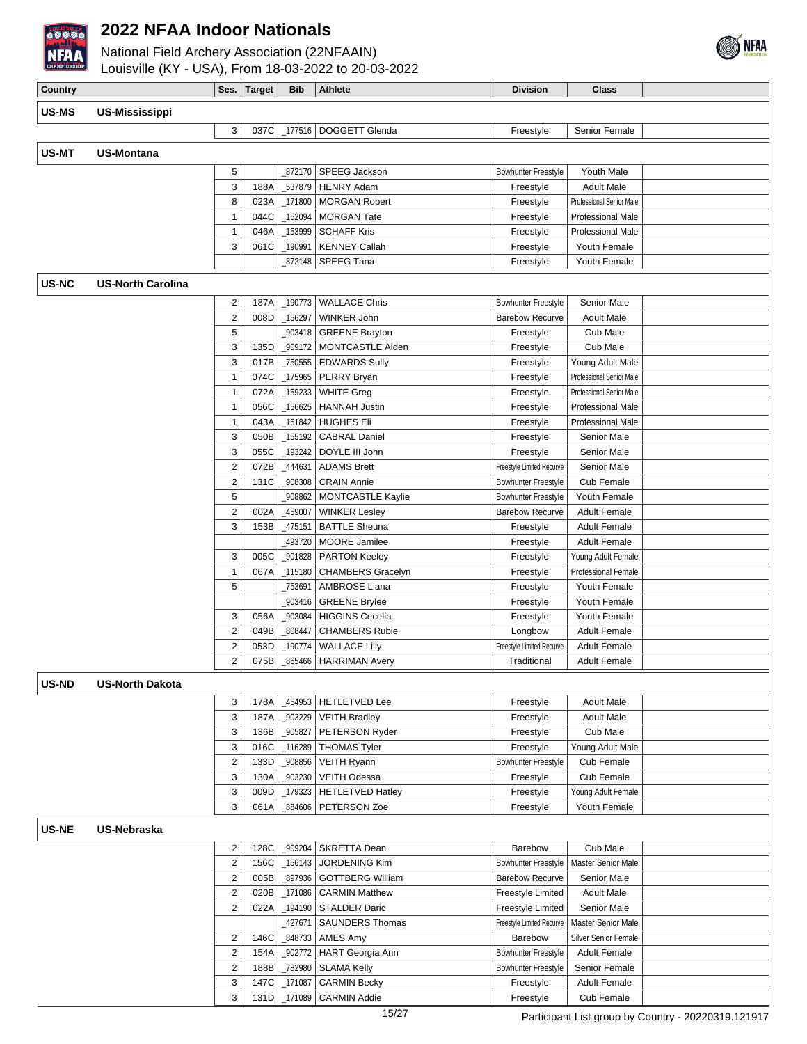

National Field Archery Association (22NFAAIN)



| CHAMPIONSHIP | Louisville (KY - USA), From 18-03-2022 to 20-03-2022 |                                        |              |                    |                                           |                                       |                                              |  |
|--------------|------------------------------------------------------|----------------------------------------|--------------|--------------------|-------------------------------------------|---------------------------------------|----------------------------------------------|--|
| Country      |                                                      |                                        | Ses. Target  | <b>Bib</b>         | <b>Athlete</b>                            | <b>Division</b>                       | <b>Class</b>                                 |  |
|              |                                                      |                                        |              |                    |                                           |                                       |                                              |  |
| US-MS        | <b>US-Mississippi</b>                                |                                        |              |                    |                                           |                                       |                                              |  |
|              |                                                      | 3                                      |              |                    | 037C   177516   DOGGETT Glenda            | Freestyle                             | Senior Female                                |  |
| US-MT        | <b>US-Montana</b>                                    |                                        |              |                    |                                           |                                       |                                              |  |
|              |                                                      | 5                                      |              | 872170             | SPEEG Jackson                             | Bowhunter Freestyle                   | Youth Male                                   |  |
|              |                                                      | 3                                      | 188A         | _537879            | <b>HENRY Adam</b>                         | Freestyle                             | <b>Adult Male</b>                            |  |
|              |                                                      | 8                                      | 023A         | 171800             | <b>MORGAN Robert</b>                      | Freestyle                             | Professional Senior Male                     |  |
|              |                                                      | $\mathbf{1}$                           | 044C         | 152094             | <b>MORGAN Tate</b>                        | Freestyle                             | Professional Male                            |  |
|              |                                                      | $\mathbf{1}$                           | 046A         | _153999            | <b>SCHAFF Kris</b>                        | Freestyle                             | Professional Male                            |  |
|              |                                                      | 3                                      | 061C         | _190991            | <b>KENNEY Callah</b>                      | Freestyle                             | Youth Female                                 |  |
|              |                                                      |                                        |              | 872148             | SPEEG Tana                                | Freestyle                             | Youth Female                                 |  |
| US-NC        | <b>US-North Carolina</b>                             |                                        |              |                    |                                           |                                       |                                              |  |
|              |                                                      |                                        |              |                    |                                           |                                       |                                              |  |
|              |                                                      | 2                                      | 187A         | _190773            | <b>WALLACE Chris</b>                      | <b>Bowhunter Freestyle</b>            | Senior Male                                  |  |
|              |                                                      | $\sqrt{2}$                             | 008D         | _156297            | WINKER John                               | <b>Barebow Recurve</b>                | Adult Male                                   |  |
|              |                                                      | $\mathbf 5$                            |              | 903418             | <b>GREENE Brayton</b>                     | Freestyle                             | Cub Male                                     |  |
|              |                                                      | 3                                      | 135D         | _909172            | MONTCASTLE Aiden                          | Freestyle                             | Cub Male                                     |  |
|              |                                                      | 3<br>$\mathbf{1}$                      | 017B<br>074C | _750555            | <b>EDWARDS Sully</b><br>PERRY Bryan       | Freestyle<br>Freestyle                | Young Adult Male<br>Professional Senior Male |  |
|              |                                                      | $\mathbf{1}$                           | 072A         | _175965<br>_159233 | <b>WHITE Greg</b>                         | Freestyle                             | Professional Senior Male                     |  |
|              |                                                      | $\mathbf{1}$                           | 056C         | _156625            | <b>HANNAH Justin</b>                      | Freestyle                             | Professional Male                            |  |
|              |                                                      | $\mathbf{1}$                           | 043A         | _161842            | <b>HUGHES Eli</b>                         | Freestyle                             | Professional Male                            |  |
|              |                                                      | 3                                      | 050B         | _155192            | <b>CABRAL Daniel</b>                      | Freestyle                             | Senior Male                                  |  |
|              |                                                      | 3                                      | 055C         | _193242            | DOYLE III John                            | Freestyle                             | Senior Male                                  |  |
|              |                                                      | $\mathbf 2$                            | 072B         | 444631             | <b>ADAMS Brett</b>                        | Freestyle Limited Recurve             | Senior Male                                  |  |
|              |                                                      | $\boldsymbol{2}$                       | 131C         | _908308            | <b>CRAIN Annie</b>                        | <b>Bowhunter Freestyle</b>            | Cub Female                                   |  |
|              |                                                      | $\sqrt{5}$                             |              | 908862             | <b>MONTCASTLE Kaylie</b>                  | <b>Bowhunter Freestyle</b>            | Youth Female                                 |  |
|              |                                                      | $\sqrt{2}$                             | 002A         | 459007             | <b>WINKER Lesley</b>                      | <b>Barebow Recurve</b>                | <b>Adult Female</b>                          |  |
|              |                                                      | 3                                      | 153B         | 475151             | <b>BATTLE Sheuna</b>                      | Freestyle                             | <b>Adult Female</b>                          |  |
|              |                                                      |                                        |              | 493720             | MOORE Jamilee                             | Freestyle                             | <b>Adult Female</b>                          |  |
|              |                                                      | 3                                      | 005C         | _901828            | <b>PARTON Keeley</b>                      | Freestyle                             | Young Adult Female                           |  |
|              |                                                      | $\mathbf{1}$                           | 067A         | 115180             | <b>CHAMBERS Gracelyn</b>                  | Freestyle                             | <b>Professional Female</b>                   |  |
|              |                                                      | 5                                      |              | _753691            | AMBROSE Liana                             | Freestyle                             | Youth Female                                 |  |
|              |                                                      |                                        |              | 903416             | <b>GREENE Brylee</b>                      | Freestyle                             | Youth Female                                 |  |
|              |                                                      | 3                                      | 056A         | 903084             | <b>HIGGINS Cecelia</b>                    | Freestyle                             | Youth Female                                 |  |
|              |                                                      | $\sqrt{2}$                             | 049B         | 808447             | <b>CHAMBERS Rubie</b>                     | Longbow                               | <b>Adult Female</b>                          |  |
|              |                                                      | $\overline{\mathbf{c}}$                | 053D         | 190774             | <b>WALLACE Lilly</b>                      | Freestyle Limited Recurve             | <b>Adult Female</b>                          |  |
|              |                                                      | $\overline{2}$                         |              |                    | 075B   865466   HARRIMAN Avery            | Traditional                           | <b>Adult Female</b>                          |  |
| US-ND        | <b>US-North Dakota</b>                               |                                        |              |                    |                                           |                                       |                                              |  |
|              |                                                      | 3                                      | 178A         | 454953             | <b>HETLETVED Lee</b>                      | Freestyle                             | <b>Adult Male</b>                            |  |
|              |                                                      | 3                                      | 187A         | 903229             | <b>VEITH Bradley</b>                      | Freestyle                             | <b>Adult Male</b>                            |  |
|              |                                                      | 3                                      | 136B         | _905827            | PETERSON Ryder                            | Freestyle                             | Cub Male                                     |  |
|              |                                                      | 3                                      | 016C         | _116289            | <b>THOMAS Tyler</b>                       | Freestyle                             | Young Adult Male                             |  |
|              |                                                      | $\overline{\mathbf{c}}$                | 133D         | 908856             | <b>VEITH Ryann</b>                        | Bowhunter Freestyle                   | Cub Female                                   |  |
|              |                                                      | 3                                      | 130A         | 903230             | <b>VEITH Odessa</b>                       | Freestyle                             | Cub Female                                   |  |
|              |                                                      | 3                                      | 009D         | 179323             | <b>HETLETVED Hatley</b>                   | Freestyle                             | Young Adult Female                           |  |
|              |                                                      | 3                                      | 061A         | 884606             | PETERSON Zoe                              | Freestyle                             | Youth Female                                 |  |
|              |                                                      |                                        |              |                    |                                           |                                       |                                              |  |
| <b>US-NE</b> | <b>US-Nebraska</b>                                   |                                        |              |                    |                                           |                                       |                                              |  |
|              |                                                      | $\overline{\mathbf{c}}$                | 128C         | _909204            | SKRETTA Dean                              | Barebow                               | Cub Male                                     |  |
|              |                                                      | $\boldsymbol{2}$                       | 156C         | _156143            | <b>JORDENING Kim</b>                      | <b>Bowhunter Freestyle</b>            | Master Senior Male                           |  |
|              |                                                      | $\mathbf 2$                            | 005B         | 897936             | <b>GOTTBERG William</b>                   | <b>Barebow Recurve</b>                | Senior Male                                  |  |
|              |                                                      | $\sqrt{2}$                             | 020B         | _171086            | <b>CARMIN Matthew</b>                     | Freestyle Limited                     | <b>Adult Male</b>                            |  |
|              |                                                      | $\mathbf 2$                            | 022A         | 194190_            | <b>STALDER Daric</b>                      | <b>Freestyle Limited</b>              | Senior Male                                  |  |
|              |                                                      |                                        |              | 427671             | <b>SAUNDERS Thomas</b>                    | Freestyle Limited Recurve             | <b>Master Senior Male</b>                    |  |
|              |                                                      | $\overline{\mathbf{c}}$                | 146C         | _848733            | AMES Amy                                  | Barebow<br><b>Bowhunter Freestyle</b> | Silver Senior Female                         |  |
|              |                                                      | $\mathbf 2$<br>$\overline{\mathbf{c}}$ | 154A         | 902772<br>782980   | HART Georgia Ann                          | <b>Bowhunter Freestyle</b>            | <b>Adult Female</b><br>Senior Female         |  |
|              |                                                      | 3                                      | 188B<br>147C | 171087             | <b>SLAMA Kelly</b><br><b>CARMIN Becky</b> | Freestyle                             | <b>Adult Female</b>                          |  |

3 131D \_171089 CARMIN Addie Freestyle Cub Female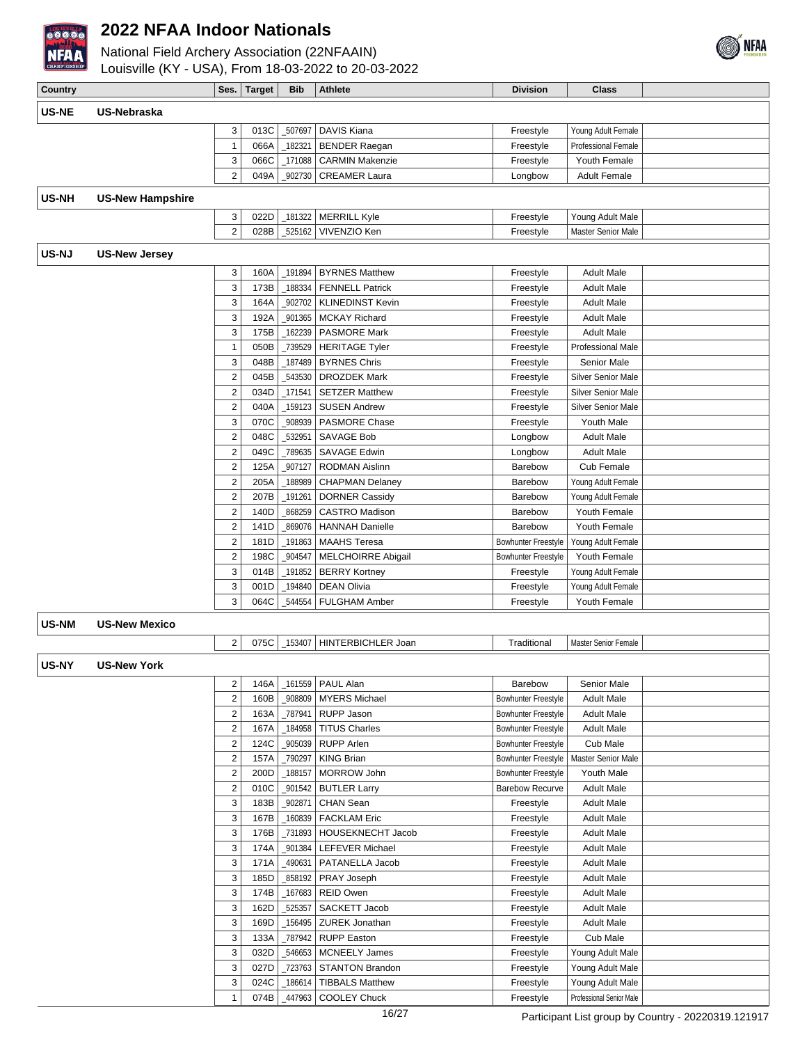

**US-NE US-Nebraska**

**US-NH US-New Hampshire**

**US-NJ US-New Jersey**

**US-NM US-New Mexico**

US-NY

#### **2022 NFAA Indoor Nationals**

National Field Archery Association (22NFAAIN) Louisville (KY - USA), From 18-03-2022 to 20-03-2022

**Country Class Ses. Target Bib Athlete Division Division Class** 

| US-Nebraska             |                         |              |         |                                        |                            |                            |  |
|-------------------------|-------------------------|--------------|---------|----------------------------------------|----------------------------|----------------------------|--|
|                         | 3                       | 013C         | _507697 | DAVIS Kiana                            | Freestyle                  | Young Adult Female         |  |
|                         | $\mathbf{1}$            | 066A         | 182321  | <b>BENDER Raegan</b>                   | Freestyle                  | <b>Professional Female</b> |  |
|                         | 3                       | 066C         | 171088  | <b>CARMIN Makenzie</b>                 | Freestyle                  | Youth Female               |  |
|                         | $\overline{2}$          | 049A         | 902730  | <b>CREAMER Laura</b>                   | Longbow                    | <b>Adult Female</b>        |  |
| <b>US-New Hampshire</b> |                         |              |         |                                        |                            |                            |  |
|                         |                         |              |         |                                        |                            |                            |  |
|                         | 3<br>$\overline{2}$     | 022D<br>028B |         | _181322   MERRILL Kyle<br>VIVENZIO Ken | Freestyle                  | Young Adult Male           |  |
|                         |                         |              | 525162  |                                        | Freestyle                  | <b>Master Senior Male</b>  |  |
| <b>US-New Jersey</b>    |                         |              |         |                                        |                            |                            |  |
|                         | 3                       | 160A         | _191894 | <b>BYRNES Matthew</b>                  | Freestyle                  | <b>Adult Male</b>          |  |
|                         | 3                       | 173B         | 188334  | <b>FENNELL Patrick</b>                 | Freestyle                  | <b>Adult Male</b>          |  |
|                         | 3                       | 164A         | 902702  | <b>KLINEDINST Kevin</b>                | Freestyle                  | <b>Adult Male</b>          |  |
|                         | 3                       | 192A         | 901365  | <b>MCKAY Richard</b>                   | Freestyle                  | <b>Adult Male</b>          |  |
|                         | 3                       | 175B         | 162239  | <b>PASMORE Mark</b>                    | Freestyle                  | <b>Adult Male</b>          |  |
|                         | 1                       | 050B         | 739529  | <b>HERITAGE Tyler</b>                  | Freestyle                  | Professional Male          |  |
|                         | 3                       | 048B         | 187489  | <b>BYRNES Chris</b>                    | Freestyle                  | Senior Male                |  |
|                         | $\boldsymbol{2}$        | 045B         | 543530  | <b>DROZDEK Mark</b>                    | Freestyle                  | <b>Silver Senior Male</b>  |  |
|                         | $\mathbf 2$             | 034D         | 171541  | <b>SETZER Matthew</b>                  | Freestyle                  | <b>Silver Senior Male</b>  |  |
|                         | $\boldsymbol{2}$        | 040A         | 159123  | <b>SUSEN Andrew</b>                    | Freestyle                  | <b>Silver Senior Male</b>  |  |
|                         | 3                       | 070C         | 908939  | <b>PASMORE Chase</b>                   | Freestyle                  | Youth Male                 |  |
|                         | $\boldsymbol{2}$        | 048C         | 532951  | <b>SAVAGE Bob</b>                      | Longbow                    | <b>Adult Male</b>          |  |
|                         | $\boldsymbol{2}$        | 049C         | 789635  | SAVAGE Edwin                           | Longbow                    | <b>Adult Male</b>          |  |
|                         | $\boldsymbol{2}$        | 125A         | 907127  | <b>RODMAN Aislinn</b>                  | Barebow                    | Cub Female                 |  |
|                         | $\overline{\mathbf{c}}$ | 205A         | 188989  | <b>CHAPMAN Delaney</b>                 | Barebow                    | Young Adult Female         |  |
|                         | 2                       | 207B         | 191261  | <b>DORNER Cassidy</b>                  | Barebow                    | Young Adult Female         |  |
|                         | $\boldsymbol{2}$        | 140D         | 868259  | <b>CASTRO Madison</b>                  | Barebow                    | Youth Female               |  |
|                         | $\boldsymbol{2}$        | 141D         | 869076  | <b>HANNAH Danielle</b>                 | Barebow                    | Youth Female               |  |
|                         | $\overline{\mathbf{c}}$ | 181D         | 191863  | <b>MAAHS</b> Teresa                    | <b>Bowhunter Freestyle</b> | Young Adult Female         |  |
|                         | 2                       | 198C         | 904547  | <b>MELCHOIRRE Abigail</b>              | <b>Bowhunter Freestyle</b> | Youth Female               |  |
|                         | 3                       | 014B         | 191852  | <b>BERRY Kortney</b>                   | Freestyle                  | Young Adult Female         |  |
|                         | 3                       | 001D         | 194840  | <b>DEAN Olivia</b>                     | Freestyle                  | Young Adult Female         |  |
|                         | 3                       | 064C         | 544554  | FULGHAM Amber                          | Freestyle                  | Youth Female               |  |
| <b>US-New Mexico</b>    |                         |              |         |                                        |                            |                            |  |
|                         | $\overline{2}$          | 075C         | 153407  | HINTERBICHLER Joan                     | Traditional                | Master Senior Female       |  |
| <b>US-New York</b>      |                         |              |         |                                        |                            |                            |  |
|                         |                         |              |         |                                        |                            |                            |  |
|                         | $\overline{2}$          |              |         | 146A   161559   PAUL Alan              | Barebow                    | Senior Male                |  |
|                         | 2                       | 160B         | _908809 | <b>MYERS Michael</b>                   | <b>Bowhunter Freestyle</b> | <b>Adult Male</b>          |  |
|                         | 2                       | 163A         | 787941  | RUPP Jason                             | <b>Bowhunter Freestyle</b> | <b>Adult Male</b>          |  |
|                         | $\overline{\mathbf{c}}$ | 167A         | 184958  | <b>TITUS Charles</b>                   | <b>Bowhunter Freestyle</b> | <b>Adult Male</b>          |  |
|                         | $\overline{\mathbf{c}}$ | 124C         | 905039  | <b>RUPP Arlen</b>                      | <b>Bowhunter Freestyle</b> | Cub Male                   |  |
|                         | 2                       | 157A         | 790297  | <b>KING Brian</b>                      | <b>Bowhunter Freestyle</b> | Master Senior Male         |  |
|                         | 2                       | 200D         | 188157  | <b>MORROW John</b>                     | <b>Bowhunter Freestyle</b> | Youth Male                 |  |
|                         | $\overline{\mathbf{c}}$ | 010C         | 901542  | <b>BUTLER Larry</b>                    | <b>Barebow Recurve</b>     | <b>Adult Male</b>          |  |
|                         | 3                       | 183B         | _902871 | CHAN Sean                              | Freestyle                  | <b>Adult Male</b>          |  |
|                         | 3                       | 167B         | _160839 | <b>FACKLAM Eric</b>                    | Freestyle                  | <b>Adult Male</b>          |  |
|                         | 3                       | 176B         | _731893 | HOUSEKNECHT Jacob                      | Freestyle                  | <b>Adult Male</b>          |  |
|                         | 3                       | 174A         | 901384  | LEFEVER Michael                        | Freestyle                  | <b>Adult Male</b>          |  |
|                         | 3                       | 171A         | 490631  | PATANELLA Jacob                        | Freestyle                  | <b>Adult Male</b>          |  |
|                         | 3                       | 185D         | 858192  | PRAY Joseph                            | Freestyle                  | <b>Adult Male</b>          |  |
|                         | 3                       | 174B         | _167683 | <b>REID Owen</b>                       | Freestyle                  | <b>Adult Male</b>          |  |
|                         | 3                       | 162D         | 525357  | SACKETT Jacob                          | Freestyle                  | Adult Male                 |  |
|                         | 3                       | 169D         | 156495_ | ZUREK Jonathan                         | Freestyle                  | Adult Male                 |  |
|                         | 3                       | 133A         | _787942 | <b>RUPP Easton</b>                     | Freestyle                  | Cub Male                   |  |
|                         | 3                       | 032D         | 546653  | MCNEELY James                          | Freestyle                  | Young Adult Male           |  |
|                         | 3                       | 027D         |         | 723763   STANTON Brandon               | Freestyle                  | Young Adult Male           |  |

3 024C 186614 TIBBALS Matthew Freestyle Young Adult Male 1 074B 447963 COOLEY Chuck Freestyle Professional Senior Male

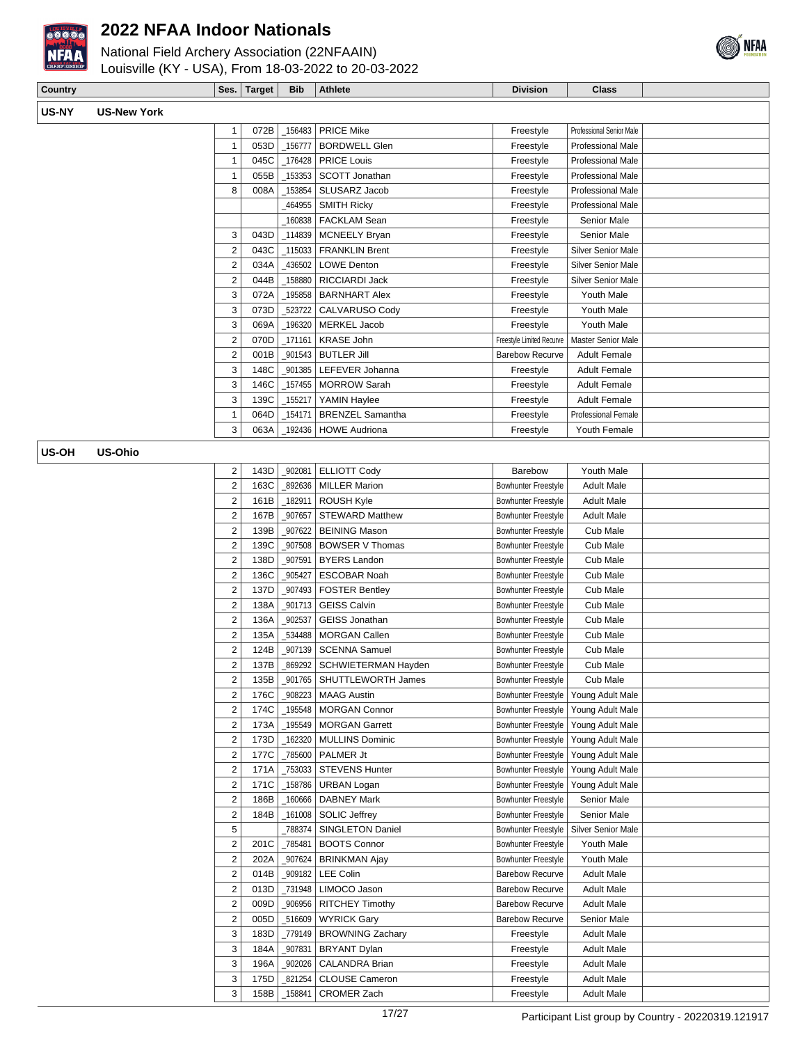

National Field Archery Association (22NFAAIN)



Louisville (KY - USA), From 18-03-2022 to 20-03-2022

| Country |                  | <b>Ses</b> | Target | <b>Bib</b> | <b>Athlete</b> | <b>Division</b> | Class |  |
|---------|------------------|------------|--------|------------|----------------|-----------------|-------|--|
| US-NY   | нс<br>S-New York |            |        |            |                |                 |       |  |

| 1              | 072B             | 156483 | <b>PRICE Mike</b>       | Freestyle                  | Professional Senior Male   |  |
|----------------|------------------|--------|-------------------------|----------------------------|----------------------------|--|
| 1              | 053D             | 156777 | <b>BORDWELL Glen</b>    | Freestyle                  | <b>Professional Male</b>   |  |
|                | 045C             | 176428 | <b>PRICE Louis</b>      | Freestyle                  | Professional Male          |  |
| 1              | 055B             | 153353 | <b>SCOTT Jonathan</b>   | Freestyle                  | Professional Male          |  |
| 8              | 008A             | 153854 | SLUSARZ Jacob           | Freestyle                  | <b>Professional Male</b>   |  |
|                |                  | 464955 | <b>SMITH Ricky</b>      | Freestyle                  | Professional Male          |  |
|                |                  | 160838 | <b>FACKLAM Sean</b>     | Freestyle                  | Senior Male                |  |
| 3              | 043D             | 114839 | <b>MCNEELY Bryan</b>    | Freestyle                  | Senior Male                |  |
| $\overline{2}$ | 043C             | 115033 | <b>FRANKLIN Brent</b>   | Freestyle                  | Silver Senior Male         |  |
| $\overline{2}$ | 034A             | 436502 | <b>LOWE Denton</b>      | Freestyle                  | <b>Silver Senior Male</b>  |  |
| 2              | 044B             | 158880 | RICCIARDI Jack          | Freestyle                  | Silver Senior Male         |  |
| 3              | 072A             | 195858 | <b>BARNHART Alex</b>    | Freestyle                  | Youth Male                 |  |
| 3              | 073D             | 523722 | CALVARUSO Cody          | Freestyle                  | Youth Male                 |  |
| 3              | 069A             | 196320 | MERKEL Jacob            | Freestyle                  | Youth Male                 |  |
| $\overline{2}$ | 070D             | 171161 | <b>KRASE John</b>       | Freestyle Limited Recurve  | Master Senior Male         |  |
| 2              | 001B             | 901543 | <b>BUTLER Jill</b>      | <b>Barebow Recurve</b>     | Adult Female               |  |
| 3              | 148C             | 901385 | LEFEVER Johanna         | Freestyle                  | <b>Adult Female</b>        |  |
| 3              | 146C             | 157455 | <b>MORROW Sarah</b>     | Freestyle                  | <b>Adult Female</b>        |  |
| 3              | 139C             | 155217 | YAMIN Haylee            | Freestyle                  | <b>Adult Female</b>        |  |
| 1              | 064D             | 154171 | <b>BRENZEL Samantha</b> | Freestyle                  | <b>Professional Female</b> |  |
| 3              | 063A             | 192436 | <b>HOWE Audriona</b>    | Freestyle                  | Youth Female               |  |
|                |                  |        |                         |                            |                            |  |
| 2              | 143D             | 902081 | <b>ELLIOTT Cody</b>     | Barebow                    | Youth Male                 |  |
| 2              | 163C             | 892636 | <b>MILLER Marion</b>    | Bowhunter Freestyle        | <b>Adult Male</b>          |  |
| $\overline{2}$ | 161B             | 182911 | ROUSH Kyle              | <b>Bowhunter Freestyle</b> | <b>Adult Male</b>          |  |
| $\mathcal{P}$  | 167 <sub>R</sub> | 907657 | STEWARD Matthew         | <b>Bowhunter Freestyle</b> | Adult Male                 |  |

#### **US-OH US-Ohio**

| $\overline{2}$ | 143D | 902081 | <b>ELLIOTT Cody</b>       | Barebow                    | Youth Male         |  |
|----------------|------|--------|---------------------------|----------------------------|--------------------|--|
| $\overline{2}$ | 163C | 892636 | <b>MILLER Marion</b>      | <b>Bowhunter Freestyle</b> | <b>Adult Male</b>  |  |
| $\overline{2}$ | 161B | 182911 | <b>ROUSH Kyle</b>         | <b>Bowhunter Freestyle</b> | <b>Adult Male</b>  |  |
| $\overline{2}$ | 167B | 907657 | <b>STEWARD Matthew</b>    | <b>Bowhunter Freestyle</b> | <b>Adult Male</b>  |  |
| $\overline{2}$ | 139B | 907622 | <b>BEINING Mason</b>      | <b>Bowhunter Freestyle</b> | Cub Male           |  |
| $\overline{2}$ | 139C | 907508 | <b>BOWSER V Thomas</b>    | <b>Bowhunter Freestyle</b> | Cub Male           |  |
| $\overline{2}$ | 138D | 907591 | <b>BYERS Landon</b>       | <b>Bowhunter Freestyle</b> | Cub Male           |  |
| $\overline{2}$ | 136C | 905427 | <b>ESCOBAR Noah</b>       | <b>Bowhunter Freestyle</b> | Cub Male           |  |
| $\overline{2}$ | 137D | 907493 | <b>FOSTER Bentley</b>     | <b>Bowhunter Freestyle</b> | Cub Male           |  |
| $\overline{2}$ | 138A | 901713 | <b>GEISS Calvin</b>       | <b>Bowhunter Freestyle</b> | Cub Male           |  |
| $\overline{2}$ | 136A | 902537 | <b>GEISS Jonathan</b>     | <b>Bowhunter Freestyle</b> | Cub Male           |  |
| $\overline{2}$ | 135A | 534488 | <b>MORGAN Callen</b>      | <b>Bowhunter Freestyle</b> | Cub Male           |  |
| $\overline{2}$ | 124B | 907139 | <b>SCENNA Samuel</b>      | <b>Bowhunter Freestyle</b> | Cub Male           |  |
| $\overline{2}$ | 137B | 869292 | SCHWIETERMAN Hayden       | <b>Bowhunter Freestyle</b> | Cub Male           |  |
| $\overline{2}$ | 135B | 901765 | <b>SHUTTLEWORTH James</b> | <b>Bowhunter Freestyle</b> | Cub Male           |  |
| $\overline{2}$ | 176C | 908223 | <b>MAAG Austin</b>        | <b>Bowhunter Freestyle</b> | Young Adult Male   |  |
| $\overline{2}$ | 174C | 195548 | <b>MORGAN Connor</b>      | Bowhunter Freestyle        | Young Adult Male   |  |
| $\overline{2}$ | 173A | 195549 | <b>MORGAN Garrett</b>     | Bowhunter Freestyle        | Young Adult Male   |  |
| $\overline{2}$ | 173D | 162320 | <b>MULLINS Dominic</b>    | <b>Bowhunter Freestyle</b> | Young Adult Male   |  |
| $\overline{2}$ | 177C | 785600 | PALMER Jt                 | <b>Bowhunter Freestvle</b> | Young Adult Male   |  |
| $\overline{2}$ | 171A | 753033 | <b>STEVENS Hunter</b>     | Bowhunter Freestyle        | Young Adult Male   |  |
| $\overline{2}$ | 171C | 158786 | <b>URBAN Logan</b>        | Bowhunter Freestyle        | Young Adult Male   |  |
| $\overline{2}$ | 186B | 160666 | <b>DABNEY Mark</b>        | <b>Bowhunter Freestyle</b> | <b>Senior Male</b> |  |
| $\overline{2}$ | 184B | 161008 | <b>SOLIC Jeffrey</b>      | <b>Bowhunter Freestyle</b> | Senior Male        |  |
| 5              |      | 788374 | <b>SINGLETON Daniel</b>   | <b>Bowhunter Freestvle</b> | Silver Senior Male |  |
| $\overline{2}$ | 201C | 785481 | <b>BOOTS Connor</b>       | <b>Bowhunter Freestyle</b> | Youth Male         |  |
| $\overline{2}$ | 202A | 907624 | <b>BRINKMAN Ajay</b>      | Bowhunter Freestyle        | Youth Male         |  |
| $\overline{2}$ | 014B | 909182 | <b>LEE Colin</b>          | Barebow Recurve            | <b>Adult Male</b>  |  |
| $\overline{2}$ | 013D | 731948 | LIMOCO Jason              | Barebow Recurve            | <b>Adult Male</b>  |  |
| $\overline{2}$ | 009D | 906956 | <b>RITCHEY Timothy</b>    | <b>Barebow Recurve</b>     | <b>Adult Male</b>  |  |
| $\overline{2}$ | 005D | 516609 | <b>WYRICK Gary</b>        | <b>Barebow Recurve</b>     | Senior Male        |  |
| 3              | 183D | 779149 | <b>BROWNING Zachary</b>   | Freestyle                  | <b>Adult Male</b>  |  |
| 3              | 184A | 907831 | <b>BRYANT Dylan</b>       | Freestyle                  | <b>Adult Male</b>  |  |
| 3              | 196A | 902026 | <b>CALANDRA Brian</b>     | Freestyle                  | <b>Adult Male</b>  |  |
| 3              | 175D | 821254 | <b>CLOUSE Cameron</b>     | Freestyle                  | <b>Adult Male</b>  |  |
| 3              | 158B | 158841 | <b>CROMER Zach</b>        | Freestyle                  | <b>Adult Male</b>  |  |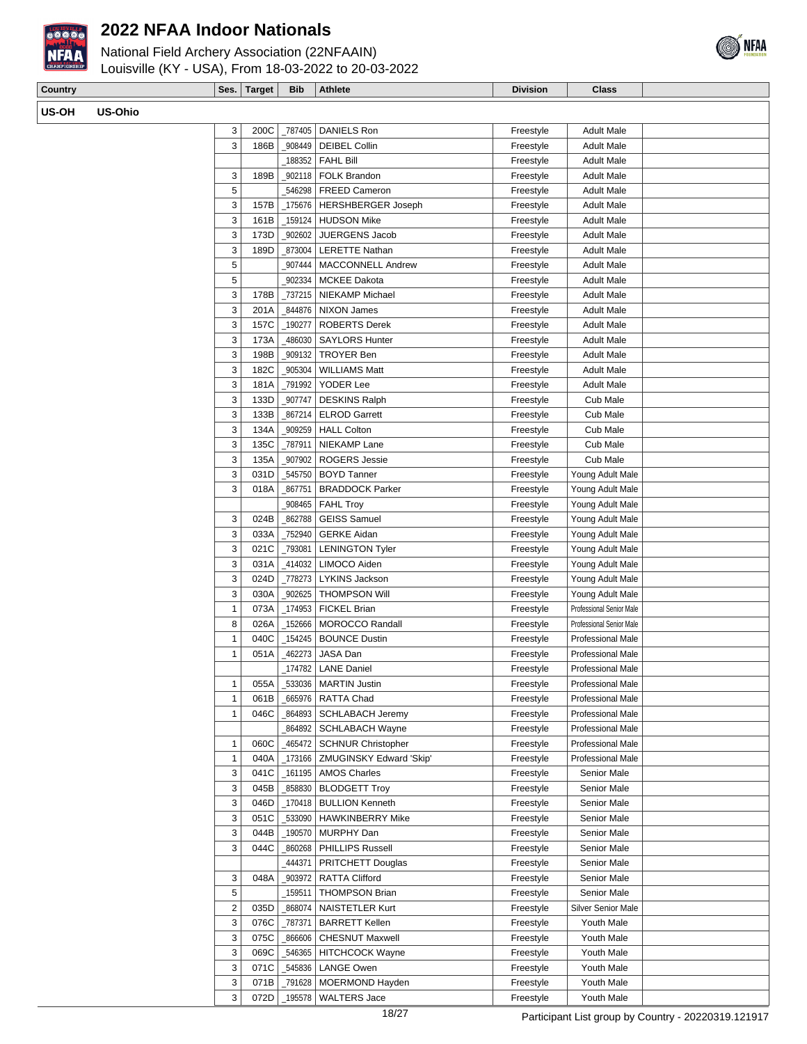

## National Field Archery Association (22NFAAIN)



| CHAMPIONSKIP | Louisville (KY - USA), From 18-03-2022 to 20-03-2022 |  |                               |                 |       |
|--------------|------------------------------------------------------|--|-------------------------------|-----------------|-------|
| Country      |                                                      |  | Ses.   Target   Bib   Athlete | <b>Division</b> | Class |
| <b>US-OH</b> | US-Ohio                                              |  |                               |                 |       |

| 3              | 200C         | _787405 | <b>DANIELS Ron</b>        | Freestyle | <b>Adult Male</b>         |  |
|----------------|--------------|---------|---------------------------|-----------|---------------------------|--|
| 3              | 186B         | 908449  | <b>DEIBEL Collin</b>      | Freestyle | <b>Adult Male</b>         |  |
|                |              | 188352  | <b>FAHL Bill</b>          | Freestyle | <b>Adult Male</b>         |  |
| 3              | 189B         | 902118  | FOLK Brandon              | Freestyle | <b>Adult Male</b>         |  |
| 5              |              | 546298  | <b>FREED Cameron</b>      | Freestyle | <b>Adult Male</b>         |  |
| 3              | 157B         | _175676 | <b>HERSHBERGER Joseph</b> | Freestyle | <b>Adult Male</b>         |  |
| 3              | 161B         | _159124 | <b>HUDSON Mike</b>        | Freestyle | <b>Adult Male</b>         |  |
| 3              | 173D         | 902602  | JUERGENS Jacob            | Freestyle | <b>Adult Male</b>         |  |
| 3              | 189D         | 873004  | <b>LERETTE Nathan</b>     | Freestyle | <b>Adult Male</b>         |  |
| 5              |              | 907444  | <b>MACCONNELL Andrew</b>  | Freestyle | <b>Adult Male</b>         |  |
| 5              |              | 902334  | <b>MCKEE Dakota</b>       | Freestyle | <b>Adult Male</b>         |  |
| 3              | 178B         | 737215  | NIEKAMP Michael           | Freestyle | <b>Adult Male</b>         |  |
| 3              | 201A         | 844876  | <b>NIXON James</b>        | Freestyle | <b>Adult Male</b>         |  |
| 3              | 157C         |         |                           |           |                           |  |
|                |              | 190277  | <b>ROBERTS Derek</b>      | Freestyle | <b>Adult Male</b>         |  |
| 3              | 173A         | 486030  | <b>SAYLORS Hunter</b>     | Freestyle | <b>Adult Male</b>         |  |
| 3              | 198B         | 909132  | <b>TROYER Ben</b>         | Freestyle | <b>Adult Male</b>         |  |
| 3              | 182C         | 905304  | <b>WILLIAMS Matt</b>      | Freestyle | <b>Adult Male</b>         |  |
| 3              | 181A         | 791992  | YODER Lee                 | Freestyle | <b>Adult Male</b>         |  |
| 3              | 133D         | _907747 | <b>DESKINS Ralph</b>      | Freestyle | Cub Male                  |  |
| 3              | 133B         | 867214  | <b>ELROD Garrett</b>      | Freestyle | Cub Male                  |  |
| 3              | 134A         | _909259 | <b>HALL Colton</b>        | Freestyle | Cub Male                  |  |
| 3              | 135C         | _787911 | <b>NIEKAMP Lane</b>       | Freestyle | Cub Male                  |  |
| 3              | 135A         | 907902  | ROGERS Jessie             | Freestyle | Cub Male                  |  |
| 3              | 031D         | 545750  | <b>BOYD Tanner</b>        | Freestyle | Young Adult Male          |  |
| 3              | 018A         | 867751  | <b>BRADDOCK Parker</b>    | Freestyle | Young Adult Male          |  |
|                |              | 908465  | <b>FAHL Troy</b>          | Freestyle | Young Adult Male          |  |
| 3              | 024B         | 862788  | <b>GEISS Samuel</b>       | Freestyle | Young Adult Male          |  |
| 3              | 033A         | 752940  | <b>GERKE Aidan</b>        | Freestyle | Young Adult Male          |  |
| 3              | 021C         | _793081 | <b>LENINGTON Tyler</b>    | Freestyle | Young Adult Male          |  |
| 3              | 031A         | 414032  | LIMOCO Aiden              | Freestyle | Young Adult Male          |  |
| 3              | 024D         | _778273 | LYKINS Jackson            | Freestyle | Young Adult Male          |  |
| 3              | 030A         | 902625  | <b>THOMPSON Will</b>      | Freestyle | Young Adult Male          |  |
| 1              | 073A         | 174953  | <b>FICKEL Brian</b>       | Freestyle | Professional Senior Male  |  |
| 8              | 026A         | _152666 | <b>MOROCCO Randall</b>    | Freestyle | Professional Senior Male  |  |
| 1              | 040C         | 154245  | <b>BOUNCE Dustin</b>      | Freestyle | <b>Professional Male</b>  |  |
| 1              | 051A         | 462273  | JASA Dan                  | Freestyle | <b>Professional Male</b>  |  |
|                |              | _174782 | <b>LANE Daniel</b>        | Freestyle | <b>Professional Male</b>  |  |
|                |              |         |                           |           | <b>Professional Male</b>  |  |
| 1<br>1         | 055A<br>061B | _533036 | <b>MARTIN Justin</b>      | Freestyle |                           |  |
|                |              |         | _665976   RATTA Chad      | Freestyle | Professional Male         |  |
| 1              | 046C         | _864893 | <b>SCHLABACH Jeremy</b>   | Freestyle | Professional Male         |  |
|                |              | 864892  | <b>SCHLABACH Wayne</b>    | Freestyle | <b>Professional Male</b>  |  |
| 1              | 060C         | 465472  | <b>SCHNUR Christopher</b> | Freestyle | <b>Professional Male</b>  |  |
| 1              | 040A         | _173166 | ZMUGINSKY Edward 'Skip'   | Freestyle | Professional Male         |  |
| 3              | 041C         | 161195  | <b>AMOS Charles</b>       | Freestyle | Senior Male               |  |
| 3              | 045B         | 858830  | <b>BLODGETT Troy</b>      | Freestyle | Senior Male               |  |
| 3              | 046D         | _170418 | <b>BULLION Kenneth</b>    | Freestyle | Senior Male               |  |
| 3              | 051C         | 533090  | <b>HAWKINBERRY Mike</b>   | Freestyle | Senior Male               |  |
| 3              | 044B         | _190570 | MURPHY Dan                | Freestyle | Senior Male               |  |
| 3              | 044C         | 860268  | <b>PHILLIPS Russell</b>   | Freestyle | Senior Male               |  |
|                |              | 444371  | PRITCHETT Douglas         | Freestyle | Senior Male               |  |
| 3              | 048A         | _903972 | <b>RATTA Clifford</b>     | Freestyle | Senior Male               |  |
| 5              |              | _159511 | <b>THOMPSON Brian</b>     | Freestyle | Senior Male               |  |
| $\overline{2}$ | 035D         | 868074  | <b>NAISTETLER Kurt</b>    | Freestyle | <b>Silver Senior Male</b> |  |
| 3              | 076C         | _787371 | <b>BARRETT Kellen</b>     | Freestyle | Youth Male                |  |
| 3              | 075C         | 866606  | <b>CHESNUT Maxwell</b>    | Freestyle | Youth Male                |  |
|                |              |         |                           |           |                           |  |

3 069C \_546365 HITCHCOCK Wayne Freestyle Youth Male 3 071C 545836 LANGE Owen Freestyle | Youth Male 3 071B \_791628 MOERMOND Hayden Freestyle | Youth Male 3 072D 195578 WALTERS Jace Freestyle Youth Male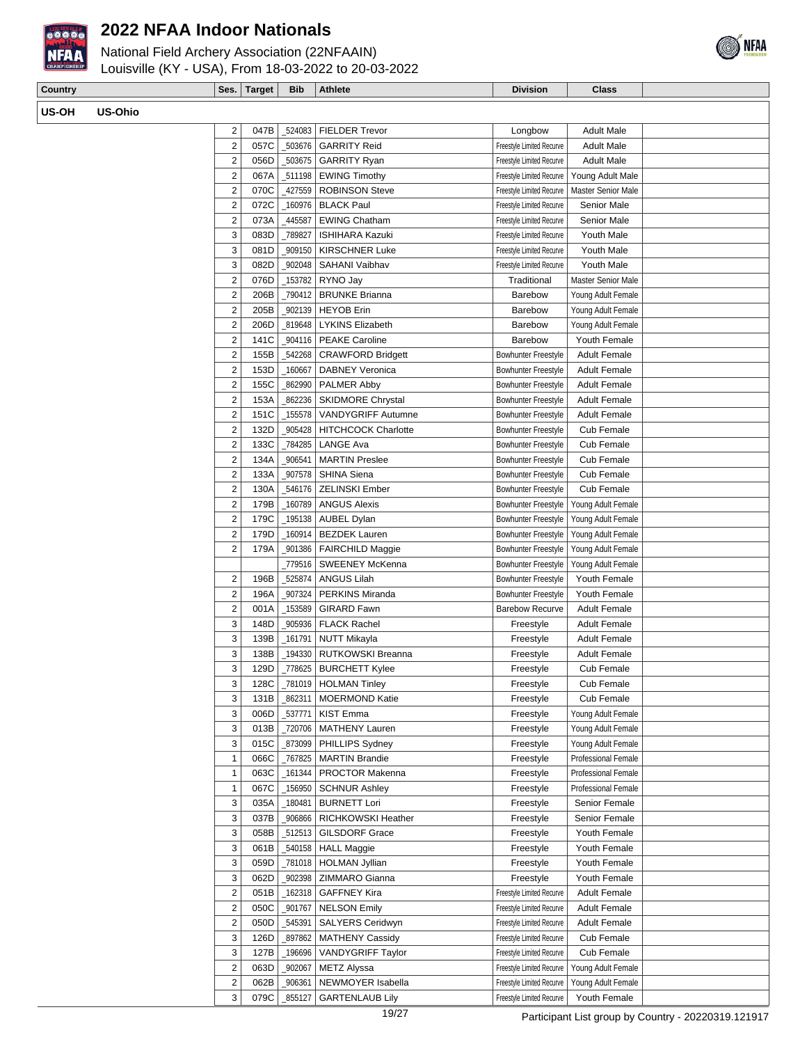

**US-OH US-Ohio**

## **2022 NFAA Indoor Nationals**



| Country |         | Ses.                    | Target | <b>Bib</b> | <b>Athlete</b>              | <b>Division</b>            | <b>Class</b>        |  |
|---------|---------|-------------------------|--------|------------|-----------------------------|----------------------------|---------------------|--|
| US-OH   | US-Ohio |                         |        |            |                             |                            |                     |  |
|         |         |                         |        |            |                             |                            |                     |  |
|         |         | $\overline{\mathbf{c}}$ | 047B   | 524083     | <b>FIELDER Trevor</b>       | Longbow                    | <b>Adult Male</b>   |  |
|         |         | $\mathbf 2$             | 057C   | 503676     | <b>GARRITY Reid</b>         | Freestyle Limited Recurve  | <b>Adult Male</b>   |  |
|         |         | $\overline{2}$          | 056D   | _503675    | <b>GARRITY Ryan</b>         | Freestyle Limited Recurve  | <b>Adult Male</b>   |  |
|         |         | $\overline{2}$          | 067A   | _511198    | <b>EWING Timothy</b>        | Freestyle Limited Recurve  | Young Adult Male    |  |
|         |         | $\overline{2}$          | 070C   | 427559     | <b>ROBINSON Steve</b>       | Freestyle Limited Recurve  | Master Senior Male  |  |
|         |         | $\sqrt{2}$              | 072C   | 160976     | <b>BLACK Paul</b>           | Freestyle Limited Recurve  | Senior Male         |  |
|         |         | $\sqrt{2}$              | 073A   | 445587     | <b>EWING Chatham</b>        | Freestyle Limited Recurve  | Senior Male         |  |
|         |         | 3                       | 083D   | 789827     | <b>ISHIHARA Kazuki</b>      | Freestyle Limited Recurve  | Youth Male          |  |
|         |         | 3                       | 081D   | 909150     | <b>KIRSCHNER Luke</b>       | Freestyle Limited Recurve  | Youth Male          |  |
|         |         | 3                       | 082D   | 902048     | SAHANI Vaibhav              | Freestyle Limited Recurve  | Youth Male          |  |
|         |         | $\sqrt{2}$              | 076D   | 153782     | RYNO Jay                    | Traditional                | Master Senior Male  |  |
|         |         | $\overline{2}$          | 206B   | 790412     | <b>BRUNKE Brianna</b>       | Barebow                    | Young Adult Female  |  |
|         |         | $\overline{2}$          | 205B   | 902139     | HEYOB Erin                  | Barebow                    | Young Adult Female  |  |
|         |         | $\overline{2}$          | 206D   | 819648     | <b>LYKINS Elizabeth</b>     | Barebow                    | Young Adult Female  |  |
|         |         | $\overline{2}$          | 141C   | _904116    | <b>PEAKE Caroline</b>       | Barebow                    | Youth Female        |  |
|         |         | $\sqrt{2}$              | 155B   | _542268    | <b>CRAWFORD Bridgett</b>    | <b>Bowhunter Freestyle</b> | <b>Adult Female</b> |  |
|         |         | $\overline{2}$          | 153D   | 160667     | <b>DABNEY Veronica</b>      | <b>Bowhunter Freestyle</b> | <b>Adult Female</b> |  |
|         |         | $\sqrt{2}$              | 155C   | 862990     | <b>PALMER Abby</b>          | <b>Bowhunter Freestyle</b> | <b>Adult Female</b> |  |
|         |         | $\overline{2}$          | 153A   | 862236     | <b>SKIDMORE Chrystal</b>    | <b>Bowhunter Freestyle</b> | <b>Adult Female</b> |  |
|         |         | $\sqrt{2}$              | 151C   | 155578     | VANDYGRIFF Autumne          | <b>Bowhunter Freestyle</b> | <b>Adult Female</b> |  |
|         |         | $\sqrt{2}$              | 132D   | 905428     | <b>HITCHCOCK Charlotte</b>  | <b>Bowhunter Freestyle</b> | Cub Female          |  |
|         |         | $\overline{2}$          | 133C   | 784285     | LANGE Ava                   | <b>Bowhunter Freestyle</b> | Cub Female          |  |
|         |         | $\overline{2}$          | 134A   | 906541     | <b>MARTIN Preslee</b>       | <b>Bowhunter Freestyle</b> | Cub Female          |  |
|         |         | $\overline{2}$          | 133A   | 907578     | <b>SHINA Siena</b>          | <b>Bowhunter Freestyle</b> | Cub Female          |  |
|         |         | $\sqrt{2}$              | 130A   | 546176     | <b>ZELINSKI Ember</b>       | <b>Bowhunter Freestyle</b> | Cub Female          |  |
|         |         | $\overline{2}$          | 179B   | 160789     | <b>ANGUS Alexis</b>         | Bowhunter Freestyle        | Young Adult Female  |  |
|         |         | $\sqrt{2}$              | 179C   | _195138    | <b>AUBEL Dylan</b>          | Bowhunter Freestyle        | Young Adult Female  |  |
|         |         | $\overline{2}$          | 179D   | 160914     | <b>BEZDEK Lauren</b>        | Bowhunter Freestyle        | Young Adult Female  |  |
|         |         | $\overline{2}$          | 179A   | 901386     | <b>FAIRCHILD Maggie</b>     | <b>Bowhunter Freestyle</b> | Young Adult Female  |  |
|         |         |                         |        | 779516     | <b>SWEENEY McKenna</b>      | Bowhunter Freestyle        | Young Adult Female  |  |
|         |         | 2                       | 196B   | 525874     | <b>ANGUS Lilah</b>          | Bowhunter Freestyle        | Youth Female        |  |
|         |         | $\overline{2}$          | 196A   | _907324    | PERKINS Miranda             | <b>Bowhunter Freestyle</b> | Youth Female        |  |
|         |         | $\overline{2}$          | 001A   | 153589     | <b>GIRARD Fawn</b>          | <b>Barebow Recurve</b>     | <b>Adult Female</b> |  |
|         |         | 3                       | 148D   | _905936    | <b>FLACK Rachel</b>         | Freestyle                  | <b>Adult Female</b> |  |
|         |         | 3                       | 139B   | _161791    | <b>NUTT Mikayla</b>         | Freestyle                  | <b>Adult Female</b> |  |
|         |         | 3                       | 138B   |            | _194330   RUTKOWSKI Breanna | Freestyle                  | <b>Adult Female</b> |  |
|         |         | 3                       | 129D   |            | 778625   BURCHETT Kylee     | Freestyle                  | Cub Female          |  |
|         |         | 3                       | 128C   |            | 781019   HOLMAN Tinley      | Freestyle                  | Cub Female          |  |
|         |         | 3                       | 131B   | 862311     | <b>MOERMOND Katie</b>       | Freestyle                  | Cub Female          |  |
|         |         | 3                       | 006D   | 537771     | KIST Emma                   | Freestyle                  | Young Adult Female  |  |
|         |         | 3                       | 013B   | _720706    | <b>MATHENY Lauren</b>       | Freestyle                  | Young Adult Female  |  |
|         |         | 3                       | 015C   | 873099     | PHILLIPS Sydney             | Freestyle                  | Young Adult Female  |  |
|         |         | $\mathbf{1}$            | 066C   | _767825    | <b>MARTIN Brandie</b>       | Freestyle                  | Professional Female |  |
|         |         | $\mathbf{1}$            | 063C   | _161344    | PROCTOR Makenna             | Freestyle                  | Professional Female |  |
|         |         | $\mathbf{1}$            | 067C   | 156950     | <b>SCHNUR Ashley</b>        | Freestyle                  | Professional Female |  |
|         |         | 3                       | 035A   | 180481     | <b>BURNETT Lori</b>         | Freestyle                  | Senior Female       |  |
|         |         | 3                       | 037B   | 906866     | RICHKOWSKI Heather          | Freestyle                  | Senior Female       |  |
|         |         | 3                       | 058B   | _512513    | <b>GILSDORF Grace</b>       | Freestyle                  | Youth Female        |  |
|         |         | 3                       | 061B   | _540158    | <b>HALL Maggie</b>          | Freestyle                  | Youth Female        |  |
|         |         | 3                       | 059D   | _781018    | <b>HOLMAN Jyllian</b>       | Freestyle                  | Youth Female        |  |
|         |         | 3                       | 062D   | _902398    | ZIMMARO Gianna              | Freestyle                  | Youth Female        |  |
|         |         | $\sqrt{2}$              | 051B   | _162318    | <b>GAFFNEY Kira</b>         | Freestyle Limited Recurve  | <b>Adult Female</b> |  |
|         |         | $\overline{2}$          | 050C   | _901767    | <b>NELSON Emily</b>         | Freestyle Limited Recurve  | <b>Adult Female</b> |  |
|         |         | $\overline{2}$          | 050D   | 545391     | SALYERS Ceridwyn            | Freestyle Limited Recurve  | <b>Adult Female</b> |  |
|         |         | 3                       | 126D   | 897862     | <b>MATHENY Cassidy</b>      | Freestyle Limited Recurve  | Cub Female          |  |
|         |         | 3                       | 127B   | 196696     | VANDYGRIFF Taylor           | Freestyle Limited Recurve  | Cub Female          |  |
|         |         | $\overline{2}$          | 063D   | 902067     | <b>METZ Alyssa</b>          | Freestyle Limited Recurve  | Young Adult Female  |  |
|         |         | $\overline{2}$          | 062B   | 906361     | NEWMOYER Isabella           | Freestyle Limited Recurve  | Young Adult Female  |  |
|         |         | 3                       | 079C   | _855127    | <b>GARTENLAUB Lily</b>      | Freestyle Limited Recurve  | Youth Female        |  |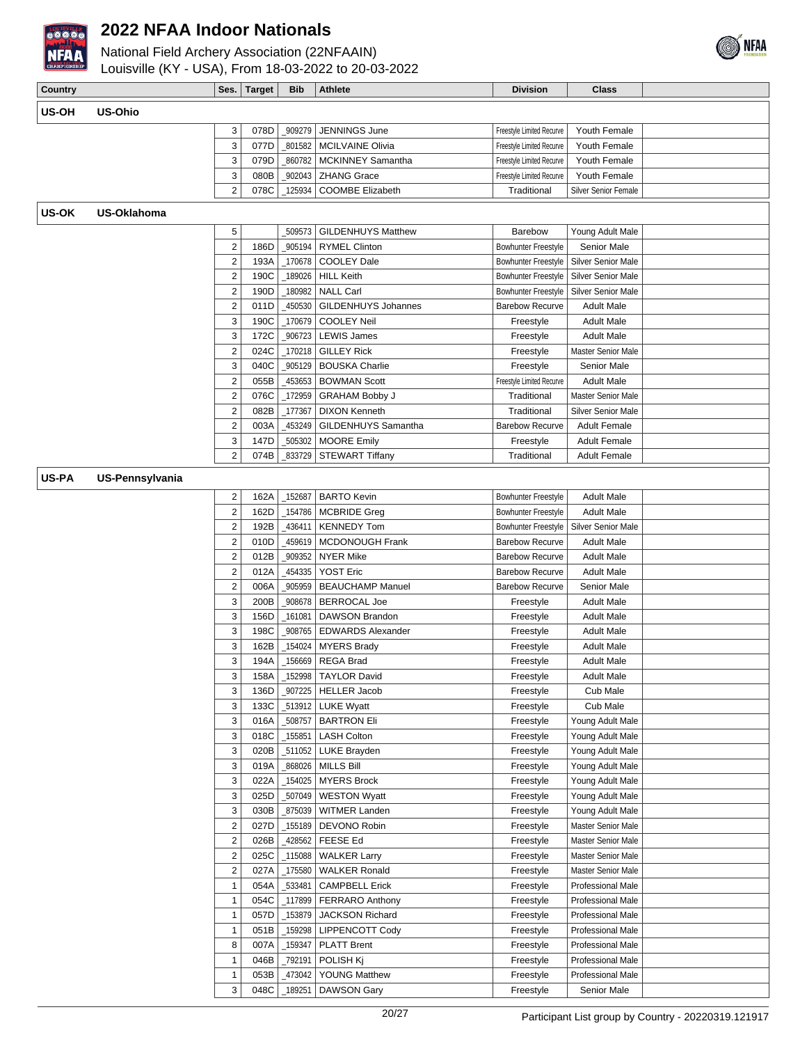



| Country      |                        | Ses.                            | <b>Target</b> | <b>Bib</b>        | <b>Athlete</b>                            | <b>Division</b>                                   | <b>Class</b>                           |  |
|--------------|------------------------|---------------------------------|---------------|-------------------|-------------------------------------------|---------------------------------------------------|----------------------------------------|--|
|              |                        |                                 |               |                   |                                           |                                                   |                                        |  |
| US-OH        | <b>US-Ohio</b>         |                                 |               |                   |                                           |                                                   |                                        |  |
|              |                        | 3                               | 078D          | _909279           | JENNINGS June                             | Freestyle Limited Recurve                         | Youth Female                           |  |
|              |                        | 3                               | 077D          | 801582            | <b>MCILVAINE Olivia</b>                   | Freestyle Limited Recurve                         | Youth Female                           |  |
|              |                        | 3                               | 079D          | 860782            | MCKINNEY Samantha                         | Freestyle Limited Recurve                         | Youth Female                           |  |
|              |                        | 3                               | 080B          | _902043           | <b>ZHANG Grace</b>                        | Freestyle Limited Recurve                         | Youth Female                           |  |
|              |                        | $\overline{\mathbf{c}}$         | 078C          | 125934            | COOMBE Elizabeth                          | Traditional                                       | <b>Silver Senior Female</b>            |  |
| <b>US-OK</b> | <b>US-Oklahoma</b>     |                                 |               |                   |                                           |                                                   |                                        |  |
|              |                        | 5                               |               | _509573           | <b>GILDENHUYS Matthew</b>                 | Barebow                                           | Young Adult Male                       |  |
|              |                        | $\overline{2}$                  | 186D          | 905194            | <b>RYMEL Clinton</b>                      | Bowhunter Freestyle                               | Senior Male                            |  |
|              |                        | 2                               | 193A          | 170678            | <b>COOLEY Dale</b>                        | <b>Bowhunter Freestyle</b>                        | Silver Senior Male                     |  |
|              |                        | $\overline{c}$                  | 190C          | 189026            | <b>HILL Keith</b>                         | <b>Bowhunter Freestyle</b>                        | Silver Senior Male                     |  |
|              |                        | $\mathbf 2$                     | 190D          | 180982            | <b>NALL Carl</b>                          | <b>Bowhunter Freestyle</b>                        | <b>Silver Senior Male</b>              |  |
|              |                        | $\overline{\mathbf{c}}$         | 011D          | 450530            | GILDENHUYS Johannes                       | <b>Barebow Recurve</b>                            | <b>Adult Male</b>                      |  |
|              |                        | 3                               | 190C          | 170679            | <b>COOLEY Neil</b>                        | Freestyle                                         | <b>Adult Male</b>                      |  |
|              |                        | 3                               | 172C          | 906723            | <b>LEWIS James</b>                        | Freestyle                                         | <b>Adult Male</b>                      |  |
|              |                        | $\mathbf 2$                     | 024C          | 170218            | <b>GILLEY Rick</b>                        | Freestyle                                         | <b>Master Senior Male</b>              |  |
|              |                        | 3                               | 040C          | _905129           | <b>BOUSKA Charlie</b>                     | Freestyle                                         | Senior Male                            |  |
|              |                        | $\boldsymbol{2}$                | 055B          | 453653            | <b>BOWMAN Scott</b>                       | Freestyle Limited Recurve                         | <b>Adult Male</b>                      |  |
|              |                        | $\mathbf 2$                     | 076C          | 172959            | <b>GRAHAM Bobby J</b>                     | Traditional                                       | <b>Master Senior Male</b>              |  |
|              |                        | $\mathbf 2$                     | 082B          | 177367            | <b>DIXON Kenneth</b>                      | Traditional                                       | Silver Senior Male                     |  |
|              |                        | $\mathbf 2$                     | 003A          | 453249            | GILDENHUYS Samantha                       | <b>Barebow Recurve</b>                            | <b>Adult Female</b>                    |  |
|              |                        | 3                               | 147D          | 505302            | <b>MOORE Emily</b>                        | Freestyle                                         | <b>Adult Female</b>                    |  |
|              |                        | $\overline{2}$                  | 074B          | 833729            | <b>STEWART Tiffany</b>                    | Traditional                                       | <b>Adult Female</b>                    |  |
| US-PA        | <b>US-Pennsylvania</b> |                                 |               |                   |                                           |                                                   |                                        |  |
|              |                        |                                 |               |                   |                                           |                                                   |                                        |  |
|              |                        | 2                               | 162A          | 152687            | <b>BARTO Kevin</b>                        | Bowhunter Freestyle                               | <b>Adult Male</b><br><b>Adult Male</b> |  |
|              |                        | $\boldsymbol{2}$<br>$\mathbf 2$ | 162D<br>192B  | _154786<br>436411 | <b>MCBRIDE Greg</b><br><b>KENNEDY Tom</b> | <b>Bowhunter Freestyle</b><br>Bowhunter Freestyle | <b>Silver Senior Male</b>              |  |
|              |                        | $\mathbf 2$                     | 010D          | 459619            | MCDONOUGH Frank                           | <b>Barebow Recurve</b>                            | <b>Adult Male</b>                      |  |
|              |                        | $\mathbf 2$                     | 012B          | _909352           | <b>NYER Mike</b>                          | <b>Barebow Recurve</b>                            | <b>Adult Male</b>                      |  |
|              |                        | $\mathbf 2$                     | 012A          | 454335            | <b>YOST Eric</b>                          | <b>Barebow Recurve</b>                            | <b>Adult Male</b>                      |  |
|              |                        | $\mathbf 2$                     | 006A          | _905959           | <b>BEAUCHAMP Manuel</b>                   | <b>Barebow Recurve</b>                            | Senior Male                            |  |
|              |                        | 3                               | 200B          | 908678            | <b>BERROCAL Joe</b>                       | Freestyle                                         | <b>Adult Male</b>                      |  |
|              |                        | 3                               | 156D          | _161081           | <b>DAWSON Brandon</b>                     | Freestyle                                         | <b>Adult Male</b>                      |  |
|              |                        | 3                               | 198C          | _908765           | <b>EDWARDS Alexander</b>                  | Freestyle                                         | <b>Adult Male</b>                      |  |
|              |                        | 3                               | 162B          | _154024           | <b>MYERS Brady</b>                        | Freestyle                                         | <b>Adult Male</b>                      |  |
|              |                        | 3                               | 194A          | 156669            | <b>REGA Brad</b>                          | Freestyle                                         | <b>Adult Male</b>                      |  |
|              |                        | 3                               | 158A          | $-152998$         | <b>TAYLOR David</b>                       | Freestyle                                         | <b>Adult Male</b>                      |  |
|              |                        | 3                               | 136D          | _907225           | HELLER Jacob                              | Freestyle                                         | Cub Male                               |  |
|              |                        | 3                               | 133C          |                   | $-513912$ LUKE Wyatt                      | Freestyle                                         | Cub Male                               |  |
|              |                        | 3                               | 016A          | _508757           | <b>BARTRON Eli</b>                        | Freestyle                                         | Young Adult Male                       |  |
|              |                        | 3                               | 018C          | $-155851$         | <b>LASH Colton</b>                        | Freestyle                                         | Young Adult Male                       |  |
|              |                        | 3                               | 020B          | _511052           | LUKE Brayden                              | Freestyle                                         | Young Adult Male                       |  |
|              |                        | 3                               | 019A          | 868026            | <b>MILLS Bill</b>                         | Freestyle                                         | Young Adult Male                       |  |
|              |                        | 3                               | 022A          | _154025           | <b>MYERS Brock</b>                        | Freestyle                                         | Young Adult Male                       |  |
|              |                        | 3                               | 025D          | _507049           | <b>WESTON Wyatt</b>                       | Freestyle                                         | Young Adult Male                       |  |
|              |                        | 3                               | 030B          | 875039            | <b>WITMER Landen</b>                      | Freestyle                                         | Young Adult Male                       |  |
|              |                        | $\overline{2}$                  | 027D          | _155189           | DEVONO Robin                              | Freestyle                                         | Master Senior Male                     |  |
|              |                        | $\overline{\mathbf{c}}$         | 026B          | 428562            | <b>FEESE Ed</b>                           | Freestyle                                         | Master Senior Male                     |  |
|              |                        | $\overline{\mathbf{c}}$         | 025C          | $-115088$         | <b>WALKER Larry</b>                       | Freestyle                                         | Master Senior Male                     |  |
|              |                        | $\overline{\mathbf{c}}$         | 027A          | _175580           | <b>WALKER Ronald</b>                      | Freestyle                                         | Master Senior Male                     |  |
|              |                        | $\mathbf{1}$                    | 054A          | _533481           | <b>CAMPBELL Erick</b>                     | Freestyle                                         | Professional Male                      |  |
|              |                        | 1                               | 054C          | _117899           | <b>FERRARO Anthony</b>                    | Freestyle                                         | Professional Male                      |  |
|              |                        | 1                               | 057D          | _153879           | JACKSON Richard                           | Freestyle                                         | Professional Male                      |  |
|              |                        | 1                               | 051B          | _159298           | LIPPENCOTT Cody                           | Freestyle                                         | Professional Male                      |  |
|              |                        | 8                               | 007A          | 159347            | <b>PLATT Brent</b>                        | Freestyle                                         | Professional Male                      |  |
|              |                        | $\mathbf{1}$                    | 046B          | _792191           | POLISH Kj                                 | Freestyle                                         | Professional Male                      |  |
|              |                        | $\mathbf{1}$                    | 053B          | 473042            | <b>YOUNG Matthew</b>                      | Freestyle                                         | Professional Male                      |  |
|              |                        | 3                               | 048C          | 189251            | <b>DAWSON Gary</b>                        | Freestyle                                         | Senior Male                            |  |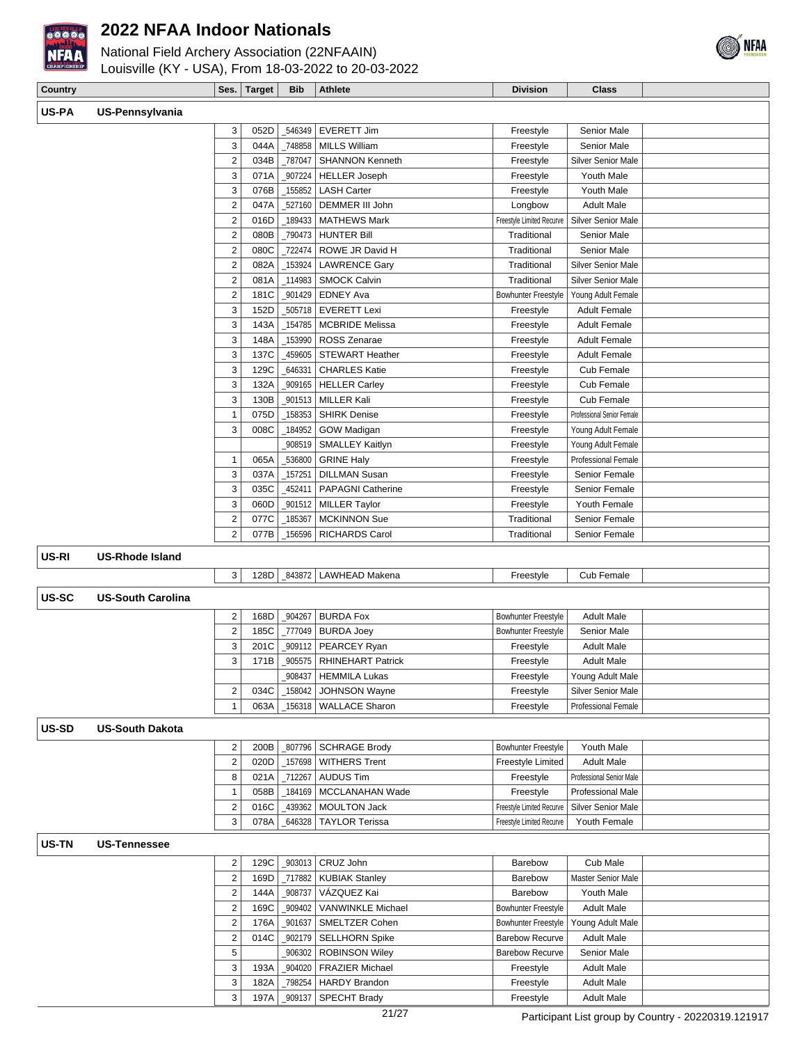

National Field Archery Association (22NFAAIN)



| <b>National Field Archery Association (ZZNFAAIIV)</b> |  |
|-------------------------------------------------------|--|
| Louisville (KY - USA), From 18-03-2022 to 20-03-2022  |  |

| Country      |                          | Ses.                    | <b>Target</b> | <b>Bib</b>         | <b>Athlete</b>           | <b>Division</b>            | <b>Class</b>               |  |
|--------------|--------------------------|-------------------------|---------------|--------------------|--------------------------|----------------------------|----------------------------|--|
| US-PA        | US-Pennsylvania          |                         |               |                    |                          |                            |                            |  |
|              |                          |                         |               |                    | <b>EVERETT Jim</b>       |                            | Senior Male                |  |
|              |                          | 3<br>3                  | 052D<br>044A  | _546349<br>_748858 | <b>MILLS William</b>     | Freestyle<br>Freestyle     | Senior Male                |  |
|              |                          | $\sqrt{2}$              | 034B          | _787047            | <b>SHANNON Kenneth</b>   | Freestyle                  | <b>Silver Senior Male</b>  |  |
|              |                          | 3                       | 071A          | 907224             | <b>HELLER Joseph</b>     | Freestyle                  | Youth Male                 |  |
|              |                          | 3                       | 076B          | 155852             | <b>LASH Carter</b>       | Freestyle                  | Youth Male                 |  |
|              |                          | $\sqrt{2}$              | 047A          | 527160             | DEMMER III John          | Longbow                    | <b>Adult Male</b>          |  |
|              |                          | $\mathbf 2$             | 016D          | 189433             | <b>MATHEWS Mark</b>      | Freestyle Limited Recurve  | Silver Senior Male         |  |
|              |                          | $\sqrt{2}$              | 080B          | _790473            | <b>HUNTER Bill</b>       | Traditional                | Senior Male                |  |
|              |                          | $\sqrt{2}$              | 080C          | 722474             | ROWE JR David H          | Traditional                | Senior Male                |  |
|              |                          | $\boldsymbol{2}$        | 082A          | 153924             | <b>LAWRENCE Gary</b>     | Traditional                | Silver Senior Male         |  |
|              |                          | $\sqrt{2}$              | 081A          | 114983             | <b>SMOCK Calvin</b>      | Traditional                | Silver Senior Male         |  |
|              |                          | $\sqrt{2}$              | 181C          | 901429             | <b>EDNEY Ava</b>         | <b>Bowhunter Freestyle</b> | Young Adult Female         |  |
|              |                          | 3                       | 152D          | 505718             | <b>EVERETT Lexi</b>      | Freestyle                  | <b>Adult Female</b>        |  |
|              |                          | 3                       | 143A          | 154785             | <b>MCBRIDE Melissa</b>   | Freestyle                  | <b>Adult Female</b>        |  |
|              |                          | 3                       | 148A          | 153990             | ROSS Zenarae             | Freestyle                  | <b>Adult Female</b>        |  |
|              |                          | 3                       | 137C          | 459605             | <b>STEWART Heather</b>   | Freestyle                  | <b>Adult Female</b>        |  |
|              |                          | 3                       | 129C          | 646331             | <b>CHARLES Katie</b>     | Freestyle                  | Cub Female                 |  |
|              |                          | 3                       | 132A          | 909165             | <b>HELLER Carley</b>     | Freestyle                  | Cub Female                 |  |
|              |                          | 3                       | 130B          | 901513             | <b>MILLER Kali</b>       | Freestyle                  | Cub Female                 |  |
|              |                          | $\mathbf{1}$            | 075D          | 158353             | <b>SHIRK Denise</b>      | Freestyle                  | Professional Senior Female |  |
|              |                          | 3                       | 008C          | 184952             | GOW Madigan              | Freestyle                  | Young Adult Female         |  |
|              |                          |                         |               | 908519             | <b>SMALLEY Kaitlyn</b>   | Freestyle                  | Young Adult Female         |  |
|              |                          | $\mathbf{1}$            | 065A          | _536800            | <b>GRINE Haly</b>        | Freestyle                  | Professional Female        |  |
|              |                          | 3                       | 037A          | 157251             | <b>DILLMAN Susan</b>     | Freestyle                  | Senior Female              |  |
|              |                          | 3                       | 035C          | 452411             | PAPAGNI Catherine        | Freestyle                  | Senior Female              |  |
|              |                          | 3                       | 060D          | 901512             | <b>MILLER Taylor</b>     | Freestyle                  | Youth Female               |  |
|              |                          | $\overline{c}$          | 077C          | 185367             | <b>MCKINNON Sue</b>      | Traditional                | Senior Female              |  |
|              |                          | $\overline{2}$          | 077B          | _156596            | <b>RICHARDS Carol</b>    | Traditional                | Senior Female              |  |
|              |                          |                         |               |                    |                          |                            |                            |  |
| US-RI        | <b>US-Rhode Island</b>   |                         |               |                    |                          |                            |                            |  |
|              |                          | 3                       | 128D          | 843872             | <b>LAWHEAD Makena</b>    | Freestyle                  | Cub Female                 |  |
| US-SC        | <b>US-South Carolina</b> |                         |               |                    |                          |                            |                            |  |
|              |                          | 2                       | 168D          | _904267            | <b>BURDA Fox</b>         | <b>Bowhunter Freestyle</b> | <b>Adult Male</b>          |  |
|              |                          | $\overline{2}$          | 185C          | _777049            | <b>BURDA Joey</b>        | <b>Bowhunter Freestyle</b> | Senior Male                |  |
|              |                          | 3                       | 201C          | 909112             | PEARCEY Ryan             | Freestyle                  | <b>Adult Male</b>          |  |
|              |                          | 3                       | 171B          | 905575             | <b>RHINEHART Patrick</b> | Freestyle                  | <b>Adult Male</b>          |  |
|              |                          |                         |               | _908437            | <b>HEMMILA Lukas</b>     | Freestyle                  | Young Adult Male           |  |
|              |                          | $\overline{\mathbf{c}}$ | 034C          | _158042            | JOHNSON Wayne            | Freestyle                  | Silver Senior Male         |  |
|              |                          | $\mathbf{1}$            | 063A          |                    | _156318   WALLACE Sharon | Freestyle                  | Professional Female        |  |
|              |                          |                         |               |                    |                          |                            |                            |  |
| <b>US-SD</b> | <b>US-South Dakota</b>   |                         |               |                    |                          |                            |                            |  |
|              |                          | $\sqrt{2}$              | 200B          | 807796             | <b>SCHRAGE Brody</b>     | <b>Bowhunter Freestyle</b> | Youth Male                 |  |
|              |                          | $\sqrt{2}$              | 020D          | _157698            | <b>WITHERS Trent</b>     | Freestyle Limited          | <b>Adult Male</b>          |  |
|              |                          | 8                       | 021A          | _712267            | <b>AUDUS Tim</b>         | Freestyle                  | Professional Senior Male   |  |
|              |                          | $\mathbf{1}$            | 058B          | _184169            | MCCLANAHAN Wade          | Freestyle                  | Professional Male          |  |
|              |                          | $\sqrt{2}$              | 016C          | 439362             | <b>MOULTON Jack</b>      | Freestyle Limited Recurve  | Silver Senior Male         |  |
|              |                          | 3                       | 078A          | 646328             | <b>TAYLOR Terissa</b>    | Freestyle Limited Recurve  | Youth Female               |  |
| US-TN        | <b>US-Tennessee</b>      |                         |               |                    |                          |                            |                            |  |
|              |                          | $\overline{\mathbf{c}}$ | 129C          |                    | _903013 CRUZ John        | Barebow                    | Cub Male                   |  |
|              |                          | $\boldsymbol{2}$        | 169D          | _717882            | <b>KUBIAK Stanley</b>    | Barebow                    | Master Senior Male         |  |
|              |                          | $\overline{\mathbf{c}}$ | 144A          | 908737             | VÁZQUEZ Kai              | Barebow                    | Youth Male                 |  |
|              |                          | $\sqrt{2}$              | 169C          | _909402            | <b>VANWINKLE Michael</b> | <b>Bowhunter Freestyle</b> | <b>Adult Male</b>          |  |
|              |                          | $\sqrt{2}$              | 176A          | _901637            | SMELTZER Cohen           | <b>Bowhunter Freestyle</b> | Young Adult Male           |  |
|              |                          | $\sqrt{2}$              | 014C          | _902179            | <b>SELLHORN Spike</b>    | <b>Barebow Recurve</b>     | <b>Adult Male</b>          |  |
|              |                          | $\,$ 5 $\,$             |               | 906302             | <b>ROBINSON Wiley</b>    | <b>Barebow Recurve</b>     | Senior Male                |  |
|              |                          | 3                       | 193A          |                    | _904020 FRAZIER Michael  | Freestyle                  | <b>Adult Male</b>          |  |

3 182A \_798254 HARDY Brandon Freestyle Adult Male 3 197A \_909137 SPECHT Brady Freestyle Adult Male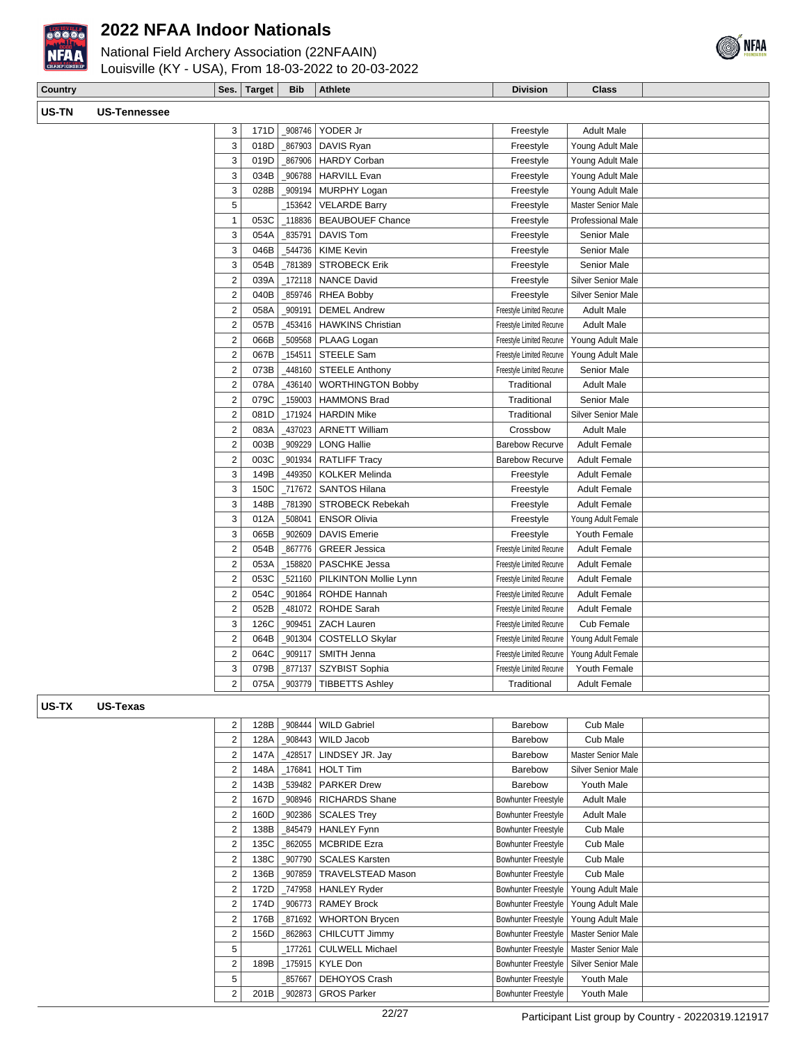

National Field Archery Association (22NFAAIN)



## Louisville (KY - USA), From 18-03-2022 to 20-03-2022

| Country      |              |                | Ses. Target | <b>Bib</b> | Athlete                          | <b>Division</b> | <b>Class</b>              |  |
|--------------|--------------|----------------|-------------|------------|----------------------------------|-----------------|---------------------------|--|
| <b>US-TN</b> | US-Tennessee |                |             |            |                                  |                 |                           |  |
|              |              | 3              |             |            | 171D   908746   YODER Jr         | Freestyle       | <b>Adult Male</b>         |  |
|              |              | 3              |             |            | 018D   867903   DAVIS Ryan       | Freestyle       | Young Adult Male          |  |
|              |              | 3              |             |            | 019D   867906   HARDY Corban     | Freestyle       | Young Adult Male          |  |
|              |              | 3              |             |            | 034B   906788   HARVILL Evan     | Freestyle       | Young Adult Male          |  |
|              |              | 3              |             |            | 028B   909194   MURPHY Logan     | Freestyle       | Young Adult Male          |  |
|              |              | 5              |             |            | 153642   VELARDE Barry           | Freestyle       | <b>Master Senior Male</b> |  |
|              |              |                |             |            | 053C   118836   BEAUBOUEF Chance | Freestyle       | <b>Professional Male</b>  |  |
|              |              | 3 <sub>1</sub> |             |            | 054A   835791   DAVIS Tom        | Freestyle       | Senior Male               |  |

| 3              | 054A | 835791  | <b>DAVIS Tom</b>         | Freestyle                 | Senior Male               |  |
|----------------|------|---------|--------------------------|---------------------------|---------------------------|--|
| 3              | 046B | 544736  | <b>KIME Kevin</b>        | Freestyle                 | Senior Male               |  |
| 3              | 054B | 781389  | <b>STROBECK Erik</b>     | Freestyle                 | Senior Male               |  |
| 2              | 039A | 172118  | <b>NANCE David</b>       | Freestyle                 | <b>Silver Senior Male</b> |  |
| $\overline{2}$ | 040B | 859746  | <b>RHEA Bobby</b>        | Freestyle                 | Silver Senior Male        |  |
| $\overline{2}$ | 058A | 909191  | <b>DEMEL Andrew</b>      | Freestyle Limited Recurve | <b>Adult Male</b>         |  |
| $\overline{2}$ | 057B | 453416  | <b>HAWKINS Christian</b> | Freestyle Limited Recurve | <b>Adult Male</b>         |  |
| 2              | 066B | 509568  | PLAAG Logan              | Freestyle Limited Recurve | Young Adult Male          |  |
| $\overline{2}$ | 067B | 154511  | <b>STEELE Sam</b>        | Freestyle Limited Recurve | Young Adult Male          |  |
| 2              | 073B | 448160  | <b>STEELE Anthony</b>    | Freestyle Limited Recurve | Senior Male               |  |
| $\overline{2}$ | 078A | 436140  | <b>WORTHINGTON Bobby</b> | Traditional               | <b>Adult Male</b>         |  |
| $\overline{2}$ | 079C | 159003  | <b>HAMMONS Brad</b>      | Traditional               | Senior Male               |  |
| 2              | 081D | 171924  | <b>HARDIN Mike</b>       | Traditional               | <b>Silver Senior Male</b> |  |
| $\overline{2}$ | 083A | 437023  | <b>ARNETT William</b>    | Crossbow                  | <b>Adult Male</b>         |  |
| $\overline{2}$ | 003B | 909229  | <b>LONG Hallie</b>       | <b>Barebow Recurve</b>    | <b>Adult Female</b>       |  |
| $\overline{2}$ | 003C | 901934  | <b>RATLIFF Tracy</b>     | <b>Barebow Recurve</b>    | <b>Adult Female</b>       |  |
| 3              | 149B | 449350  | <b>KOLKER Melinda</b>    | Freestyle                 | <b>Adult Female</b>       |  |
| 3              | 150C | 717672  | <b>SANTOS Hilana</b>     | Freestyle                 | <b>Adult Female</b>       |  |
| 3              | 148B | 781390  | <b>STROBECK Rebekah</b>  | Freestyle                 | <b>Adult Female</b>       |  |
| 3              | 012A | 508041  | <b>ENSOR Olivia</b>      | Freestyle                 | Young Adult Female        |  |
| 3              | 065B | 902609  | <b>DAVIS Emerie</b>      | Freestyle                 | Youth Female              |  |
| $\overline{2}$ | 054B | 867776  | <b>GREER Jessica</b>     | Freestyle Limited Recurve | <b>Adult Female</b>       |  |
| $\overline{2}$ | 053A | _158820 | <b>PASCHKE Jessa</b>     | Freestyle Limited Recurve | <b>Adult Female</b>       |  |
| $\overline{2}$ | 053C | 521160  | PILKINTON Mollie Lynn    | Freestyle Limited Recurve | <b>Adult Female</b>       |  |
| $\overline{2}$ | 054C | 901864  | ROHDE Hannah             | Freestyle Limited Recurve | <b>Adult Female</b>       |  |
| 2              | 052B | 481072  | ROHDE Sarah              | Freestyle Limited Recurve | <b>Adult Female</b>       |  |
| 3              | 126C | 909451  | <b>ZACH Lauren</b>       | Freestyle Limited Recurve | Cub Female                |  |
| $\overline{2}$ | 064B | 901304  | <b>COSTELLO Skylar</b>   | Freestyle Limited Recurve | Young Adult Female        |  |
| $\overline{2}$ | 064C | 909117  | SMITH Jenna              | Freestyle Limited Recurve | Young Adult Female        |  |
| 3              | 079B | 877137  | SZYBIST Sophia           | Freestyle Limited Recurve | Youth Female              |  |
| 2              | 075A | 903779  | <b>TIBBETTS Ashley</b>   | Traditional               | <b>Adult Female</b>       |  |
|                |      |         |                          |                           |                           |  |

#### **US-TX US-Texas**

| 2              | 128B | 908444 | <b>WILD Gabriel</b>      | Barebow             | Cub Male                  |  |
|----------------|------|--------|--------------------------|---------------------|---------------------------|--|
| $\overline{2}$ | 128A | 908443 | WILD Jacob               | Barebow             | Cub Male                  |  |
| 2              | 147A | 428517 | LINDSEY JR. Jay          | Barebow             | <b>Master Senior Male</b> |  |
| 2              | 148A | 176841 | <b>HOLT Tim</b>          | Barebow             | <b>Silver Senior Male</b> |  |
| 2              | 143B | 539482 | <b>PARKER Drew</b>       | Barebow             | Youth Male                |  |
| 2              | 167D | 908946 | <b>RICHARDS Shane</b>    | Bowhunter Freestyle | <b>Adult Male</b>         |  |
| 2              | 160D | 902386 | <b>SCALES Trey</b>       | Bowhunter Freestyle | <b>Adult Male</b>         |  |
| 2              | 138B | 845479 | <b>HANLEY Fynn</b>       | Bowhunter Freestyle | Cub Male                  |  |
| 2              | 135C | 862055 | <b>MCBRIDE Ezra</b>      | Bowhunter Freestyle | Cub Male                  |  |
| 2              | 138C | 907790 | <b>SCALES Karsten</b>    | Bowhunter Freestyle | Cub Male                  |  |
| 2              | 136B | 907859 | <b>TRAVELSTEAD Mason</b> | Bowhunter Freestyle | Cub Male                  |  |
| 2              | 172D | 747958 | <b>HANLEY Ryder</b>      | Bowhunter Freestyle | Young Adult Male          |  |
| 2              | 174D | 906773 | <b>RAMEY Brock</b>       | Bowhunter Freestyle | Young Adult Male          |  |
| 2              | 176B | 871692 | <b>WHORTON Brycen</b>    | Bowhunter Freestyle | Young Adult Male          |  |
| $\overline{2}$ | 156D | 862863 | CHILCUTT Jimmy           | Bowhunter Freestyle | <b>Master Senior Male</b> |  |
| 5              |      | 177261 | <b>CULWELL Michael</b>   | Bowhunter Freestyle | Master Senior Male        |  |
| 2              | 189B | 175915 | <b>KYLE Don</b>          | Bowhunter Freestyle | <b>Silver Senior Male</b> |  |
| 5              |      | 857667 | DEHOYOS Crash            | Bowhunter Freestyle | Youth Male                |  |
| 2              | 201B | 902873 | <b>GROS Parker</b>       | Bowhunter Freestyle | Youth Male                |  |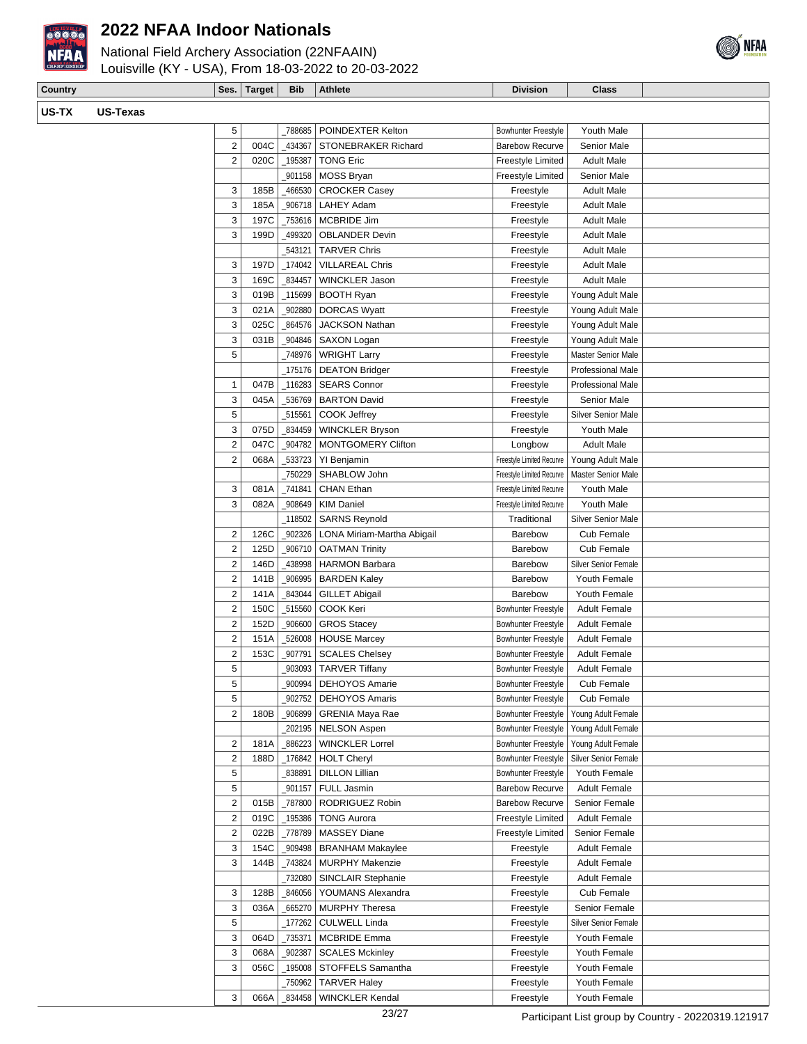

National Field Archery Association (22NFAAIN)



| <b>Country</b> |          |                         | Ses. Target | <b>Bib</b> | <b>Athlete</b>             | <b>Division</b>            | Class                       |  |
|----------------|----------|-------------------------|-------------|------------|----------------------------|----------------------------|-----------------------------|--|
| US-TX          | US-Texas |                         |             |            |                            |                            |                             |  |
|                |          | 5                       |             | 788685     | POINDEXTER Kelton          | <b>Bowhunter Freestyle</b> | Youth Male                  |  |
|                |          | $\overline{c}$          | 004C        | _434367    | STONEBRAKER Richard        | <b>Barebow Recurve</b>     | Senior Male                 |  |
|                |          | $\overline{2}$          | 020C        | _195387    | <b>TONG Eric</b>           | Freestyle Limited          | <b>Adult Male</b>           |  |
|                |          |                         |             | _901158    | MOSS Bryan                 | Freestyle Limited          | Senior Male                 |  |
|                |          | 3                       | 185B        | 466530     | <b>CROCKER Casey</b>       | Freestyle                  | <b>Adult Male</b>           |  |
|                |          | 3                       | 185A        | _906718    | LAHEY Adam                 | Freestyle                  | <b>Adult Male</b>           |  |
|                |          | 3                       | 197C        | _753616    | MCBRIDE Jim                | Freestyle                  | <b>Adult Male</b>           |  |
|                |          | 3                       | 199D        | 499320     | <b>OBLANDER Devin</b>      | Freestyle                  | <b>Adult Male</b>           |  |
|                |          |                         |             | _543121    | <b>TARVER Chris</b>        | Freestyle                  | <b>Adult Male</b>           |  |
|                |          | 3                       | 197D        | _174042    | <b>VILLAREAL Chris</b>     | Freestyle                  | <b>Adult Male</b>           |  |
|                |          | 3                       | 169C        | 834457     | <b>WINCKLER Jason</b>      | Freestyle                  | <b>Adult Male</b>           |  |
|                |          | 3                       | 019B        | _115699    | <b>BOOTH Ryan</b>          | Freestyle                  | Young Adult Male            |  |
|                |          | 3                       | 021A        | _902880    | <b>DORCAS Wyatt</b>        | Freestyle                  | Young Adult Male            |  |
|                |          | 3                       | 025C        | 864576     | <b>JACKSON Nathan</b>      | Freestyle                  | Young Adult Male            |  |
|                |          | 3                       | 031B        | _904846    | SAXON Logan                | Freestyle                  | Young Adult Male            |  |
|                |          | 5                       |             | 748976     | <b>WRIGHT Larry</b>        | Freestyle                  | Master Senior Male          |  |
|                |          |                         |             |            | 175176   DEATON Bridger    | Freestyle                  | <b>Professional Male</b>    |  |
|                |          | 1                       | 047B        | $-116283$  | <b>SEARS Connor</b>        | Freestyle                  | Professional Male           |  |
|                |          | 3                       | 045A        | 536769     | <b>BARTON David</b>        | Freestyle                  | Senior Male                 |  |
|                |          | 5                       |             | _515561    | COOK Jeffrey               | Freestyle                  | <b>Silver Senior Male</b>   |  |
|                |          | 3                       | 075D        | _834459    | <b>WINCKLER Bryson</b>     | Freestyle                  | Youth Male                  |  |
|                |          | $\overline{2}$          | 047C        | _904782    | <b>MONTGOMERY Clifton</b>  | Longbow                    | <b>Adult Male</b>           |  |
|                |          | $\sqrt{2}$              | 068A        | _533723    | YI Benjamin                | Freestyle Limited Recurve  | Young Adult Male            |  |
|                |          |                         |             | 750229     | SHABLOW John               | Freestyle Limited Recurve  | Master Senior Male          |  |
|                |          | 3                       | 081A        | 741841     | CHAN Ethan                 | Freestyle Limited Recurve  | Youth Male                  |  |
|                |          | 3                       | 082A        | 908649     | <b>KIM Daniel</b>          | Freestyle Limited Recurve  | Youth Male                  |  |
|                |          |                         |             | _118502    | <b>SARNS Reynold</b>       | Traditional                | Silver Senior Male          |  |
|                |          | $\overline{2}$          | 126C        | _902326    | LONA Miriam-Martha Abigail | Barebow                    | Cub Female                  |  |
|                |          | $\overline{2}$          | 125D        | _906710    | <b>OATMAN Trinity</b>      | Barebow                    | Cub Female                  |  |
|                |          | $\overline{2}$          | 146D        | 438998     | <b>HARMON Barbara</b>      | Barebow                    | <b>Silver Senior Female</b> |  |
|                |          | $\overline{2}$          | 141B        | _906995    | <b>BARDEN Kaley</b>        | <b>Barebow</b>             | Youth Female                |  |
|                |          | $\overline{2}$          | 141A        | _843044    | <b>GILLET Abigail</b>      | Barebow                    | Youth Female                |  |
|                |          | $\overline{2}$          | 150C        | _515560    | COOK Keri                  | Bowhunter Freestyle        | <b>Adult Female</b>         |  |
|                |          | $\overline{2}$          | 152D        | _906600    | <b>GROS Stacey</b>         | <b>Bowhunter Freestyle</b> | <b>Adult Female</b>         |  |
|                |          | $\mathbf 2$             | 151A        |            | _526008   HOUSE Marcey     | <b>Bowhunter Freestyle</b> | <b>Adult Female</b>         |  |
|                |          | $\sqrt{2}$              | 153C        |            | _907791 SCALES Chelsey     | Bowhunter Freestyle        | <b>Adult Female</b>         |  |
|                |          | 5                       |             | _903093    | <b>TARVER Tiffany</b>      | <b>Bowhunter Freestyle</b> | <b>Adult Female</b>         |  |
|                |          | 5                       |             | 900994     | DEHOYOS Amarie             | <b>Bowhunter Freestyle</b> | Cub Female                  |  |
|                |          | 5                       |             | 902752     | <b>DEHOYOS Amaris</b>      | <b>Bowhunter Freestyle</b> | Cub Female                  |  |
|                |          | $\overline{2}$          | 180B        | 906899     | <b>GRENIA Maya Rae</b>     | <b>Bowhunter Freestyle</b> | Young Adult Female          |  |
|                |          |                         |             | _202195    | <b>NELSON Aspen</b>        | <b>Bowhunter Freestyle</b> | Young Adult Female          |  |
|                |          | 2                       | 181A        | _886223    | <b>WINCKLER Lorrel</b>     | Bowhunter Freestyle        | Young Adult Female          |  |
|                |          | $\overline{\mathbf{c}}$ | 188D        | _176842    | <b>HOLT Cheryl</b>         | <b>Bowhunter Freestyle</b> | Silver Senior Female        |  |
|                |          | 5                       |             | 838891     | <b>DILLON Lillian</b>      | <b>Bowhunter Freestyle</b> | Youth Female                |  |

5 | 901157 | FULL Jasmin Barebow Recurve | Adult Female 2 015B 787800 RODRIGUEZ Robin Barebow Recurve Senior Female 2 019C 195386 TONG Aurora Freestyle Limited Adult Female 2 022B | 778789 | MASSEY Diane Freestyle Limited Senior Female 3 154C \_909498 BRANHAM Makaylee Freestyle Adult Female 3 144B | 743824 | MURPHY Makenzie | Freestyle | Adult Female

3 128B 346056 YOUMANS Alexandra Freestyle Cub Female 3 036A 665270 MURPHY Theresa Freestyle Senior Female 5 | 177262 CULWELL Linda Freestyle Silver Senior Female 3 064D | 735371 | MCBRIDE Emma Freestyle | Youth Female 3 068A 902387 SCALES Mckinley Charge The Freestyle Youth Female 3 056C | 195008 STOFFELS Samantha Freestyle Youth Female

3 066A \_834458 WINCKLER Kendal Freestyle Youth Female

\_732080 SINCLAIR Stephanie Freestyle Adult Female

\_750962 TARVER Haley Freestyle | Youth Female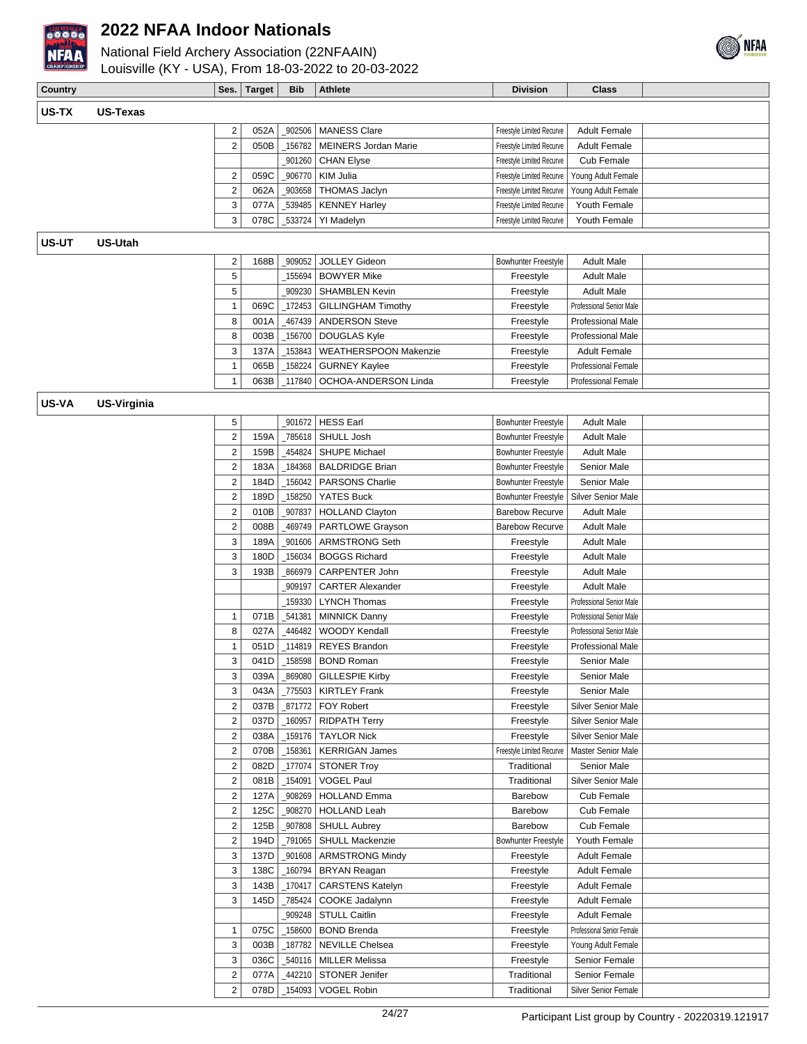

National Field Archery Association (22NFAAIN) Louisville (KY - USA), From 18-03-2022 to 20-03-2022



| Country |                    | Ses.                    | <b>Target</b> | <b>Bib</b> | Athlete                                    | <b>Division</b>            | <b>Class</b>               |  |
|---------|--------------------|-------------------------|---------------|------------|--------------------------------------------|----------------------------|----------------------------|--|
|         |                    |                         |               |            |                                            |                            |                            |  |
| US-TX   | <b>US-Texas</b>    |                         |               |            |                                            |                            |                            |  |
|         |                    | $\overline{\mathbf{c}}$ | 052A          | _902506    | <b>MANESS Clare</b>                        | Freestyle Limited Recurve  | <b>Adult Female</b>        |  |
|         |                    | $\mathbf 2$             | 050B          | _156782    | <b>MEINERS Jordan Marie</b>                | Freestyle Limited Recurve  | <b>Adult Female</b>        |  |
|         |                    |                         |               | 901260     | <b>CHAN Elyse</b>                          | Freestyle Limited Recurve  | Cub Female                 |  |
|         |                    | 2                       | 059C          | _906770    | KIM Julia                                  | Freestyle Limited Recurve  | Young Adult Female         |  |
|         |                    | $\mathbf 2$             | 062A          | _903658    | <b>THOMAS Jaclyn</b>                       | Freestyle Limited Recurve  | Young Adult Female         |  |
|         |                    | 3                       | 077A          | 539485     | <b>KENNEY Harley</b>                       | Freestyle Limited Recurve  | Youth Female               |  |
|         |                    | 3                       | 078C          | _533724    | YI Madelyn                                 | Freestyle Limited Recurve  | Youth Female               |  |
|         |                    |                         |               |            |                                            |                            |                            |  |
| US-UT   | <b>US-Utah</b>     |                         |               |            |                                            |                            |                            |  |
|         |                    | 2                       | 168B          | _909052    | <b>JOLLEY Gideon</b>                       | Bowhunter Freestyle        | <b>Adult Male</b>          |  |
|         |                    | 5                       |               | 155694     | <b>BOWYER Mike</b>                         | Freestyle                  | <b>Adult Male</b>          |  |
|         |                    | 5                       |               | _909230    | <b>SHAMBLEN Kevin</b>                      | Freestyle                  | <b>Adult Male</b>          |  |
|         |                    | $\mathbf{1}$            | 069C          | 172453     | <b>GILLINGHAM Timothy</b>                  | Freestyle                  | Professional Senior Male   |  |
|         |                    | 8                       | 001A          | 467439     | <b>ANDERSON Steve</b>                      | Freestyle                  | Professional Male          |  |
|         |                    | 8                       | 003B          | _156700    | <b>DOUGLAS Kyle</b>                        | Freestyle                  | Professional Male          |  |
|         |                    | 3                       | 137A          | _153843    | <b>WEATHERSPOON Makenzie</b>               | Freestyle                  | <b>Adult Female</b>        |  |
|         |                    | $\mathbf{1}$            | 065B          | 158224     | <b>GURNEY Kaylee</b>                       | Freestyle                  | <b>Professional Female</b> |  |
|         |                    | $\mathbf{1}$            | 063B          | _117840    | OCHOA-ANDERSON Linda                       |                            | <b>Professional Female</b> |  |
|         |                    |                         |               |            |                                            | Freestyle                  |                            |  |
| US-VA   | <b>US-Virginia</b> |                         |               |            |                                            |                            |                            |  |
|         |                    | 5                       |               | _901672    | <b>HESS Earl</b>                           | <b>Bowhunter Freestyle</b> | <b>Adult Male</b>          |  |
|         |                    | $\overline{c}$          | 159A          | _785618    | SHULL Josh                                 | <b>Bowhunter Freestyle</b> | <b>Adult Male</b>          |  |
|         |                    | $\mathbf 2$             | 159B          | 454824     | SHUPE Michael                              | <b>Bowhunter Freestyle</b> | <b>Adult Male</b>          |  |
|         |                    | $\overline{c}$          |               | _184368    | <b>BALDRIDGE Brian</b>                     | <b>Bowhunter Freestyle</b> | Senior Male                |  |
|         |                    |                         | 183A          |            |                                            |                            |                            |  |
|         |                    | $\mathbf 2$             | 184D          | 156042     | <b>PARSONS Charlie</b>                     | Bowhunter Freestyle        | Senior Male                |  |
|         |                    | $\overline{\mathbf{c}}$ | 189D          | _158250    | YATES Buck                                 | Bowhunter Freestyle        | Silver Senior Male         |  |
|         |                    | $\boldsymbol{2}$        | 010B          | _907837    | <b>HOLLAND Clayton</b>                     | <b>Barebow Recurve</b>     | <b>Adult Male</b>          |  |
|         |                    | $\mathbf 2$             | 008B          | 469749     | PARTLOWE Grayson                           | <b>Barebow Recurve</b>     | <b>Adult Male</b>          |  |
|         |                    | 3                       | 189A          | _901606    | <b>ARMSTRONG Seth</b>                      | Freestyle                  | <b>Adult Male</b>          |  |
|         |                    | 3                       | 180D          | _156034    | <b>BOGGS Richard</b>                       | Freestyle                  | <b>Adult Male</b>          |  |
|         |                    | 3                       | 193B          | _866979    | CARPENTER John                             | Freestyle                  | <b>Adult Male</b>          |  |
|         |                    |                         |               | _909197    | <b>CARTER Alexander</b>                    | Freestyle                  | <b>Adult Male</b>          |  |
|         |                    |                         |               | _159330    | <b>LYNCH Thomas</b>                        | Freestyle                  | Professional Senior Male   |  |
|         |                    | 1                       | 071B          | _541381    | <b>MINNICK Danny</b>                       | Freestyle                  | Professional Senior Male   |  |
|         |                    | 8                       | 027A          | _446482    | WOODY Kendall                              | Freestyle                  | Professional Senior Male   |  |
|         |                    | 1                       | 051D          | _114819    | <b>REYES Brandon</b>                       | Freestyle                  | Professional Male          |  |
|         |                    | 3                       | 041D          |            | _158598 BOND Roman                         | Freestyle                  | <b>Senior Male</b>         |  |
|         |                    | 3                       | 039A          | _869080    | <b>GILLESPIE Kirby</b>                     | Freestyle                  | Senior Male                |  |
|         |                    | 3                       | 043A          |            | _775503   KIRTLEY Frank                    | Freestyle                  | Senior Male                |  |
|         |                    | $\mathbf 2$             | 037B          |            | $-871772$ FOY Robert                       | Freestyle                  | Silver Senior Male         |  |
|         |                    | 2                       | 037D          | $-160957$  | <b>RIDPATH Terry</b>                       | Freestyle                  | Silver Senior Male         |  |
|         |                    | $\mathbf 2$             | 038A          |            | _159176 TAYLOR Nick                        | Freestyle                  | Silver Senior Male         |  |
|         |                    | $\overline{\mathbf{c}}$ | 070B          | $\_158361$ | <b>KERRIGAN James</b>                      | Freestyle Limited Recurve  | Master Senior Male         |  |
|         |                    | $\overline{\mathbf{c}}$ | 082D          | $-177074$  | <b>STONER Troy</b>                         | Traditional                | Senior Male                |  |
|         |                    | $\mathbf 2$             | 081B          | _154091    | <b>VOGEL Paul</b>                          | Traditional                | Silver Senior Male         |  |
|         |                    | $\mathbf 2$             | 127A          | _908269    | <b>HOLLAND Emma</b>                        | Barebow                    | Cub Female                 |  |
|         |                    | $\overline{c}$          | 125C          | _908270    | <b>HOLLAND Leah</b>                        | Barebow                    | Cub Female                 |  |
|         |                    | $\overline{\mathbf{c}}$ | 125B          | _907808    | <b>SHULL Aubrey</b>                        | Barebow                    | Cub Female                 |  |
|         |                    | $\overline{\mathbf{c}}$ | 194D          | _791065    | <b>SHULL Mackenzie</b>                     | <b>Bowhunter Freestyle</b> | Youth Female               |  |
|         |                    | 3                       | 137D          | _901608    | <b>ARMSTRONG Mindy</b>                     | Freestyle                  | <b>Adult Female</b>        |  |
|         |                    | 3                       | 138C          | _160794    | BRYAN Reagan                               | Freestyle                  | <b>Adult Female</b>        |  |
|         |                    | 3                       | 143B          | $\_170417$ | <b>CARSTENS Katelyn</b>                    | Freestyle                  | <b>Adult Female</b>        |  |
|         |                    | 3                       | 145D          | _785424    | COOKE Jadalynn                             | Freestyle                  | <b>Adult Female</b>        |  |
|         |                    |                         |               | _909248    |                                            | Freestyle                  | <b>Adult Female</b>        |  |
|         |                    |                         | 075C          |            | <b>STULL Caitlin</b><br><b>BOND Brenda</b> |                            | Professional Senior Female |  |
|         |                    | $\mathbf{1}$<br>3       |               | $-158600$  |                                            | Freestyle                  |                            |  |
|         |                    |                         | 003B          | $-187782$  | <b>NEVILLE Chelsea</b>                     | Freestyle                  | Young Adult Female         |  |
|         |                    | 3                       | 036C          | _540116    | <b>MILLER Melissa</b>                      | Freestyle                  | Senior Female              |  |
|         |                    | $\mathbf 2$             | 077A          | _442210    | <b>STONER Jenifer</b>                      | Traditional                | Senior Female              |  |
|         |                    | $\overline{2}$          | 078D          |            | $-154093$ VOGEL Robin                      | Traditional                | Silver Senior Female       |  |

 $\overline{\phantom{a}}$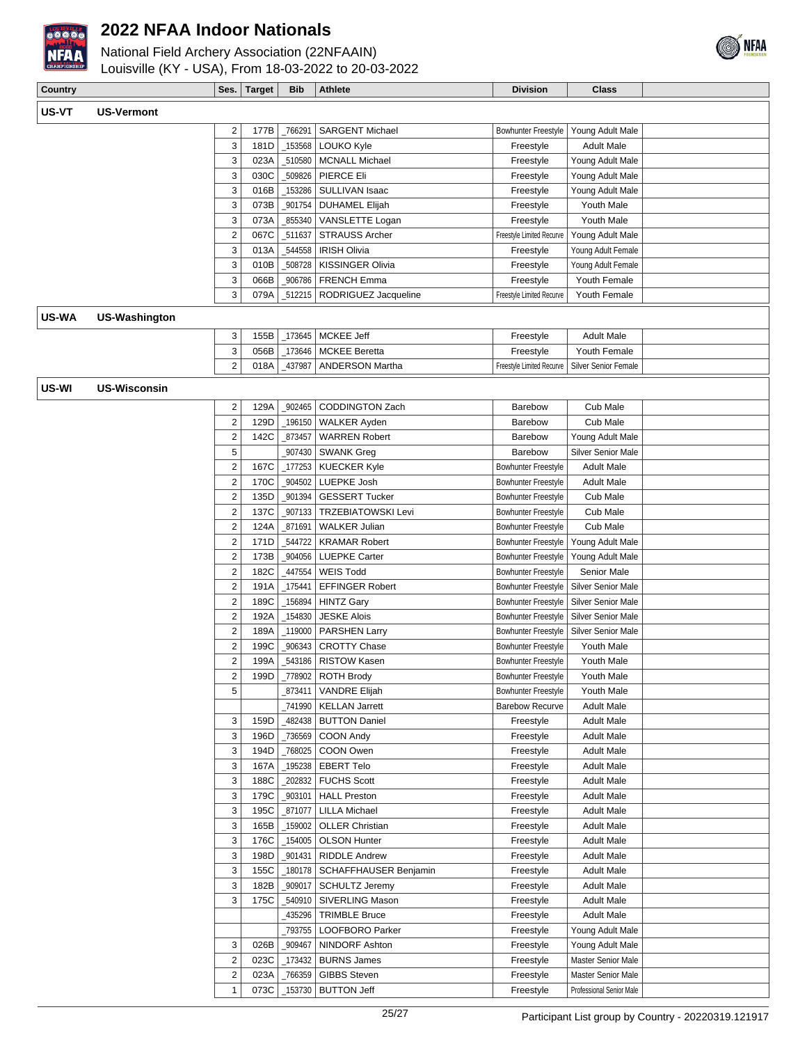



| <b>Country</b> |                      | Ses.                         | <b>Target</b> | <b>Bib</b>        | Athlete                                  | <b>Division</b>                        | <b>Class</b>                             |  |
|----------------|----------------------|------------------------------|---------------|-------------------|------------------------------------------|----------------------------------------|------------------------------------------|--|
| US-VT          | <b>US-Vermont</b>    |                              |               |                   |                                          |                                        |                                          |  |
|                |                      |                              |               |                   | <b>SARGENT Michael</b>                   | Bowhunter Freestyle                    |                                          |  |
|                |                      | $\overline{\mathbf{c}}$<br>3 | 177B<br>181D  | _766291<br>153568 | LOUKO Kyle                               | Freestyle                              | Young Adult Male<br><b>Adult Male</b>    |  |
|                |                      |                              |               |                   |                                          |                                        |                                          |  |
|                |                      | 3<br>3                       | 023A<br>030C  | _510580<br>509826 | <b>MCNALL Michael</b><br>PIERCE Eli      | Freestyle                              | Young Adult Male                         |  |
|                |                      | 3                            | 016B          | 153286            | SULLIVAN Isaac                           | Freestyle                              | Young Adult Male                         |  |
|                |                      | 3                            | 073B          | _901754           |                                          | Freestyle                              | Young Adult Male<br>Youth Male           |  |
|                |                      |                              | 073A          | 855340            | <b>DUHAMEL Elijah</b>                    | Freestyle                              | Youth Male                               |  |
|                |                      | 3<br>$\mathbf 2$             | 067C          | 511637            | VANSLETTE Logan<br><b>STRAUSS Archer</b> | Freestyle<br>Freestyle Limited Recurve | Young Adult Male                         |  |
|                |                      | 3                            | 013A          | 544558            | <b>IRISH Olivia</b>                      | Freestyle                              |                                          |  |
|                |                      | 3                            | 010B          | _508728           | <b>KISSINGER Olivia</b>                  | Freestyle                              | Young Adult Female<br>Young Adult Female |  |
|                |                      | 3                            | 066B          | 906786            | <b>FRENCH Emma</b>                       | Freestyle                              | Youth Female                             |  |
|                |                      | 3                            | 079A          | 512215            | RODRIGUEZ Jacqueline                     | Freestyle Limited Recurve              | Youth Female                             |  |
|                |                      |                              |               |                   |                                          |                                        |                                          |  |
| US-WA          | <b>US-Washington</b> |                              |               |                   |                                          |                                        |                                          |  |
|                |                      | 3                            | 155B          | 173645            | MCKEE Jeff                               | Freestyle                              | <b>Adult Male</b>                        |  |
|                |                      | 3                            | 056B          | 173646            | <b>MCKEE Beretta</b>                     | Freestyle                              | Youth Female                             |  |
|                |                      | $\overline{2}$               | 018A          | 437987            | <b>ANDERSON Martha</b>                   | Freestyle Limited Recurve              | <b>Silver Senior Female</b>              |  |
| US-WI          | <b>US-Wisconsin</b>  |                              |               |                   |                                          |                                        |                                          |  |
|                |                      | $\overline{\mathbf{c}}$      | 129A          | 902465            | <b>CODDINGTON Zach</b>                   | Barebow                                | Cub Male                                 |  |
|                |                      | $\overline{c}$               | 129D          | 196150            | <b>WALKER Ayden</b>                      | <b>Barebow</b>                         | Cub Male                                 |  |
|                |                      | $\overline{c}$               | 142C          | 873457            | <b>WARREN Robert</b>                     | Barebow                                | Young Adult Male                         |  |
|                |                      | 5                            |               | 907430            | <b>SWANK Greg</b>                        | Barebow                                | <b>Silver Senior Male</b>                |  |
|                |                      | $\overline{c}$               | 167C          | 177253            | <b>KUECKER Kyle</b>                      | <b>Bowhunter Freestyle</b>             | <b>Adult Male</b>                        |  |
|                |                      | $\boldsymbol{2}$             | 170C          | 904502            | LUEPKE Josh                              | Bowhunter Freestyle                    | <b>Adult Male</b>                        |  |
|                |                      | $\mathbf 2$                  | 135D          | _901394           | <b>GESSERT Tucker</b>                    | Bowhunter Freestyle                    | Cub Male                                 |  |
|                |                      | $\mathbf 2$                  | 137C          | _907133           | <b>TRZEBIATOWSKI Levi</b>                | <b>Bowhunter Freestyle</b>             | Cub Male                                 |  |
|                |                      | $\boldsymbol{2}$             | 124A          | 871691            | <b>WALKER Julian</b>                     | <b>Bowhunter Freestyle</b>             | Cub Male                                 |  |
|                |                      | $\boldsymbol{2}$             | 171D          | 544722            | <b>KRAMAR Robert</b>                     | <b>Bowhunter Freestyle</b>             | Young Adult Male                         |  |
|                |                      | $\boldsymbol{2}$             | 173B          | _904056           | <b>LUEPKE Carter</b>                     | <b>Bowhunter Freestyle</b>             | Young Adult Male                         |  |
|                |                      | $\overline{c}$               | 182C          | 447554            | <b>WEIS Todd</b>                         | <b>Bowhunter Freestyle</b>             | Senior Male                              |  |
|                |                      | $\overline{c}$               | 191A          | 175441            | <b>EFFINGER Robert</b>                   | <b>Bowhunter Freestyle</b>             | Silver Senior Male                       |  |
|                |                      | $\overline{c}$               | 189C          | 156894            | <b>HINTZ Gary</b>                        | <b>Bowhunter Freestyle</b>             | Silver Senior Male                       |  |
|                |                      | $\boldsymbol{2}$             | 192A          | 154830            | <b>JESKE Alois</b>                       | Bowhunter Freestyle                    | <b>Silver Senior Male</b>                |  |
|                |                      | $\mathbf 2$                  | 189A          | _119000           | <b>PARSHEN Larry</b>                     | Bowhunter Freestyle                    | <b>Silver Senior Male</b>                |  |
|                |                      | 2                            | 199C          | 906343            | <b>CROTTY Chase</b>                      | <b>Bowhunter Freestyle</b>             | Youth Male                               |  |
|                |                      | $\overline{2}$               | 199A          | 543186            | <b>RISTOW Kasen</b>                      | <b>Bowhunter Freestyle</b>             | Youth Male                               |  |
|                |                      | 2                            | 199D          |                   | _778902   ROTH Brody                     | Bowhunter Freestyle                    | Youth Male                               |  |
|                |                      | 5                            |               | 873411            | <b>VANDRE Elijah</b>                     | <b>Bowhunter Freestyle</b>             | Youth Male                               |  |
|                |                      |                              |               | _741990           | <b>KELLAN Jarrett</b>                    | <b>Barebow Recurve</b>                 | <b>Adult Male</b>                        |  |
|                |                      | 3                            | 159D          | 482438            | <b>BUTTON Daniel</b>                     | Freestyle                              | <b>Adult Male</b>                        |  |
|                |                      | 3                            | 196D          | _736569           | COON Andy                                | Freestyle                              | Adult Male                               |  |
|                |                      | 3                            | 194D          | _768025           | COON Owen                                | Freestyle                              | Adult Male                               |  |
|                |                      | 3                            | 167A          | 195238            | <b>EBERT Telo</b>                        | Freestyle                              | <b>Adult Male</b>                        |  |
|                |                      | 3                            | 188C          | 202832            | <b>FUCHS Scott</b>                       | Freestyle                              | <b>Adult Male</b>                        |  |
|                |                      | 3                            | 179C          | _903101           | <b>HALL Preston</b>                      | Freestyle                              | <b>Adult Male</b>                        |  |
|                |                      | 3                            | 195C          | _871077           | <b>LILLA Michael</b>                     | Freestyle                              | <b>Adult Male</b>                        |  |
|                |                      | 3                            | 165B          | _159002           | <b>OLLER Christian</b>                   | Freestyle                              | <b>Adult Male</b>                        |  |
|                |                      | 3                            | 176C          | _154005           | <b>OLSON Hunter</b>                      | Freestyle                              | <b>Adult Male</b>                        |  |
|                |                      | 3                            | 198D          | 901431            | <b>RIDDLE Andrew</b>                     | Freestyle                              | <b>Adult Male</b>                        |  |
|                |                      | 3                            | 155C          | _180178           | SCHAFFHAUSER Benjamin                    | Freestyle                              | Adult Male                               |  |
|                |                      | 3                            | 182B          | _909017           | <b>SCHULTZ Jeremy</b>                    | Freestyle                              | Adult Male                               |  |
|                |                      | 3                            | 175C          | _540910           | SIVERLING Mason                          | Freestyle                              | <b>Adult Male</b>                        |  |
|                |                      |                              |               | 435296            | <b>TRIMBLE Bruce</b>                     | Freestyle                              | <b>Adult Male</b>                        |  |
|                |                      |                              |               | _793755           | LOOFBORO Parker                          | Freestyle                              | Young Adult Male                         |  |
|                |                      | 3                            | 026B          | _909467           | NINDORF Ashton                           | Freestyle                              | Young Adult Male                         |  |
|                |                      | $\mathbf 2$                  | 023C          | _173432           | <b>BURNS James</b>                       | Freestyle                              | Master Senior Male                       |  |
|                |                      | $\overline{c}$               | 023A          | 766359            | <b>GIBBS Steven</b>                      | Freestyle                              | Master Senior Male                       |  |
|                |                      | 1                            | 073C          | _153730           | <b>BUTTON Jeff</b>                       | Freestyle                              | Professional Senior Male                 |  |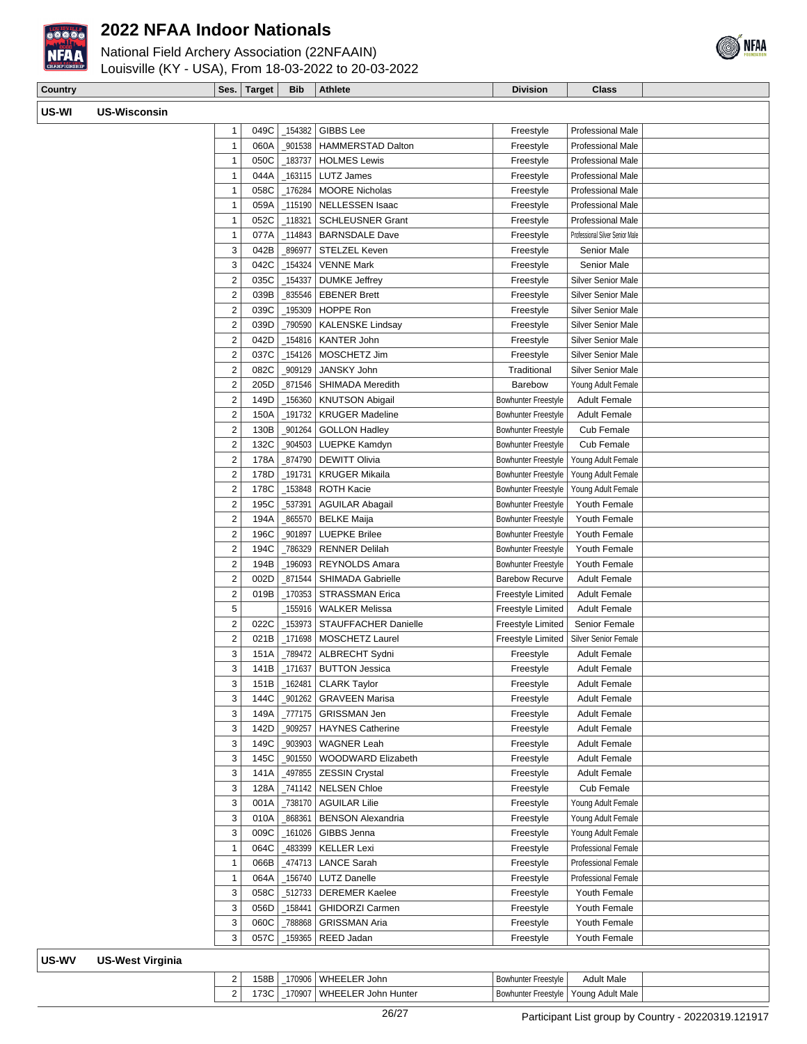

National Field Archery Association (22NFAAIN) Louisville (KY - USA), From 18-03-2022 to 20-03-2022

**Country Country Class Ses. Target Bib Athlete Division Division Class** 



| US-WI | <b>US-Wisconsin</b>     |                                  |              |         |                                                       |                                                          |                                    |
|-------|-------------------------|----------------------------------|--------------|---------|-------------------------------------------------------|----------------------------------------------------------|------------------------------------|
|       |                         | 1                                | 049C         |         | _154382   GIBBS Lee                                   | Freestyle                                                | Professional Male                  |
|       |                         | $\mathbf{1}$                     | 060A         |         | 901538   HAMMERSTAD Dalton                            | Freestyle                                                | <b>Professional Male</b>           |
|       |                         | $\mathbf{1}$                     | 050C         | 183737  | <b>HOLMES Lewis</b>                                   | Freestyle                                                | <b>Professional Male</b>           |
|       |                         | $\mathbf{1}$                     | 044A         |         | _163115   LUTZ James                                  | Freestyle                                                | Professional Male                  |
|       |                         | $\mathbf{1}$                     | 058C         | 176284  | <b>MOORE Nicholas</b>                                 | Freestyle                                                | Professional Male                  |
|       |                         | $\mathbf{1}$                     | 059A         |         | _115190 NELLESSEN Isaac                               | Freestyle                                                | Professional Male                  |
|       |                         | $\mathbf{1}$                     | 052C         | _118321 | SCHLEUSNER Grant                                      | Freestyle                                                | Professional Male                  |
|       |                         | $\mathbf{1}$                     | 077A         |         | _114843   BARNSDALE Dave                              | Freestyle                                                | Professional Silver Senior Male    |
|       |                         | 3                                | 042B         | 896977  | STELZEL Keven                                         | Freestyle                                                | Senior Male                        |
|       |                         | 3                                | 042C         |         | _154324   VENNE Mark                                  | Freestyle                                                | Senior Male                        |
|       |                         | $\overline{2}$                   | 035C         | 154337  | <b>DUMKE Jeffrey</b>                                  | Freestyle                                                | Silver Senior Male                 |
|       |                         | $\overline{2}$                   | 039B         |         | 835546   EBENER Brett                                 | Freestyle                                                | Silver Senior Male                 |
|       |                         | $\overline{2}$                   | 039C         |         | _195309   HOPPE Ron                                   | Freestyle                                                | <b>Silver Senior Male</b>          |
|       |                         | $\overline{2}$                   | 039D         |         | _790590   KALENSKE Lindsay                            | Freestyle                                                | Silver Senior Male                 |
|       |                         | $\overline{2}$                   | 042D         |         | _154816   KANTER John                                 | Freestyle                                                | Silver Senior Male                 |
|       |                         | $\overline{2}$                   | 037C         | _154126 | MOSCHETZ Jim                                          | Freestyle                                                | Silver Senior Male                 |
|       |                         | $\overline{2}$                   | 082C         |         | _909129   JANSKY John                                 | Traditional                                              | <b>Silver Senior Male</b>          |
|       |                         | $\overline{2}$                   | 205D         |         | 871546   SHIMADA Meredith                             | Barebow                                                  | Young Adult Female                 |
|       |                         | $\overline{2}$                   | 149D         |         | _156360   KNUTSON Abigail<br>191732   KRUGER Madeline | <b>Bowhunter Freestyle</b>                               | <b>Adult Female</b>                |
|       |                         | $\overline{2}$                   | 150A         |         |                                                       | Bowhunter Freestyle                                      | <b>Adult Female</b>                |
|       |                         | $\overline{2}$<br>$\overline{2}$ | 130B<br>132C |         | _901264   GOLLON Hadley<br>_904503   LUEPKE Kamdyn    | <b>Bowhunter Freestyle</b><br><b>Bowhunter Freestyle</b> | Cub Female<br>Cub Female           |
|       |                         | $\overline{2}$                   | 178A         |         | _874790 DEWITT Olivia                                 | Bowhunter Freestyle                                      | Young Adult Female                 |
|       |                         | $\overline{2}$                   | 178D         | 191731  | <b>KRUGER Mikaila</b>                                 | Bowhunter Freestyle                                      |                                    |
|       |                         | $\overline{2}$                   | 178C         |         | _153848   ROTH Kacie                                  | Bowhunter Freestyle                                      | Young Adult Female                 |
|       |                         | $\overline{2}$                   | 195C         |         | 537391   AGUILAR Abagail                              | <b>Bowhunter Freestyle</b>                               | Young Adult Female<br>Youth Female |
|       |                         | $\overline{2}$                   | 194A         | 865570  | BELKE Maija                                           | <b>Bowhunter Freestyle</b>                               | Youth Female                       |
|       |                         | $\overline{2}$                   | 196C         |         | 901897   LUEPKE Brilee                                | <b>Bowhunter Freestyle</b>                               | Youth Female                       |
|       |                         | $\overline{2}$                   | 194C         |         | _786329   RENNER Delilah                              | Bowhunter Freestyle                                      | Youth Female                       |
|       |                         | $\overline{2}$                   | 194B         |         | _196093   REYNOLDS Amara                              | <b>Bowhunter Freestyle</b>                               | Youth Female                       |
|       |                         | $\overline{2}$                   | 002D         |         | 871544   SHIMADA Gabrielle                            | <b>Barebow Recurve</b>                                   | <b>Adult Female</b>                |
|       |                         | $\overline{2}$                   | 019B         |         | _170353   STRASSMAN Erica                             | Freestyle Limited                                        | <b>Adult Female</b>                |
|       |                         | 5                                |              |         | 155916   WALKER Melissa                               | Freestyle Limited                                        | <b>Adult Female</b>                |
|       |                         | $\sqrt{2}$                       | 022C         |         | _153973 STAUFFACHER Danielle                          | Freestyle Limited                                        | Senior Female                      |
|       |                         | $\overline{2}$                   | 021B         |         | _171698   MOSCHETZ Laurel                             | Freestyle Limited                                        | <b>Silver Senior Female</b>        |
|       |                         | 3                                | 151A         |         | _789472   ALBRECHT Sydni                              | Freestyle                                                | <b>Adult Female</b>                |
|       |                         | 3                                | 141B         |         | _171637   BUTTON Jessica                              | Freestyle                                                | <b>Adult Female</b>                |
|       |                         | 3                                | 151B         |         | $\_162481$ CLARK Taylor                               | Freestyle                                                | <b>Adult Female</b>                |
|       |                         | 3                                | 144C         |         | _901262   GRAVEEN Marisa                              | Freestyle                                                | <b>Adult Female</b>                |
|       |                         | 3                                | 149A         |         | 777175   GRISSMAN Jen                                 | Freestyle                                                | <b>Adult Female</b>                |
|       |                         | 3                                | 142D         | 909257  | <b>HAYNES Catherine</b>                               | Freestyle                                                | <b>Adult Female</b>                |
|       |                         | 3                                | 149C         |         | _903903   WAGNER Leah                                 | Freestyle                                                | <b>Adult Female</b>                |
|       |                         | 3                                | 145C         |         | 901550 WOODWARD Elizabeth                             | Freestyle                                                | <b>Adult Female</b>                |
|       |                         | 3                                | 141A         |         | 497855   ZESSIN Crystal                               | Freestyle                                                | <b>Adult Female</b>                |
|       |                         | 3                                | 128A         |         | _741142   NELSEN Chloe                                | Freestyle                                                | Cub Female                         |
|       |                         | 3                                | 001A         |         | _738170   AGUILAR Lilie                               | Freestyle                                                | Young Adult Female                 |
|       |                         | 3                                | 010A         | 868361  | <b>BENSON Alexandria</b>                              | Freestyle                                                | Young Adult Female                 |
|       |                         | 3                                | 009C         | 161026  | GIBBS Jenna                                           | Freestyle                                                | Young Adult Female                 |
|       |                         | $\mathbf{1}$                     | 064C         | 483399  | KELLER Lexi                                           | Freestyle                                                | <b>Professional Female</b>         |
|       |                         | $\mathbf{1}$                     | 066B         | 474713  | <b>LANCE Sarah</b>                                    | Freestyle                                                | <b>Professional Female</b>         |
|       |                         | $\mathbf{1}$                     | 064A         | _156740 | <b>LUTZ Danelle</b>                                   | Freestyle                                                | <b>Professional Female</b>         |
|       |                         | 3                                | 058C         | _512733 | <b>DEREMER Kaelee</b>                                 | Freestyle                                                | Youth Female                       |
|       |                         | 3                                | 056D         | _158441 | <b>GHIDORZI Carmen</b>                                | Freestyle                                                | Youth Female                       |
|       |                         | 3                                | 060C         | 788868  | <b>GRISSMAN Aria</b>                                  | Freestyle                                                | Youth Female                       |
|       |                         | 3                                | 057C         |         | _159365   REED Jadan                                  | Freestyle                                                | Youth Female                       |
| US-WV | <b>US-West Virginia</b> |                                  |              |         |                                                       |                                                          |                                    |
|       |                         | 2                                |              |         | 158B   170906   WHEELER John                          | Bowhunter Freestyle                                      | <b>Adult Male</b>                  |

|     | 158B I            | 170906   WHEELER John        | Bowhunter Freestyle I                               | <b>Adult Male</b> |  |
|-----|-------------------|------------------------------|-----------------------------------------------------|-------------------|--|
| ا 2 | 173C <sub>1</sub> | 170907   WHEELER John Hunter | <sup>1</sup> Bowhunter Freestvle   Young Adult Male |                   |  |